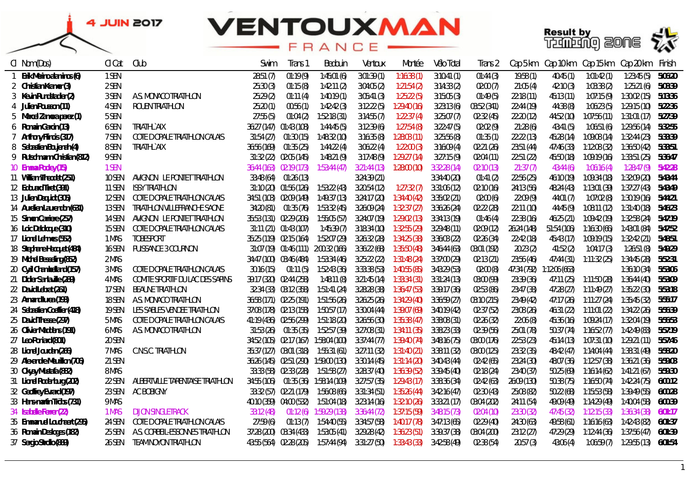## **VENTOUXMAN** FRANCE





| Cl Nom (Dos)                 | CI Cat       | Club                             | Swim                    | Trans 1                 | Bedouin                              | Ventoux      | Montée       | Vélo Total   | Irans 2     | Cap 5 km    | Cap 10 km     | Cap 15 km    | Cap 20 km    | Finish  |
|------------------------------|--------------|----------------------------------|-------------------------|-------------------------|--------------------------------------|--------------|--------------|--------------|-------------|-------------|---------------|--------------|--------------|---------|
| 1 Erik Merino alaminos (6)   | 1 SEN        |                                  | 28:51 (7)               | 01:19(9)                | 7:45:01(6)                           | 3:01:39 (1)  | 1:16:38(1)   | 3:10:41(1)   | 01:44 (3)   | 19:58(1)    | 40:45(1)      | 1:01:42(1)   | 1:23:45(5)   | 5:06:20 |
| 2 Christian Kramer (3)       | 2 SEN        |                                  | 25:30 (3)               | 01:15(8)                | 1:42:11(2)                           | 3:04:05 (2)  | 1:21:54(2)   | 3:14:33(2)   | 02:00 (7)   | 21:05(4)    | 42:10(3)      | 1:03:38(2)   | 1:25:21(6)   | 5:08:39 |
| 3 Kevin Rundstadler (2)      | 3 SEN        | A.S. MONACO TRIATHLON            | 25:29 (2)               | 01:11(4)                | 1:40:19(1)                           | 3:05:41(3)   | 1:25:22(5)   | 3:15:05(3)   | 01:49 (5)   | 22:18 (11)  | 45:13(11)     | 1:07:15(9)   | 1:30:02 (15) | 5:13:36 |
| 4 Julien Pousson (11)        | 4 SEN        | <b>ROUEN TRIATHLON</b>           | 25:20(1)                | 00:56 (1)               | 1:42:42(3)                           | 3:12:22(5)   | 1:29:40(16)  | 3:23:13(6)   | 03:52 (341) | 22:44(19)   | 44:38 (8)     | 1:06:23(5)   | 1:29:15 (10) | 5:22:36 |
| 5 Marcel Zamora perez (1)    | 5 SEN        |                                  | 27:55 (5)               | 01:04 (2)               | 1:52:18(31)                          | 3:14:55(7)   | 1:22:37(4)   | 3:25:07(7)   | 02:32 (45)  | 22:20(12)   | 44:52 (10)    | 1:07:56 (11) | 1:31:01 (17) | 5:27:39 |
| 6 Romain Garcin (13)         | 6 SEN        | TRIATHL`AIX                      | 36:27 (147) 01:43 (108) |                         | 1:44:45(5)                           | 3:12:39(6)   | 1:27:54(8)   | 3:22:47(5)   | 02:02 (9)   | 21:28(6)    | 43:41 (5)     | 1:06:51 (6)  | 1:29:56 (14) | 5:32:55 |
| 7 Anthony Flinois (317)      | 7 SEN        | COTE D OPALE TRIATHLON CALAIS    | 31:54 (27)              | 01:30 (15)              | 1:48:32(10)                          | 3:16:35(8)   | 1:28:03(11)  | 3:25:56(8)   | 01:35(1)    | 22:22 (13)  | 45:28 (14)    | 1:09:08 (14) | 1:32:44 (23) | 5:33:39 |
| 8 Sebastien Boujenah (4)     | 8 SEN        | TRIATHL`AIX                      | 36:56 (169) 01:35 (25)  |                         | 1:44:22(4)                           | 3:06:22(4)   | 1:22:00 (3)  | 3:16:09(4)   | 02:21 (26)  | 23:51 (44)  | 47:46 (33)    | 1:12:08 (32) | 1:36:50 (42) | 5:33:51 |
| 9 Rutschmann Christian (812) | 9 SEN        |                                  |                         | 31:32 (22) 02:05 (145)  | 1:48:21(9)                           | 3:17:48(9)   | 1:29:27(14)  | 3:27:15(9)   | 02:04 (11)  | 22:51(22)   | 45:50 (18)    | 1:09:19(16)  | 1:33:51 (25) | 5:36:47 |
| 10 Emma Pooley (15)          | 1 SEN        |                                  | 36:44 (163) 02:19 (173) |                         | 1:53:44 (47)                         | 3:21:44(13)  | 1:28:00 (10) | 3:32:28(14)  | 02:10 (13)  | 21:37(7)    | 43:44(6)      | 1:06:16(4)   | 1:28:47(9)   | 5:42:28 |
| 11 William Theodet (251)     | 10 SEN       | AVIGNON LE PONTET TRIATHLON      | 33:48 (64)              | 01:26 (13)              |                                      | 3:24:39 (21) |              | 3:34:40 (20) | 01:41(2)    | 22:56 (25)  | 46:10 (19)    | 1:09:34 (18) | 1:32:09 (20) | 5:43:44 |
| 12 Edouard Tiret (391)       | 11 SEN       | ISSY TRIATHLON                   |                         | 31:10 (20) 01:56 (126)  | 1:53:22(43)                          | 3:20:54 (12) | 1:27:32(7)   | 3:31:06 (12) | 02:10 (16)  | 24:13 (56)  | 48:24 (43)    | 1:13:01 (39) | 1:37:27 (43) | 5:43:49 |
| 13 Julien Dequidt (305)      | 12 SEN       | COTE D OPALE TRIATHLON CALAIS    | 34:51 (103) 02:09 (149) |                         | 1:49:37(13)                          | 3:24:17 (20) | 1:34:40 (42) | 3:35:02 (21) | 02:00 (6)   | 22:09(9)    | 44:01 (7)     | 1:07:02 (8)  | 1:30:19 (16) | 5:44:21 |
| 14 Aurelien Laurendon (631)  | 13 SEN       | TRIATHLON VILLEFRANCHE SAONE     | 34:20 (81)              | 01:35 (76)              | 1:53:32(45)                          | 3:26:09 (24) | 1:32:37 (27) | 3:36:26 (24) | 02:22 (28)  | 22:11(10)   | 44:45 (9)     | 1:08:11 (12) | 1:31:40 (18) | 5:46:23 |
| 15 Simon Carriere (257)      | 14 SEN       | AVIGNON LE PONTET TRIATHLON      | 35:53 (131) 02:29 (206) |                         | 1:55:05 (57)                         | 3:24:07 (19) | 1:29:02 (13) | 3:34:13 (19) | 01:46 (4)   | 22:38 (16)  | 46:25 (21)    | 1:09:42 (19) | 1:32:58 (24) | 5:47:19 |
| 16 Loic Deldicque (310)      | 15 SEN       | COTE D OPALE TRIATHLON CALAIS    |                         | 31:11 (21) 01:43 (107)  | 1:45:39(7)                           | 3:18:34 (10) | 1:32:55 (29) | 3:29:48(11)  | 02:09 (12)  | 26:24 (148) | 51:54 (106)   | 1:16:30 (66) | 1:43:01 (84) | 5:47:52 |
| 17 Lionel Lehmes (552)       | 1 MAS        | TOBESPORT                        | 35:25 (119) 02:15 (164) |                         | 1:52:07 (29)                         | 3:26:32 (28) | 1:34:25 (38) | 3:36:03 (22) | 02:26 (34)  | 22:42 (18)  | 45:43 (17)    | 1:09:19 (15) | 1:32:42(21)  | 5:48:51 |
| 18 Stephane Hecquet (484)    | 16 SEN       | PUISSANCE 3 COURNON              |                         |                         | 31:07 (19) 01:46 (111) 2:00:32 (166) | 3:36:22 (68) | 1:35:50 (48) | 3:46:44 (63) | 03:01 (192) | 20:23 (2)   | 41:52(2)      | 1:04:17 (3)  | 1:26:51(8)   | 5:49:29 |
| 19 Michel Besseling (852)    | 2 MAS        |                                  | 34:47 (100) 03:46 (484) |                         | 1:53:34 (46)                         | 3:25:22 (22) | 1:31:48(24)  | 3:37:00 (29) | 02:13(21)   | 23:56 (46)  | 47:44(31)     | 1:11:32 (25) | 1:34:45 (28) | 5:52:31 |
| 20 Cyril Chambelland (157)   | 3 MAS        | COTE D OPALE TRIATHLON CALAIS    | 30:16 (15)              | 01:11 (5)               | 1:52:43 (36)                         | 3:33:38 (53) | 1:40:55 (85) | 3:43:29 (53) | 02:00 (8)   | 47:34 (792) | 1:12:06 (663) |              | 1:36:10 (34) | 5:53:06 |
| 21 Didier Sanlaville (289)   | 4 MAS        | COMITE SPORTIF DU LAC DES SAPINS | 39:17 (320) 02:44 (258) |                         | 1:48:11 (8)                          | 3:21:45(14)  | 1:33:34 (31) | 3:31:24(13)  | 03:00 (99)  | 23:39 (36)  | 47:11(25)     | 1:11:50 (28) | 1:36:44 (40) | 5:53:09 |
| 22 David Lebrat (261)        | 17 SEN       | <b>BEAUNE TRIATHLON</b>          |                         | 32:34 (33) 03:12 (358)  | 1:51:41 (24)                         | 3:28:28 (38) | 1:36:47 (53) | 3:39:17 (36) | 02:53 (86)  | 23:47 (38)  | 47:28 (27)    | 1:11:49 (27) | 1:35:22 (30) | 5:53:18 |
| 23 Armand Iurea (193)        | 18 SEN       | A.S. MONACO TRIATHLON            | 36:58 (171) 02:25 (191) |                         | 1:51:56 (26)                         | 3:26:25 (26) | 1:34:29 (40) | 3:36:59 (27) | 03:10 (215) | 23:49 (42)  | 47:17 (26)    | 1:11:27 (24) | 1:35:45 (32) | 5:55:17 |
| 24 Sebastien Coeffier (418)  | 19 SEN       | LES SABLES VENDEE TRIATHLON      | 37:08 (178) 02:13 (158) |                         | 1:50:57 (17)                         | 3:30:04 (44) | 1:39:07 (69) | 3:40:19 (42) | 02:37 (52)  | 23:08 (26)  | 46:31 (22)    | 1:11:01 (22) | 1:34:22 (26) | 5:56:39 |
| 25 David Thesse (297)        | 5 MAS        | COTE D OPALE TRIATHLON CALAIS    | 41:19 (436) 02:56 (299) |                         | 1:51:18 (20)                         | 3:26:56 (30) | 1:35:38 (47) | 3:38:08 (31) | 02:26 (32)  | 22:06 (8)   | 45:36 (16)    | 1:09:24 (17) | 1:32:04 (19) | 5:56:53 |
| 26 Olivier Maddens (191)     | 6 MAS        | A.S. MONACO TRIATHLON            | 31:53 (26)              | 01:35 (35)              | 1:52:57 (39)                         | 3:27:08 (31) | 1:34:11 (35) | 3:38:23 (33) | 02:39 (56)  | 25:01 (78)  | 50:37 (74)    | 1:16:52 (77) | 1:42:49 (83) | 5:57:19 |
| 27 Leo Poniard (801)         | 20 SEN       |                                  |                         | 34:52 (105) 02:17 (167) | 1:58:04 (100)                        | 3:37:44 (77) | 1:39:40 (74) | 3:48:16 (75) | 03:00 (176) | 22:53 (23)  | 45:14 (13)    | 1:07:31 (10) | 1:29:21 (11) | 5:57:46 |
| 28 Lionel Jourdan (266)      | 7 MAS        | C.N.S.C. TRIATHLON               | 35:37 (127) 03:01 (318) |                         | 1:55:31 (61)                         | 3:27:11 (32) | 1:31:40 (21) | 3:38:11(32)  | 03:00 (125) | 23:32 (35)  | 48:42 (47)    | 1:14:04 (44) | 1:38:31 (49) | 5:58:20 |
| 29 Alexandre Meurillon (706) | 21 SEN       |                                  | 36:26 (145) 02:51 (290) |                         | 1:59:00 (130)                        | 3:30:14 (45) | 1:31:14 (20) | 3:40:43 (44) | 02:42 (65)  | 23:24 (30)  | 48:07 (36)    | 1:12:57 (38) | 1:36:21 (36) | 5:59:03 |
| 30 Okyay Mustafa (882)       | <b>8 MAS</b> |                                  | 33:33 (58)              | 02:33 (228)             | 1:51:58 (27)                         | 3:28:37 (40) | 1:36:39 (52) | 3:39:45 (40) | 02:18 (24)  | 23:40 (37)  | 50:25 (69)    | 1:16:14(62)  | 1:41:21 (67) | 5:59:30 |
| 31 Lionel Rodenburg (202)    | 22 SEN       | ALBERTVILLE TARENTAISE TRIATHLON | 34:55 (106)             | 01:35 (36)              | 1:58:14 (109)                        | 3:27:57 (35) | 1:29:43(17)  | 3:38:36 (34) | 02:42 (63)  | 26:09 (130) | 50:38 (75)    | 1:16:50 (74) | 1:42:24 (75) | 6:00:12 |
| 32 Geoffrey Evrard (197)     | 23 SEN       | <b>AC BOBIGNY</b>                |                         | 33:32 (57) 02:21 (179)  | 1:56:08 (66)                         | 3:31:34(51)  | 1:35:26 (44) | 3:42:16 (47) | 02:30 (43)  | 25:08 (82)  | 50:22 (68)    | 1:15:53(58)  | 1:39:49 (55) | 6:00:28 |
| 33 Hans-martin Tröbs (731)   | 9 MAS        |                                  | 40:10 (359) 04:00 (532) |                         | 1:51:04 (18)                         | 3:23:14(16)  | 1:32:10 (26) | 3:33:21(17)  | 03:04 (202) | 24:11 (54)  | 49:09 (49)    | 1:14:29 (49) | 1:40:04 (58) | 6:00:39 |
| 34 Isabelle Ferrer (22)      | 1 MAS        | <b>DIJON SINGLETRACK</b>         | 33:12(48)               | 01:12(6)                | 1:59:29 (138)                        | 3:36:44(72)  | 1:37:15(59)  | 3:48:15(73)  | 02:04 (10)  | 23:30 (32)  | 47:45(32)     | 1:12:15(33)  | 1:36:34 (38) | 6:01:17 |
| 35 Emmanuel Louchaert (295)  | 24 SEN       | COTE D OPALE TRIATHLON CALAIS    | 27:59 (6)               | 01:13(7)                | 1:54:40 (55)                         | 3:34:57 (58) | 1:40:17 (78) | 3:47:13 (65) | 02:29 (40)  | 24:30 (63)  | 49:58 (61)    | 1:16:16(63)  | 1:42:43 (82) | 6:01:37 |
| 36 Romain Desloges (182)     | 25 SEN       | A.S. CORBEIL-ESSONNES TRIATHLON  | 37:28 (200) 03:34 (433) |                         | 1:53:05 (41)                         | 3:29:28 (42) | 1:36:23 (51) | 3:39:37 (38) | 03:04 (200) | 23:12(27)   | 47:29 (29)    | 1:12:44(36)  | 1:37:56 (47) | 6:01:39 |
| 37 Sergio Strollo (889)      | 26 SEN       | TEAM NOYON TRIATHLON             | 43:55 (564) 02:28 (205) |                         | 1:57:44 (94)                         | 3:31:27 (50) | 1:33:43 (33) | 3:42:58 (49) | 02:38 (54)  | 20:57(3)    | 43:06 (4)     | 1:06:59 (7)  | 1:29:55 (13) | 6:01:54 |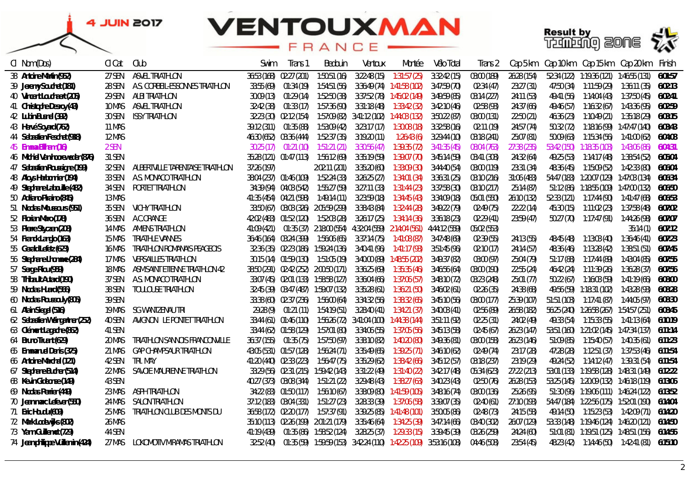



| CI Nom (Dos)                     | Cl Cat | Club                             | Swim        | Trans i                    | Bedouin                               | Ventoux                                                         | Montée                                                                             | Vélo Total   | Trans 2     | Cap 5 km    |             | Cap 10 km Cap 15 km Cap 20 km            |                                                 | Finish  |
|----------------------------------|--------|----------------------------------|-------------|----------------------------|---------------------------------------|-----------------------------------------------------------------|------------------------------------------------------------------------------------|--------------|-------------|-------------|-------------|------------------------------------------|-------------------------------------------------|---------|
| 38 Antoine Martin (952)          | 27 SEN | ASVEL TRIATHLON                  |             | 36:53 (168) 02:27 (201)    | 1:50:51(16)                           | 3:22:48(15)                                                     | 1:31:57 (25)                                                                       | 3:32:42(15)  | 03:00 (189) | 26:28 (154) | 52:34 (122) |                                          |                                                 | 6:01:57 |
| 39 Jeremy Souchet (181)          | 28 SEN | A.S. CORBEIL-ESSONNES TRIATHLON  |             | 33:55 (69) 01:34 (19)      |                                       |                                                                 |                                                                                    | 3:47:59 (70) | 02:34 (47)  | 23:27 (31)  | 47:50 (34)  | 1:11:59 (29)                             | 1:36:11 (35)                                    | 6:02:13 |
| 40 Vincent Louchaert (205)       | 29 SEN | ALBI TRIATHLON                   |             |                            | 30:09 (13)  01:29 (14)  1:52:50 (38)  |                                                                 |                                                                                    | 3:49:59 (85) | 03:14 (227) | 24:11 (53)  | 49:41 (56)  |                                          |                                                 | 6:02:41 |
| 41 Christophe Desroy (43)        | 10 MAS | ASVEL TRIATHLON                  |             |                            |                                       |                                                                 | 32:42 (38)  01:33 (17)  1:57:36 (90)  3:31:18 (48)  1:33:42 (32)                   | 3:42:10 (46) | 02:58 (93)  | 24:37 (66)  | 49:46 (57)  |                                          |                                                 | 6:02:59 |
| 42 Lubin Busnel (392)            | 30 SEN | ISSY TRIATHLON                   |             |                            |                                       | 32:23 (30) 02:12 (154) 1:57:09 (82) 3:41:12 (102) 1:44:03 (132) |                                                                                    | 3:50:22 (87) | 03:00 (131) | 22:50 (21)  | 46:36 [23]  |                                          |                                                 | 6:03:15 |
| 43 Hervé Soyard (762)            | 11 MAS |                                  |             | 39:12 (311)     01:35 (88) |                                       | 1:53:09 (42) 3:23:17 (17)                                       | 1:30:08 (18)                                                                       | 3:32:58 (16) | 02:11 (19)  | 24:57 (74)  | 50:32 (72)  |                                          |                                                 | 6:03:43 |
| 44 Sebastien Feschet (918)       | 12 MAS |                                  |             | 46:30 (652) 03:36 (444)    |                                       | 1:52:37 (35) 3:19:20 (11)                                       | 1:26:43 (6)                                                                        | 3:29:44 (10) | 03:18 (241) | 25:07 (81)  | 50:09 (63)  |                                          |                                                 | 6:04:08 |
| 45 Emma Bilham (16)              | 2 SEN  |                                  | 30:25 (17)  | 01:21 (10)                 |                                       | 1:51:21 (21) 3:30:56 (47)                                       | 1:39:35 (72)                                                                       | 3:41:35 (45) | 08:04 (763) | 27:38 (235) | 53:42 (150) | 1:18:35 (103)                            | 1:43:06 (86)                                    | 6:04:31 |
| 46 Michiel Van hooreweder (876)  | 31 SEN |                                  |             | 35:28 (121) 01:47 (113)    | 1:56:12 (69)                          | 3:35:19 (59)                                                    | 1:39:07 (70)                                                                       | 3:45:14 (59) | 03:41 (308) | 24:32 (64)  | 49:25 (53)  | 1:14:17 (48)                             | 1:38:54 (52)                                    | 6:05:04 |
| 47 Sebastien Roussigne (199)     | 32 SEN | ALBERTVILLE TARENTAISE TRIATHLON | 37:26 (197) |                            | 2:02:11 (201)                         | 3:35:20 (60)                                                    | 1:33:09 (30)                                                                       | 3:44:40 (54) | 03:00 (119) | 23:31 (34)  | 48:36 (45)  | 1:15:09 (52)                             | 1:42:33 (80)                                    | 6:06:04 |
| 48 Aloys Harbonnier (194)        | 33 SEN | A.S. MONACO TRIATHLON            |             | 38:04 (237) 01:46 (109)    | 1:52:24 (33)                          | 3:26:25 (27)                                                    | 1:34:01 (34)                                                                       | 3:36:31 (25) | 03:10 (216) | 31:06 (483) |             | 54:47 (183) 1:20:07 (129) 1:47:03 (134)  |                                                 | 6:06:34 |
| 49 Stephane Labouille (482)      | 34 SEN | PORTET TRIATHLON                 |             | 34:39 (94) 04:03 (542)     | 1:55:27 (59)                          | 3:27:11 (33)                                                    | 1:31:44 (23)                                                                       | 3:37:58 (30) | 03:10 (217) | 25:14 (87)  |             | 51:12 (86)  1:18:55 (109)  1:47:00 (132) |                                                 | 6:06:50 |
| 50 Adriano Piraino (845)         | 13 MAS |                                  |             | 41:35 (454) 04:21 (598)    | 1:49:14 (11)                          | 3:23:59 (18)                                                    | 1:34:45 (43)                                                                       | 3:34:09 (18) | 05:01 (550) | 26:10 (132) | 52:33 (121) | 1:17:44 (90)                             | 1:41:47 (68)                                    | 6:06:53 |
| 51 Nicolas Moussours (951)       | 35 SEN | VICHY TRIATHLON                  |             |                            | 33:50 (67) 03:03 (326) 2:05:59 (299)  | 3:38:43 (84)                                                    | 1:32:44 (28)                                                                       | 3:49:22 (79) | 02:49 (75)  | 22:22(14)   | 45:30 (15)  | 1:11:02 (23)                             | 1:37:58 (48)                                    | 6:07:02 |
| 52 Florian Maro (178)            | 36 SEN | A.C.ORANGE                       |             | 42:02 (483) 01:52 (120)    | 1:52:03 (28)                          | 3:26:17 (25)                                                    | 1:34:14 (36)                                                                       | 3:36:18 [23] | 02:29 (41)  | 23:59 (47)  | 50:27 (70)  | 1:17:47 (91)                             | 1:44:26 (98)                                    | 6:07:07 |
| 53 Pierre Styczen (208)          | 14 MAS | AMIENS TRIATHLON                 | 41:09 (421) |                            |                                       |                                                                 | 01:35 (37) 2:18:00 (554) 4:32:04 (559) 2:14:04 (561) 4:44:12 (559)                 |              | 05:02 (553) |             |             |                                          | 35:14(1)                                        | 6:07:12 |
| 54 Franck Langlo (163)           | 15 MAS | TRIATHLE VANNES                  |             |                            |                                       | 36:46 (164) 03:24 (399) 1:56:06 (65) 3:37:14 (75)               | 1:41:08 (87)                                                                       | 3:47:48 (69) | 02:39 (55)  | 24:13 (55)  | 48:45 (48)  | 1:13:03 (40)                             | 1:36:46 (41)                                    | 6:07:23 |
| 55 Gerald Lefetz (623)           | 16 MAS | TRIATHLON ROMANAIS PEAGEOIS      |             |                            |                                       | 32:36 (35) 02:23 (186) 1:59:24 (136) 3:40:41 (96) 1:41:17 (93)  |                                                                                    | 3:51:45 (96) | 02:10 (17)  | 24:14 (57)  | 48:36 (46)  | 1:13:28 (42)                             | 1:38:51 (51)                                    | 6:07:45 |
| 56 Stephane Lhomme (284)         | 17 MAS | <b>VERSAILLES TRIATHLON</b>      |             |                            |                                       | 30:15 (14) 01:59 (130) 1:51:05 (19) 3:40:00 (89) 1:48:55 (202)  |                                                                                    | 3:49:37 (82) | 03:00 (97)  | 25:04 (79)  | 51:17 (88)  | 1:17:44 (89)                             | 1:43:04 (85)                                    | 6:07:55 |
| 57 Serge Riou (959)              | 18 MAS | ASM.SAINT ETIENNE TRIATHLON 42   |             |                            |                                       | 38:50 (291) 02:42 (252) 2:00:50 (171) 3:36:25 (69)              | 1:35:35 (46)                                                                       | 3:46:56 (64) | 03:00 (190) | 22:55 (24)  | 46:42 (24)  |                                          |                                                 | 6:07:56 |
| 58 Thibault Autard (190)         | 37 SEN | A.S. MONACO TRIATHLON            |             |                            |                                       | 33:07 (45) 02:01 (133) 1:58:58 (127) 3:36:04 (66)               | 1:37:06 (57)                                                                       | 3:48:10 (72) | 03:23 (248) | 25:01 (77)  | 50:22 (67)  |                                          |                                                 | 6:08:00 |
| 59 Nicolas Huard (566)           | 38 SEN | TOULOUSE TRIATHLON               |             |                            | 32:45 (39) 03:47 (487) 1:59:07 (132)  | 3:35:28 (61)                                                    | 1:36:21 (50)                                                                       | 3:46:02 (61) | 02:26 (35)  | 24:38 (68)  |             |                                          |                                                 | 6:08:28 |
| 60 Nicolas Roussouly (805)       | 39 SEN |                                  |             | 33:38 (60) 02:37 (236)     | 1:56:00 (64)                          | 3:34:32 (56)                                                    | 1:38:32 (65)                                                                       | 3:45:10 (56) | 03:00 (177) | 25:39 (107) | 51:51 (103) | 1:17:41 (87)                             | 1:44:05 (97)                                    | 6:08:30 |
| 61 Alain Siegel (516)            | 19 MAS | SG WANTZENAU TRI                 | 29:28 (9)   | 01:21 (11)                 | 1:54:19 (51)                          | 3:28:40 (41)                                                    | 1:34:21 (37)                                                                       | 3:40:03 (41) | 02:56 (89)  | 26:58 (182) |             |                                          |                                                 | 6:08:45 |
| 62 Sebastien Weingartner (252)   | 40 SEN | AVIGNON LE PONTET TRIATHLON      |             | 33:44 (61) 01:46 (110)     |                                       | 1:56:26 (72) 3:41:04 (100) 1:44:38 (144)                        |                                                                                    | 3:51:11 (92) | 02:25 (31)  | 24:02 (49)  | 49:33 (54)  | 1:15:33 (55)                             | 1:41:13 (64)                                    | 6:10:19 |
| 63 Clément Lagache (862)         | 41 SEN |                                  |             | 33:44 (62) 01:58 (129)     | 1:57:01 (80)                          | 3:34:06 (55)                                                    | 1:37:05 (56)                                                                       | 3:45:13 (58) | 02:45 (67)  | 26:23 (147) |             | 53:51 (160) 1:21:02 (145) 1:47:34 (137)  |                                                 | 6:11:14 |
| 64 Bruno Truant (629)            | 20 MAS | TRIATHLON SANNOIS FRANCONVILLE   | 36:37 (155) | 01:35 (75)                 | 1:57:50 (97)                          | 3:38:10 (82)                                                    | 1:40:20 (80)                                                                       | 3:49:36 (81) | 03:00 (158) | 26:23 (146) | 51:09 (85)  | 1:15:40 (57)                             | 1:40:35 (61)                                    | 6:11:23 |
| 65 Emmanuel Denis (375)          | 21 MAS | GAP CHAMPSAUR TRIATHLON          |             | 43:05 (531) 01:57 (128)    | 1:56:24 (71)                          | 3:35:49 (65)                                                    | 1:39:25 (71)                                                                       | 3:46:10 (62) | 02:49 (74)  | 23:17 (28)  | 47:28 [28]  |                                          |                                                 | 6:11:54 |
| 66 Antoine Marchal (121)         | 42 SEN | TRI. MAY                         |             | 41:20 (440) 02:33 (223)    | 1:56:47 (75)                          | 3:35:29 (62)                                                    | 1:38:42 (66)                                                                       | 3:45:12(57)  | 03:18 (237) | 23:19 (29)  | 49:24 (52)  |                                          |                                                 | 6:11:54 |
| 67 Stephane Bucher (514)         | 22 MAS | SAVOIE MAURIENNE TRIATHLON       |             |                            | 33:29 (56) 02:31 (215) 1:59:42 (143)  | 3:31:22 (49)                                                    | 1:31:40 (22)                                                                       | 3:42:17 (48) | 05:34 (623) | 27:22 (213) |             | 53:01 (133) 1:19:58 (128) 1:48:31 (149)  |                                                 | 6:12:22 |
| 68 Kevin Gideonse (149)          | 43 SEN |                                  |             | 40:27 (373) 03:08 (344)    | 1:51:21 (22)                          | 3:29:48 (43)                                                    | 1:38:27 (63)                                                                       | 3:40:23 (43) | 02:50 (76)  | 26:28 (153) |             | 53:25 (145) 1:20:09 (132) 1:46:18 (119)  |                                                 | 6:13:06 |
| 69 Nicolas Perrier (449)         | 23 MAS | ASPH TRIATHLON                   |             | 34:22 (83) 01:50 (117)     | 1:56:10 (67)                          |                                                                 |                                                                                    | 3:48:16 (74) | 03:00 (136) | 25:26 (95)  |             | 51:30 (96) 1:19:06 (111) 1:46:24 (122)   |                                                 | 6:13:52 |
| 70 Jean marc Lefever (550)       | 24 MAS | SALON TRIATHLON                  |             |                            | 37:12 (183) 03:04 (331) 1:51:27 (23)  | 3:28:33 (39)                                                    | 1:37:06 (58)                                                                       | 3:39:07 (35) | 02:40 (61)  | 27:10 (193) |             | 54:47 (184) 1:22:56 (175) 1:52:01 (190)  |                                                 | 6:14:04 |
| 71 Eric Houdu (609)              | 25 MAS | TRIATHLON CLUB DES MONTS DU      |             |                            |                                       | 36:58 (172) 02:20 (177) 1:57:37 (91) 3:39:25 (85) 1:41:48 (101) |                                                                                    | 3:50:05 (86) | 02:48 (73)  | 24:15 (58)  | 49:14 (50)  |                                          |                                                 | 6:14:20 |
| 72 Mark Lodewijks (802)          | 26 MAS |                                  |             |                            | 35:10 (113) 02:26 (199) 2:01:21 (179) |                                                                 |                                                                                    | 3:47:14 (66) | 03:40 (302) | 26:07 (129) |             | 53:33 (148) 1:19:46 (124) 1:46:20 (121)  |                                                 | 6:14:50 |
| 73 Yann Guillemot (729)          | 44 SEN |                                  | 41:19 (439) |                            |                                       |                                                                 |                                                                                    | 3:39:45 (39) | 03:26 (259) | 24:24 (60)  |             | 51:01 (81) 1:19:51 (125) 1:48:51 (156)   |                                                 | 6:14:56 |
| 74 Jean philippe Vuillemin (424) | 27 MAS | LOKOMOTIV MIRAMAS TRIATHLON      | 32:52 (40)  |                            |                                       |                                                                 | 01:35 (59)     1:59:59 (153)     3:42:24 (110)     1:42:25 (109)     3:53:16 (108) |              | 04:46 (508) | 23:54 (45)  |             |                                          | 48:23 (42)  1:14:46 (50)  1:42:41 (81)  6:15:10 |         |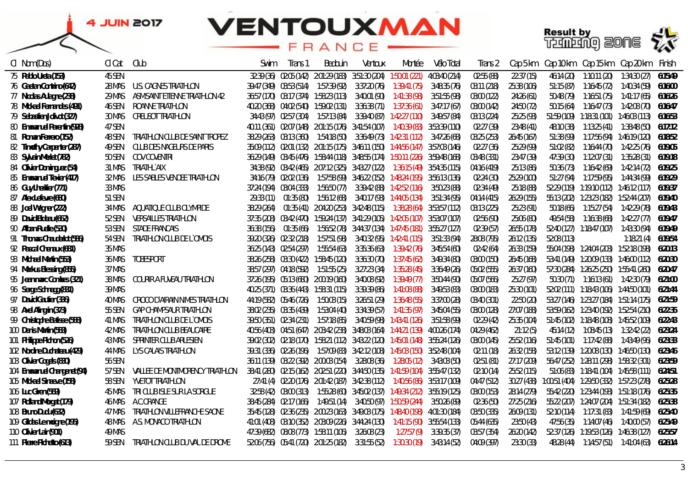



| Cl Nom (Dos)                | Cl Cat        | Club                               | Swim        | Trans 1                 | Bedouin                               | Ventoux                                                             | Montée                                                                                     | Vélo Total    | Trans 2     | Cap 5 km    | Cap 10 km   |                                             | Cap 15 km    Cap 20 km | Finish  |
|-----------------------------|---------------|------------------------------------|-------------|-------------------------|---------------------------------------|---------------------------------------------------------------------|--------------------------------------------------------------------------------------------|---------------|-------------|-------------|-------------|---------------------------------------------|------------------------|---------|
| 75 Pablo Ureta (153)        | 45 SEN        |                                    |             |                         |                                       | 32:39 (36) 02:05 (142) 2:01:29 (183) 3:51:30 (204) 1:50:01 (221)    |                                                                                            | 4:03:40 (214) | 02:55 (88)  | 22:37(15)   | 46:14 (20)  | 1:10:11 (20)                                | 1:34:30 (27)           | 6:15:49 |
| 76 Gaetan Contrino (642)    | 28 MAS        | U.S. CAGNES TRIATHLON              |             |                         |                                       | 39:47 (349) 03:53 (514) 1:57:39 (92) 3:37:20 (76) 1:39:41 (75)      |                                                                                            | 3:48:35 (76)  | 03:11 (218) | 25:38 (106) | 51:15(87)   |                                             |                        | 6:16:00 |
| 77 Nicolas Aulagne (238)    | 29 MAS        | ASM.SAINT ETIENNE TRIATHLON 42     |             |                         |                                       | 36:57 (170) 03:17 (374) 1:58:23 (113) 3:40:01 (90) 1:41:38 (98)     |                                                                                            | 3:51:55 (98)  | 03:00 (122) | 24:26 (61)  | 50:48 (79)  |                                             |                        | 6:16:26 |
| 78 Mickael Fernandes (491)  | 46 SEN        | ROANNE TRIATHLON                   |             |                         |                                       |                                                                     | 40:20 (368)  04:02 (540)  1:59:02 (131)  3:36:38 (71)  1:37:36 (61)                        | 3:47:17 (67)  | 03:00 (142) | 24:50 (72)  | 50:15 (64)  |                                             |                        | 6:16:47 |
| 79 Sebastien Jolivot (327)  | 30 MAS        | CREUSOT TRIATHLON                  |             |                         |                                       |                                                                     | 34:43 (97) 02:57 (304) 1:57:13 (84) 3:39:40 (87) 1:42:27 (110) 3:49:57 (84)                |               | 03:13 (224) | 25:25 (93)  |             | 51:59 (109) 1:18:31 (101) 1:46:03 (113)     |                        | 6:16:53 |
| 80 Emmanuel Parentin (928)  | 47 SEN        |                                    |             |                         |                                       |                                                                     | 40:11 (361)   02:07 (148)   2:01:15 (176)   3:41:54 (107)     1:40:39 (83)   3:53:39 (110) |               | 02:27 (39)  | 23:48 (41)  | 48:10 (38)  |                                             |                        | 6:17:12 |
| 81 Roman Ferrero (152)      | 48 SEN        | TRIATHLON CLUB DE SAINT TROPEZ     |             |                         |                                       |                                                                     | 38:29 (263)  03:13 (360)  1:54:18 (50)  3:36:49 (73)  1:42:31 (112)  3:47:26 (68)          |               | 03:25 (253) | 26:45 (167) | 51:38 (99)  |                                             |                        | 6:18:52 |
| 82 Timothy Carpenter (287)  | 49 SEN        | CLUB DES NAGEURS DE PARIS          |             |                         |                                       |                                                                     | 35:09 (112) 02:01 (132) 2:01:15 (175) 3:46:11 (150) 1:44:56 (147) 3:57:03 (146)            |               | 02:27 (36)  | 25:29 (99)  | 51:02 (82)  |                                             |                        | 6:19:05 |
| 83 Sylvain Merlet (782)     | 50 SEN        | COV COVENTRI                       |             |                         |                                       |                                                                     | 36:29 (149) 03:45 (476) 1:58:44 (118) 3:48:55 (174) 1:50:11 (226) 3:59:48 (168)            |               | 03:48 (331) | 23:47 (39)  | 47:39 (30)  |                                             |                        | 6:19:18 |
| 84 Olivier Dominguez (54)   | 31 MAS        | TRIATHLY AIX                       |             |                         |                                       |                                                                     | 34:38 (92) 03:42 (465) 2:07:12 (325) 3:43:27 (122) 1:36:15 (49) 3:54:35 (115)              |               | 04:16 (419) | 25:13 (86)  | 50:36 (73)  | 1:16:42 (69)                                | 1:42:14 (72)           | 6:19:25 |
| 85 Emmanuel Texier (417)    | 32 MAS        | <b>LES SABLES VENDEE TRIATHLON</b> |             |                         |                                       |                                                                     | 34:16 (79) 02:02 (136) 1:57:58 (99) 3:46:22 (152) 1:48:24 (195) 3:56:13 (136)              |               | 02:24 (30)  | 25:29 (100) | 51:27 (94)  |                                             |                        | 6:19:29 |
| 86 Guy Lheritier (771)      | 33 MAS        |                                    |             | 37:24 (194) 03:04 (333) |                                       |                                                                     | 1:56:50 (77) 3:39:42 (88) 1:42:52 (116)                                                    | 3:50:23 (88)  | 02:34 (49)  | 25:18 (88)  |             | 52:29 (119) 1:19:10 (112) 1:46:12 (117)     |                        | 6:19:37 |
| 87 Alex Letevre (680)       | 51 SEN        |                                    | 29:33 (11)  | 01:35 (80)              |                                       |                                                                     |                                                                                            | 3:51:34 (95)  | 04:14 (415) | 26:29 (155) |             | 55:13 (202) 1:23:23 (182) 1:52:44 (207)     |                        | 6:19:40 |
| 88 Joel Wagner (222)        | 34 MAS        | AQUATIQUE CLUB OLYMPIDE            | 38:29 (264) |                         |                                       |                                                                     | 01:35 (41) 2:04:20 (253) 3:42:48 (115) 1:38:28 (64) 3:53:57 (112)                          |               | 03:13 (225) | 25:23 (91)  | 50:18 (66)  |                                             |                        | 6:19:43 |
| 89 David Bideau (662)       | 52 SEN        | <b>VERSAILLES TRIATHLON</b>        |             |                         |                                       |                                                                     | 37:35 (208) 03:42 (470) 1:59:24 (137) 3:41:29 (105) 1:42:05 (107) 3:53:07 (107)            |               | 02:56 (90)  | 25:06 (80)  | 49:54 (58)  |                                             |                        | 6:19:47 |
| 90 Alban Ruelle (530)       | 53 SEN        | STADE FRANCAIS                     | 36:38 (156) | 01:35 (66)              |                                       |                                                                     | 1:56:52 (78) 3:44:37 (134) 1:47:45 (181) 3:55:27 (127)                                     |               | 02:39 (57)  | 26:55 (178) |             | 52:40 (127) 1:18:47 (107) 1:43:30 (94)      |                        | 6:19:49 |
| 91 Thomas Chauderlot (586)  | 54 SEN        | TRIATHLON CLUB DE L'OMOIS          |             | 39:20 (326) 02:32 (218) | 1:57:51 (98)                          |                                                                     |                                                                                            | 3:51:33 (94)  | 28:08 (795) | 26:12 (135) | 52:08 (113) |                                             | 1:18:21 (4)            | 6:19:54 |
| 92 Pascal Chenaux (681)     | 35 MAS        |                                    |             | 36:25 (143) 02:54 (297) | 1:55:54 (63)                          | 3:35:36 (63)                                                        | 1:39:42 (76)                                                                               | 3:45:54 (60)  | 02:42 (64)  | 26:33 (159) |             | 55:04 (198) 1:24:04 (203) 1:52:18 (198)     |                        | 6:20:13 |
| 93 Michael Martin (553)     | 36 MAS        | TOBESPORT                          |             |                         | 38:26 (258) 03:30 (422) 1:58:45 (120) | 3:36:30 (70)                                                        | 1:37:45 (62)                                                                               | 3:49:34 (80)  | 03:00 (150) | 26:45 (168) |             | 53:41 (149) 1:20:09 (133) 1:46:00 (112)     |                        | 6:20:30 |
| 94 Markus Blessing (855)    | 37 MAS        |                                    |             | 38:57 (297) 04:18 (592) | 1:51:55 (25)                          |                                                                     |                                                                                            | 3:36:49 (26)  | 05:02 (555) | 26:37 (160) |             | 57:30 (284) 1:26:25 (250) 1:55:41 (260)     |                        | 6:20:47 |
| 95 Jean marc Combes (321)   | 38 MAS        | COURIR A FUVEAU TRIATHLON          |             |                         |                                       | 37:26 (195) 05:13 (680) 2:00:19 (160) 3:40:08 (92)                  | 1:39:49 (77)                                                                               | 3:50:44 (90)  | 05:07 (566) | 25:27 (97)  | 50:30 (71)  |                                             |                        | 6:21:00 |
| 96 Serge Schnegg (831)      | 39 MAS        |                                    |             |                         |                                       | 40:25 (371)  03:36 (443)  1:58:31 (115)  3:39:39 (86)  1:41:08 (88) |                                                                                            | 3:49:53 (83)  | 03:00 (183) | 25:30 (101) |             | 52:02 (111) 1:18:43 (106) 1:44:50 (101)     |                        | 6:21:44 |
| 97 David Gautier (336)      | <b>40 MAS</b> | CROCO D'AIRAIN NIMES TRIATHLON     |             |                         | 44:19 (582) 05:46 (726) 1:50:03 (15)  | 3:26:51 (29)                                                        | 1:36:48 (55)                                                                               | 3:37:00 (28)  | 03:40 (301) | 22:50 (20)  |             | 53:27 (146) 1:23:27 (184) 1:51:14 (175)     |                        | 6:21:59 |
| 98 Axel Alingrin (373)      | 55 SEN        | <b>GAP CHAMPSAUR TRIATHLON</b>     |             |                         |                                       |                                                                     |                                                                                            | 3:45:04 (55)  | 03:00 (128) | 27:07 (188) |             | 53:59 (162) 1:23:40 (192) 1:52:54 (210)     |                        | 6:22:35 |
| 99 Christophe Batisse (588) | 41 MAS        | TRIATHLON CLUB DE L'OMOIS          |             |                         |                                       | 39:50 (351) 02:34 (231) 1:57:18 (85) 3:40:59 (98) 1:43:41 (126)     |                                                                                            | 3:51:58 (99)  | 02:29 (42)  | 25:35 (104) |             | 51:45 (102) 1:18:48 (108) 1:45:52 (109)     |                        | 6:22:43 |
| 100 Denis Martin (583)      | 42 MAS        | TRIATHLON CLUB BEAUCAIRE           |             |                         |                                       |                                                                     | 40:56 (403) 04:51 (647) 2:03:42 (238) 3:48:03 (164) 1:44:21 (139) 4:00:26 (174)            |               | 04:29 (462) | 21:12(5)    | 45:14 (12)  |                                             |                        | 6:23:24 |
| 101 Philippe Pichon (526)   | 43 MAS        | SPRINTER CLUB ARLESIEN             |             |                         |                                       |                                                                     | 39:02 (302) 02:18 (170) 1:58:21 (112) 3:43:22 (120) 1:45:01 (148) 3:55:24 (126)            |               | 03:00 (145) | 25:52(116)  |             | 51:45 (101) 1:17:42 (88) 1:43:49 (96)       |                        | 6:23:33 |
| 102 Nordine Duchateau (429) | 44 MAS        | LYS CALAIS TRIATHLON               |             |                         |                                       |                                                                     | 39:31 (336)  02:26 (196)  1:57:09 (83)  3:42:12 (108)  1:45:03 (150)  3:52:48 (104)        |               | 02:11(18)   | 26:32 (158) |             | 53:12 (139) 1:20:08 (130) 1:46:50 (130)     |                        | 6:23:46 |
| 103 Olivier Cogels (830)    | 56 SEN        |                                    |             |                         |                                       |                                                                     | 36:11 (139) 03:22 (392) 2:00:03 (154) 3:28:08 (36) 1:28:05 (12)                            | 3:43:03 (50)  | 02:51 (81)  | 27:17 (209) |             | 56:47 (252) 1:28:11 (298) 1:58:32 (301)     |                        | 6:23:59 |
| 104 Emmanuel Changenet (94) | 57 SEN        | VALLEE DE MONTMORENCY TRIATHLON    |             |                         |                                       |                                                                     | 38:41 (280) 02:15 (162) 2:02:51 (220) 3:44:50 (135) 1:41:59 (104) 3:55:47 (132)            |               | 02:10 (14)  | 25:52 (115) |             | 51:06 (83)  1:18:41 (104)  1:45:58 (111)    |                        | 6:24:51 |
| 105 Mickael Sinaeve (158)   | 58 SEN        | <b>YVETOT TRIATHLON</b>            |             |                         |                                       |                                                                     | 27:41 (4) 02:20 (176) 2:01:42 (187) 3:42:38 (112) 1:40:56 (86) 3:53:17 (109)               |               | 04:47 (512) | 30:27 (438) |             | 1:00:51 (404)  1:29:50 (332)  1:57:23 (278) |                        | 6:25:28 |
| 106 Luc Giren (569)         | 45 MAS        | TRI CLUB ISLE SUR LA SORGUE        |             | 32:58 (42) 03:00 (313)  |                                       |                                                                     | 1:55:28 (60) 3:45:02 (137) 1:49:34 (212) 3:55:19 (125)                                     |               | 03:00 (153) | 28:14 (279) |             | 55:42 (220) 1:23:44 (193) 1:51:18 (176)     |                        | 6:25:35 |
| 107 Rolland Morgat (179)    | 46 MAS        | A.C.ORANGE                         |             |                         |                                       |                                                                     | 38:45 (284) 02:17 (166) 1:49:51 (14) 3:40:50 (97) 1:50:59 (244)                            | 3:50:26 (89)  | 02:36 (50)  | 27:25 (216) |             |                                             |                        | 6:25:38 |
| 108 Bruno Dudu (632)        | 47 MAS        | TRIATHLON VILLEFRANCHE SAONE       |             |                         |                                       | 35:45 (128) 02:36 (235) 2:00:23 (163) 3:49:03 (175) 1:48:40 (198)   |                                                                                            | 4:01:30 (184) | 03:50 (335) | 26:09 (131) | 52:10 (114) |                                             |                        | 6:25:40 |
| 109 Gildas Le moigne (195)  | 48 MAS        | A.S. MONACO TRIATHLON              |             |                         |                                       | 41:01 (408)  03:10 (352)  2:03:09 (226)  3:44:24 (130)              | 1:41:15 (90)                                                                               | 3:55:54 (133) | 05:44 (635) | 23:50 (43)  | 47:56 (35)  | 1:14:07 (46)                                | 1:40:00 (57)           | 6:25:49 |
| 110 Olivier Lair (901)      | 49 MAS        |                                    |             |                         | 47:39 (682) 08:08 (773) 1:58:11 (106) | 3:26:08 [23]                                                        | 1:27:57(9)                                                                                 | 3:39:35 (37)  | 03:57 (354) | 26:20 (142) |             | 52:37 (126) 1:19:53 (126) 1:46:38 (127)     |                        | 6:25:57 |
| 111 Pierre Pichetto (613)   | 59 SEN        | TRIATHLON CLUB DU VAL DE DROME     |             |                         | 52:06 (756) 05:41 (720) 2:01:25 (182) | 3:31:55 (52)                                                        | 1:30:30 (19)                                                                               | 3:43:14 (52)  | 04:09 (397) | 23:30 (33)  | 48:28 (44)  |                                             |                        | 6:26:14 |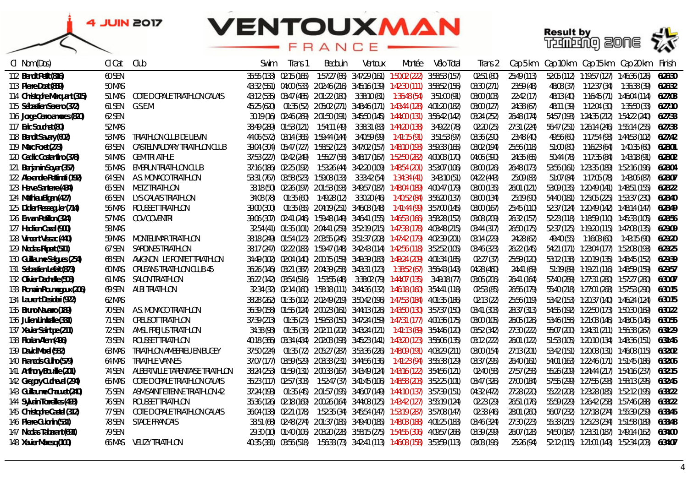

| CI Nom (Dos)                  | Cl Cat        | Club                             | Swim        | Trans 1                 | Bedouin | Ventoux | Montée                                                                                          | Vélo Total | Trans 2     | Cap 5 km    |            | Cap 10 km    Cap 15 km    Cap 20 km                | Finish  |
|-------------------------------|---------------|----------------------------------|-------------|-------------------------|---------|---------|-------------------------------------------------------------------------------------------------|------------|-------------|-------------|------------|----------------------------------------------------|---------|
| 112 Benoit Petit (816)        | 60 SEN        |                                  | 35:55 (133) | 02:15 (165)             |         |         | 1:57:27 (86) 3:47:29 (161) 1:50:02 (222) 3:58:53 (157)                                          |            | 02:51 (80)  | 25:49 (113) |            | 52:05 (112) 1:19:57 (127) 1:46:36 (126)            | 6:26:30 |
| 113 Pierre Doat (859)         | 50 MAS        |                                  |             |                         |         |         | 43:32 (551) 04:00 (533) 2:02:46 (216) 3:45:16 (139) 1:42:30 (111) 3:58:52 (156)                 |            | 03:30 (271) | 23:59 (48)  | 48:08 (37) |                                                    | 6:26:32 |
| 114 Christophe Marquant (315) | 51 MAS        | COTE D OPALE TRIATHLON CALAIS    |             |                         |         |         | 43:12 (535) 03:47 (485) 2:01:22 (180) 3:38:10 (81) 1:36:48 (54) 3:51:00 (91)                    |            | 03:00 (103) | 22:42(17)   | 48:13 (40) |                                                    |         |
| 115 Sébastien Sereno (372)    | 61 SEN        | G.S.E.M.                         |             |                         |         |         | 45:25 (620)  01:35 (52)  2:05:02 (271)  3:48:46 (171)  1:43:44 (128)  4:01:20 (182)             |            | 03:00 (127) | 24:38 (67)  | 48:11 (39) |                                                    |         |
| 116 Jorge Cerro amores (820)  | 62 SEN        |                                  |             |                         |         |         | 30:19 (16) 02:46 (269) 2:01:50 (191) 3:45:50 (145) 1:44:00 (131) 3:56:42 (142)                  |            | 03:24 (252) | 26:48 (174) |            | 54:57 (193) 1:24:35 (212) 1:54:22 (240) 6:27:33    |         |
| 117 Eric Souchet (80)         | 52 MAS        |                                  |             |                         |         |         | 38:49 (289)  01:53 (121)  1:54:11 (49)  3:38:31 (83)  1:44:20 (138)  3:49:22 (78)               |            | 02:20 (25)  | 27:31 (224) |            | 56:47 (251) 1:26:14 (246) 1:55:14 (255) 6:27:38    |         |
| 118 Benoit Savary (602)       | 53 MAS        | TRIATHLON CLUB DE LIEVIN         |             |                         |         |         | 44:06 (572)    03:14 (365)    1:59:44 (144)     3:40:59 (99)      1:41:15 (91)     3:51:53 (97) |            | 03:36 (290) | 23:48 (40)  | 49:56 (60) |                                                    |         |
| 119 Marc Foret (273)          | 63 SEN        | CASTELNAUDARY TRIATHLON CLUB     |             |                         |         |         | 39:04 (304) 05:47 (727) 1:58:52 (123) 3:47:02 (157) 1:48:10 (193) 3:59:33 (165)                 |            | 03:02 (194) | 25:56 (118) | 51:00 (80) |                                                    | 6:28:01 |
| 120 Cedric Costantino (378)   | 54 MAS        | <b>GEM TRI ATHLE</b>             |             | 37:53 (227) 02:42 (249) |         |         |                                                                                                 |            | 04:06 (390) | 24:35 (65)  | 50:44 (78) |                                                    | 6:28:02 |
| 121 Benjamin Soyer (357)      | 55 MAS        | EMBRUN TRIATHLON CLUB            |             | 37:16 (186) 02:25 (192) |         |         |                                                                                                 |            | 03:00 (126) | 26:48 (173) |            | 53:56 (161) 1:23:35 (189) 1:52:16 (196)            | 6:28:04 |
| 122 Alexandre Pettinati (192) | 64 SEN        | A.S. MONACO TRIATHLON            |             |                         |         |         | 53:31 (767) 03:58 (523) 1:59:08 (133) 3:33:42 (54) 1:34:34 (41) 3:43:10 (51)                    |            | 04:22 (443) | 25:09 (83)  |            | 51:07 (84)  1:17:05 (78)  1:43:06 (87)             | 6:28:07 |
| 123 Herve Santerre (434)      | 65 SEN        | METZ TRIATHLON                   |             |                         |         |         | 33:18 (50) 02:26 (197) 2:01:53 (193) 3:49:57 (187) 1:48:04 (189) 4:00:47 (179)                  |            | 03:00 (135) | 26:01 (121) |            | 53:09 (135) 1:20:49 (141) 1:48:51 (155)            | 6:28:22 |
| 124 Mathieu Bigan (427)       | 66 SEN        | LYS CALAIS TRIATHLON             | 34:08 (78)  |                         |         |         |                                                                                                 |            | 03:00 (134) | 25:19 (90)  |            | 54:40 (181) 1:25:05 (225) 1:53:37 (230)            | 6:28:40 |
| 125 Didier Resseguier (714)   | <i>56 MAS</i> | ROUSSET TRIATHLON                | 39:00 (300) |                         |         |         | 01:35 (85) 2:04:19 (251) 3:46:03 (148) 1:41:44 (99) 3:57:00 (145)                               |            | 03:00 (167) | 25:45 (110) |            | 52:37 (124) 1:20:49 (142) 1:48:14 (147)            | 6:28:49 |
| 126 Erwan Petillon (324)      | 57 MAS        | COV COVENTRI                     |             |                         |         |         | 39:06 (307) 02:41 (246) 1:59:48 (149) 3:46:41 (155) 1:46:53 (166) 3:58:28 (152)                 |            | 03:08 (209) | 26:32 (157) |            |                                                    | 6:28:56 |
| 127 Hadrien Cazal (900)       | <b>58 MAS</b> |                                  |             |                         |         |         | 32:54 (41) 01:35 (101) 2:04:41 (259) 3:52:19 (215) 1:47:38 (178) 4:03:48 (215)                  |            | 03:44 (317) | 26:50 (175) |            | 52:37 (125) 1:19:20 (115) 1:47:08 (135)            | 6:29:09 |
| 128 Vincent Vissac (440)      | 59 MAS        | MONTELIMAR TRIATHLON             |             |                         |         |         | 38:18 (249) 01:54 (123) 2:03:55 (245) 3:51:37 (208) 1:47:42 (179) 4:02:39 (201)                 |            | 03:14 (229) | 24:28 (62)  | 49:40 (55) |                                                    | 6:29:20 |
| 129 Nicolas Ripert (511)      | 67 SEN        | SARDINES TRIATHLON               |             |                         |         |         | 38:17 (247) 02:22 (183) 1:59:47 (148) 3:42:43 (114) 1:42:56 (118) 3:52:52 (105)                 |            | 03:46 (323) | 26:22 (145) |            | 54:21 (171) 1:23:04 (177) 1:52:08 (193)            | 6:29:25 |
| 130 Guillaume Salgues (254)   | 68 SEN        | AVIGNON LE PONTET TRIATHLON      |             |                         |         |         | 34:49 (102) 02:04 (140) 2:00:15 (159) 3:49:39 (183) 1:49:24 (209) 4:01:34 (185)                 |            | 02:27(37)   | 25:59 (120) |            | 53:12 (138) 1:20:19 (135) 1:48:45 (152) 6:29:39    |         |
| 131 Sebastien Lefait (873)    | 60 MAS        | ORLEANS TRIATHLON CLUB 45        |             |                         |         |         | 36:26 (146) 03:21 (387) 2:04:39 (258) 3:43:31 (123) 1:38:52 (67) 3:56:43 (143)                  |            | 04:28 (460) | 24:41 (69)  |            | 51:19 (89) 1:19:21 (116) 1:48:59 (159) 6:29:57     |         |
| 132 Olivier Dechelle (508)    | 61 MAS        | SALON TRIATHLON                  |             |                         |         |         | 36:22 (142) 03:54 (516) 1:53:55 (48) 3:38:02 (79) 1:44:07 (135) 3:49:18 (77)                    |            | 03:06 (206) | 26:41 (164) |            | 57:40 (289) 1:27:31 (280) 1:57:27 (280) 6:30:07    |         |
| 133 Romain Roumegoux (206)    | 69 SEN        | ALBI TRIATHLON                   |             |                         |         |         | 32:34 (32) 02:14 (160) 1:58:18 (111) 3:44:36 (132) 1:46:18 (160) 3:54:41 (118)                  |            | 02:53 (85)  | 26:56 (179) |            | 55:40 (218) 1:27:01 (268) 1:57:53 (290)            | 6:30:15 |
| 134 Laurent Desideri (922)    | 62 MAS        |                                  |             |                         |         |         | 38:28 (262)  01:35 (102)  2:02:49 (219)  3:50:42 (196)  1:47:53 (184)  4:01:35 (186)            |            | 02:13 (22)  | 25:56 (119) |            | 53:42 (153) 1:20:37 (140) 1:46:24 (124)            | 6:30:15 |
| 135 Bruno Navarro (189)       |               | 70 SEN A.S. MONACO TRIATHLON     |             |                         |         |         | 36:39 (158)   01:55 (124)   2:00:23 (161)   3:44:13 (126)   1:43:50 (130)   3:57:37 (150)       |            | 03:41 (303) | 28:37 (313) |            | 54:55 (192) 1:22:50 (173) 1:50:30 (169)            | 6:30:22 |
| 136 Julien Limballe (331)     | 71 SEN        | CREUSOT TRIATHLON                |             |                         |         |         | 37:39 (213)  01:35 (23)  1:59:53 (150)  3:47:24 (159)  1:47:31 (177)  4:00:36 (175)             |            | 03:00 (105) | 26:05 (126) |            | 53:46 (156) 1:21:03 (146) 1:48:05 (146)            | 6:30:55 |
| 137 Xavier Saint pe (211)     | 72 SEN        | AMSL FREJUS TRIATHLON            | 34:38 (93)  |                         |         |         | 01:35 (38)  2:02:11  (202)  3:43:24  (121)  1:41:13  (89)  3:54:46  (120)                       |            | 03:52 (342) | 27:30 (222) |            | 55:07 (200) 1:24:31 (211) 1:56:38 (267)            | 6:31:29 |
| 138 Florian Alem (496)        | 73 SEN        | ROUSSET TRIATHLON                |             |                         |         |         | 40:18 (366) 03:34 (434) 2:02:03 (198) 3:45:23 (141) 1:43:20 (123) 3:56:06 (135)                 |            | 03:12 (222) | 26:01 (122) |            | 51:53 (105) 1:20:10 (134) 1:48:36 (151) 6:31:46    |         |
| 139 David Morel (582)         | 63 MAS        | TRIATHLON AMBERIEU EN BUGEY      |             |                         |         |         | 37:50 (224)  01:35 (72)  2:05:27 (287)  3:53:36 (226)  1:48:09 (191)  4:03:29 (211)             |            | 03:00 (154) | 27:13 (201) |            | 53:42 (151) 1:20:08 (131) 1:46:08 (115) 6:32:02    |         |
| 140 Francois Guiho (579)      | 64 MAS        | TRIATHLE VANNES                  |             |                         |         |         | 37:07 (177) 03:59 (529) 2:03:33 (231) 3:44:56 (136) 1:41:23 (94) 3:55:38 (129)                  |            | 03:37 (295) | 26:40 (161) |            | 54:01 (163) 1:22:46 (171) 1:51:45 (186) 6:32:06    |         |
| 141 Anthony Bourille (201)    | 74 SEN        | ALBERTVILLE TARENTAISE TRIATHLON |             |                         |         |         | 38:24 (253) 01:59 (131) 2:00:33 (167) 3:43:49 (124) 1:43:16 (122) 3:54:56 (121)                 |            | 02:40 (58)  | 27:57 (258) |            | 55:26 (209) 1:24:44 (217) 1:54:16 (237)            | 6:32:15 |
| 142 Gregory Cucheval (294)    | 65 MAS        | COTE D OPALE TRIATHLON CALAIS    |             |                         |         |         | 35:23 (117) 02:57 (303) 1:52:47 (37) 3:41:45 (106) 1:48:58 (203) 3:52:25 (101)                  |            | 03:47 (326) | 27:00 (184) |            | 57:55 (299) 1:27:55 (293) 1:58:13 (295)            | 6:32:45 |
| 143 Guillaume Chauvet (240)   | 75.SEN        | ASM.SAINT ETIENNE TRIATHLON 42   |             |                         |         |         | 37:24 (193)  01:35 (45)  2:01:57 (195)  3:46:07 (149)  1:44:10 (137)  3:57:39 (151)             |            | 04:32 (472) | 27:28 (220) |            | 55:22 (208) 1:23:28 (185) 1:52:12 (195)            | 6:33:22 |
| 144 Sylvain Torreilles (493)  | 76 SEN        | ROUSSET TRIATHLON                |             |                         |         |         | 35:36 (126) 02:18 (169) 2:00:26 (164) 3:44:08 (125) 1:43:42 (127) 3:55:19 (124)                 |            | 02:23 (29)  | 26:51 (176) |            | 55:59 (229) 1:26:42 (258) 1:57:46 (288) 6:33:22    |         |
| 145 Christophe Castel (312)   | 77.SEN        | COTE D OPALE TRIATHLON CALAIS    |             |                         |         |         | 36:04 (138) 02:21 (178) 1:52:35 (34) 3:45:54 (147) 1:53:19 (287) 3:57:08 (147)                  |            | 02:33 (46)  | 28:01 (260) |            | 56:07 (232) 1:27:18 (274) 1:55:39 (259) 6:33:45    |         |
| 146 Pierre Guionin (531)      | 78 SEN        | STADE FRANCAIS                   |             |                         |         |         | 33:51 (68) 02:48 (274) 2:01:37 (185) 3:49:40 (185) 1:48:03 (188) 4:01:25 (183)                  |            | 03:46 (324) | 27:30 (223) |            | 55:33 (215)  1:25:23 (234)  1:51:58 (189)  6:33:48 |         |
| 147 Nicolas Tabarant (691)    | 79 SEN        |                                  |             |                         |         |         | 29:30 (10) 01:40 (106) 2:03:20 (228) 3:58:15 (275) 1:54:55 (306) 4:09:57 (268)                  |            | 03:39 (299) | 26:07 (128) |            | 54:50 (187) 1:23:31 (187) 1:49:14 (162)            | 6:34:00 |
| 148 Xavier Maresg (100)       | 66 MAS        | VELIZY TRIATHLON                 |             |                         |         |         | 40:35 (381)  03:56 (518)  1:56:33 (73)  3:42:41 (113)  1:46:08 (158)  3:53:59 (113)             |            | 03:03 (196) | 25:26 (94)  |            | 52:12 (115) 1:21:01 (143) 1:52:34 (203) 6:34:07    |         |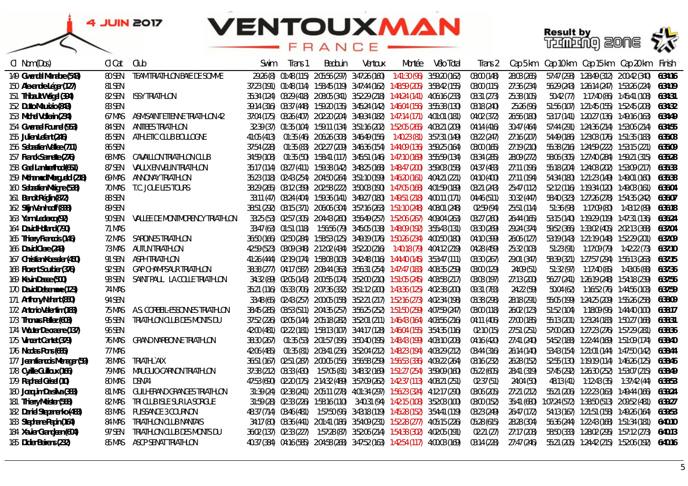



| CI Nom (Dos)                   | CI Cat        | Club                            | Swim        | Trans 1 | Bedouin | Ventoux                                                                                   | Montée | Vélo Total | Trans 2     | Cap 5 km    |            |                                         | Cap 10 km Cap 15 km Cap 20 km                         | Finish  |
|--------------------------------|---------------|---------------------------------|-------------|---------|---------|-------------------------------------------------------------------------------------------|--------|------------|-------------|-------------|------------|-----------------------------------------|-------------------------------------------------------|---------|
| 149 Gwendal Manabre (543)      | <b>80 SEN</b> | TEAM TRIATHLON BAIE DE SOMME    |             |         |         | 29:26 (8) 01:48 (115) 2:05:56 (297) 3:47:26 (160) 1:41:30 (96) 3:59:20 (162)              |        |            | 03:00 (148) | 28:03 (265) |            |                                         | 57:47 (293) 1:28:49 (312) 2:00:42 (340)               | 6:34:16 |
| 150 Alexandre Léger (127)      | 81 SEN        |                                 |             |         |         | 37:23 (191) 01:48 (114) 1:58:45 (119) 3:47:44 (162) 1:48:59 (205) 3:58:42 (155)           |        |            | 03:00 (115) | 27:36 (234) |            |                                         | 56:29 (243) 1:26:14 (247) 1:53:26 (224)               | 6:34:19 |
| 151 Thibault Weigel (394)      |               | 82 SEN ISSY TRIATHLON           |             |         |         | 35:34 (124) 03:29 (418) 2:08:05 (341) 3:52:29 (218) 1:44:24 (141) 4:06:16 (233)           |        |            | 03:31 (273) | 25:38 (105) |            |                                         | 50:42 (77)  1:17:40 (86)  1:45:41 (108)               | 6:34:31 |
| 152 Dutto Maurizio (843)       | <i>83 SEN</i> |                                 |             |         |         | 39:14 (316) 03:37 (448) 1:59:20 (135) 3:45:24 (142) 1:46:04 (156) 3:55:38 (130)           |        |            | 03:18 (240) | 25:26 (96)  |            |                                         | 51:56 (107) 1:21:45 (155) 1:52:45 (208)               | 6:34:32 |
| 153 Michel Vollerin (234)      | 67 MAS        | ASM.SAINT ETIENNE TRIATHLON 42  |             |         |         | 37:04 (175) 03:26 (407) 2:02:20 (204) 3:49:34 (182) 1:47:14 (171) 4:01:01 (181)           |        |            | 04:02 (372) | 26:56 (180) |            |                                         | 53:17 (141) 1:20:27 (136) 1:49:16 (163)               | 6:34:49 |
| 154 Gwenael Fournel (953)      | 84 SEN        | ANTIBES TRIATHLON               |             |         |         | 32:39 (37) 01:35 (104) 1:59:11 (134) 3:51:16 (202) 1:52:05 (265) 4:03:21 (209)            |        |            | 04:14 (416) | 30:47 (464) |            |                                         | 57:44 (291) 1:24:36 (214) 1:53:06 (214)               | 6:34:55 |
| 155 Julien Lefant (246)        | 85 SEN        | ATHLETIC CLUB BOULOGNE          | 41:05 (413) |         |         | 01:35 (46)  2:06:26  (308)  3:46:49  (156)  1:40:23  (81)  3:57:31  (149)                 |        |            | 03:22 (247) | 27:16 (207) |            |                                         | 54:49 (186) 1:23:03 (176) 1:51:35 (183)               | 6:35:08 |
| 156 Sebastien Vallee (711)     | 86 SEN        |                                 | 37:54 (228) |         |         | 01:35 (83) 2:02:27 (209) 3:46:36 (154) 1:44:09 (136) 3:59:25 (164)                        |        |            | 03:00 (165) | 27:19 (210) |            |                                         | 55:38 (216) 1:24:59 (222) 1:53:15 (221)               | 6:35:09 |
| 157 Franck Sarnette (276)      | 68 MAS        | CAVAILLON TRIATHLON CLUB        | 34:59 (108) |         |         | 01:35 (50)     1:58:41 (117)     3:45:51 (146)     1:47:10 (169)     3:55:59 (134)        |        |            | 03:34 (285) | 28:09 (272) |            |                                         | 58:06 (305) 1:27:40 (284) 1:59:21 (315)               | 6:35:28 |
| 158 Gael Lamberthod (651)      | 87 SEN        | VAULX EN VELIN TRIATHLON        |             |         |         | 35:17 (114)  03:27 (411)  1:59:38 (142)  3:48:25 (168)  1:48:47 (200)  3:59:03 (158)      |        |            | 04:37 (483) | 27:11 (196) |            |                                         | 55:18 (204) 1:24:03 (202) 1:53:09 (217)               | 6:35:33 |
| 159 Mohamed Mezqueldi (218)    | 69 MAS        | ANNONAY TRIATHLON               |             |         |         | 35:23 (118) 02:43 (254) 2:04:50 (264) 3:51:10 (199) 1:46:20 (161) 4:04:21 (221)           |        |            | 04:10 (400) | 27:11 (194) |            |                                         | 54:34 (180) 1:21:23 (149) 1:49:01 (160)               | 6:35:38 |
| 160 Sebastien Maigne (538)     | <i>TO MAS</i> | T.C. JOUE LES TOURS             |             |         |         | 38:29 (265)  03:12 (359)  2:02:58 (222)  3:50:03 (190)  1:47:05 (168)  4:01:59 (189)      |        |            | 03:21 (243) | 25:47 (112) |            |                                         | 52:12 (116) 1:19:34 (120) 1:49:03 (161)               | 6:36:04 |
| 161 Benoit Réglin (872)        | 88 SEN        |                                 |             |         |         | 33:11 (47) 03:24 (404) 1:59:36 (141) 3:49:27 (180) 1:49:51 (218) 4:00:11 (171)            |        |            | 04:46 (511) | 30:32 (447) |            |                                         | 58:40 (323) 1:27:26 (278) 1:54:35 (242)               | 6:36:07 |
| 162 Stijn Van hooff (838)      | 89 SEN        |                                 |             |         |         | 38:51 (292) 03:15 (371) 2:06:06 (304) 3:57:16 (263) 1:51:10 (248) 4:08:01 (248)           |        |            | 02:59 (94)  | 25:51 (114) | 51:36 (98) |                                         |                                                       | 6:36:18 |
| 163 Yann Leclercq (92)         | 90 SEN        | VALLEE DE MONTMORENCY TRIATHLON |             |         |         | 33:25 (53) 02:57 (305) 2:04:43 (260) 3:56:49 (257) 1:52:06 (267) 4:09:04 (263)            |        |            | 03:27 (260) | 26:44 (165) |            |                                         | 53:15 (140) 1:19:29 (119) 1:47:31 (136)               | 6:36:24 |
| 164 David Holland (790)        | 71 MAS        |                                 |             |         |         | 33:47 (63) 01:51 (118) 1:56:56 (79) 3:45:05 (138) 1:48:09 (192) 3:55:43 (131)             |        |            | 03:30 (269) | 29:24 (374) |            |                                         | 59:52 (366) 1:33:02 (405) 2:02:13 (368)               | 6:37:04 |
| 165 Thierry Francois (146)     | 72 MAS        | SARDINES TRIATHLON              |             |         |         | 36:50 (166) 02:50 (284) 1:58:53 (125) 3:49:19 (176) 1:50:26 (234) 4:00:50 (180)           |        |            | 04:10 (399) | 26:06 (127) |            |                                         | 53:19 (143) 1:21:19 (148) 1:52:29 (201)               | 6:37:09 |
| 166 David Clere (249)          | 73 MAS        | AUTUN TRIATHLON                 |             |         |         | 42:59 (523) 03:09 (348) 2:12:02 (434) 3:52:20 (216) 1:40:18 (79) 4:04:12 (219)            |        |            | 04:28 (459) | 25:32 (103) |            |                                         | 51:23 (91)  1:17:09 (79)  1:42:22 (73)                | 6:37:10 |
| 167 Christian Koessler (450)   | 91 SEN        | ASPH TRIATHLON                  |             |         |         | 41:26 (444) 02:19 (174) 1:58:08 (103) 3:42:48 (116) 1:44:40 (145) 3:53:47 (111)           |        |            | 03:30 (267) | 29:01 (347) |            |                                         | 58:39 (321) 1:27:57 (294) 1:56:13 (263)               | 6:37:15 |
| 168 Florent Sourbier (376)     | 92 SEN        | GAP CHAMPSAUR TRIATHLON         |             |         |         | 38:38 (277) 04:17 (587) 2:08:44 (363) 3:56:31 (254) 1:47:47 (183) 4:08:35 (259)           |        |            | 03:00 (129) | 24:09 (51)  |            |                                         | 51:32 (97)  1:17:40 (85)  1:43:06 (88)                | 6:37:36 |
| 169 Kevin Dasse (500)          | 93 SEN        | SAINT PAUL LA COLLE TRIATHLON   |             |         |         | 34:32 (89) 02:05 (143) 2:00:55 (174) 3:52:00 (210) 1:51:05 (245) 4:03:58 (217)            |        |            | 03:03 (197) | 27:13 (200) |            |                                         | 56:27 (241) 1:26:19 (248) 1:54:18 (239)               | 6:37:56 |
| 170 David Delsemme (123)       | 74 MAS        |                                 |             |         |         | 35:21 (116) 05:33 (706) 2:07:36 (332) 3:51:12 (200) 1:43:36 (125) 4:02:38 (200)           |        |            | 09:31 (783) | 24:22 (59)  |            |                                         |                                                       | 6:37:59 |
| 171 Anthony Nahant (850)       | 94 SEN        |                                 |             |         |         | 33:48 (65) 02:43 (257) 2:00:05 (158) 3:52:21 (217) 1:52:16 (273) 4:02:34 (198)            |        |            | 03:38 (298) | 28:18 (291) |            |                                         | 55:05 (199) 1:24:25 (209) 1:55:26 (258)               | 6:38:09 |
| 172 Antonio Valentim (183)     | 75 MAS        | A.S. CORBEIL-ESSONNES TRIATHLON |             |         |         | 38:45 (285) 03:53 (511) 2:04:35 (257) 3:56:25 (252) 1:51:50 (259) 4:07:59 (247)           |        |            | 03:00 (118) | 26:02 (123) |            |                                         | 51:52 (104)  1:18:09 (96)  1:44:40 (100)              | 6:38:17 |
| 173 Thomas Pallez (603)        | 95 SEN        | TRIATHLON CLUB DES MONTS DU     |             |         |         | 37:52 (226) 02:05 (144) 2:05:18 (282) 3:52:01 (211) 1:46:43 (164) 4:03:56 (216)           |        |            | 04:11 (406) | 27:00 (185) |            |                                         | 55:13 (201) 1:23:24 (183) 1:50:27 (168)               | 6:38:31 |
| 174 Wouter De craene (137)     | 96 SEN        |                                 |             |         |         | 42:00 (481) 02:22 (181) 1:58:13 (107) 3:44:17 (128) 1:46:04 (155) 3:54:35 (116)           |        |            | 02:10 (15)  | 27:51 (251) |            |                                         | 57:00 (260) 1:27:23 (276) 1:57:29 (281)               | 6:38:36 |
| 175 Vincent Cantet (379)       | 76 MAS        | GRAND NARBONNE TRIATHLON        | 38:30 (267) |         |         | 01:35 (53)     2:01:57 (196)     3:50:40 (195)     1:48:43 (199)     4:03:10 (208)        |        |            | 04:16 (420) | 27:41 (240) |            |                                         | 54:52 (188) 1:22:44 (169) 1:51:09 (174)               | 6:38:40 |
| 176 Nicolas Pons (685)         | 77 MAS        |                                 | 42:06 (485) |         |         | 01:35 (81) 2:03:41 (236) 3:52:04 (212) 1:48:23 (194) 4:03:29 (212)                        |        |            | 03:44 (316) | 26:14 (140) |            |                                         | 53:43 (154)   1:21:01 (144)   1:47:50 (142)           | 6:38:44 |
| 177 Jean francois Menager (59) | 78 MAS        | TRIATHL AIX                     |             |         |         | 36:51 (167) - 02:51 (287) - 2:00:05 (156) - 3:56:58 (259) - 1:56:53 (336) - 4:09:22 (264) |        |            | 03:16 (232) | 26:28 (152) |            |                                         | 52:55 (130) 1:19:19 (114) 1:46:26 (125)               | 6:38:46 |
| 178 Cyrille Guilloux (166)     | 79 MAS        | MAUGUIO-CARNON TRIATHLON        |             |         |         | 37:38 (212) 03:33 (430) 1:57:05 (81) 3:48:32 (169) 1:51:27 (254) 3:59:09 (160)            |        |            | 05:22 (605) | 28:41 (319) |            |                                         | 57:45 (292) 1:26:30 (252) 1:53:07 (215)               | 6:38:49 |
| 179 Raphael Grisel (10)        | <b>80 MAS</b> | DSN74                           |             |         |         | 47:53 (690) 02:20 (175) 2:14:32 (489) 3:57:09 (262) 1:42:37 (113) 4:08:21 (251)           |        |            | 02:37 (51)  | 24:04 (50)  |            |                                         | 48:13 (41)  1:12:43 (35)  1:37:42 (44)                | 6:38:53 |
| 180 Joaquim Da silva (383)     | 81 MAS        | GUILHERAND GRANGES TRIATHLON    |             |         |         | 31:39 (24) 02:38 (241) 2:05:11 (278) 4:01:34 (297) 1:56:23 (324) 4:12:17 (290)            |        |            | 03:06 (205) | 27:21 (212) |            |                                         | 55:21 (206) 1:22:23 (163) 1:49:44 (166)               | 6:39:24 |
| 181 Thierry Meister (568)      | 82 MAS        | TRI CLUB ISLE SUR LA SORGUE     |             |         |         | 31:59 [28] 02:33 [226] 1:58:16 (110) 3:40:31 (94) 1:42:15 (108) 3:52:03 (100)             |        |            | 03:00 (152) |             |            |                                         | 35:41 (680) 1:07:24 (572) 1:38:50 (513) 2:09:52 (481) | 6:39:27 |
| 182 Daniel Stepanenko (483)    | <i>83 MAS</i> | PUISSANCE 3 COURNON             |             |         |         | 48:37 (714) 03:46 (481) 1:57:50 (96) 3:43:18 (119) 1:45:28 (152) 3:54:41 (119)            |        |            | 03:23 (249) | 26:47 (172) |            |                                         | 54:13 (167) 1:21:51 (158) 1:49:26 (164)               | 6:39:53 |
| 183 Stephane Papin (164)       | 84 MAS        | TRIATHLON CLUB NANTAIS          |             |         |         | 34:17 (80) 03:36 (441) 2:01:41 (186) 3:54:09 (231) 1:52:28 (277) 4:05:15 (226)            |        |            | 05:28 (615) | 28:28 (304) |            | 56:36 (244) 1:22:43 (168) 1:51:34 (181) |                                                       | 6:40:10 |
| 184 Xavier Grandjean (604)     | 97 SEN        | TRIATHLON CLUB DES MONTS DU     |             |         |         | 36:02 (137) 02:33 (227) 1:57:28 (87) 3:52:06 (214) 1:54:38 (302) 4:02:05 (191)            |        |            | 02:21 (27)  | 27:17 (208) |            | 58:50 (333) 1:28:02 (295) 1:57:12 (273) |                                                       | 6:40:13 |
| 185 Didier Beirens (232)       | 85 MAS        | ASCP SENAT TRIATHLON            |             |         |         | 40:37 (384) 04:16 (585) 2:04:58 (268) 3:47:52 (163) 1:42:54 (117) 4:00:03 (169)           |        |            | 03:14 (228) | 27:47 (246) |            |                                         | 55:21 (205) 1:24:42 (215) 1:52:06 (192)               | 6:40:16 |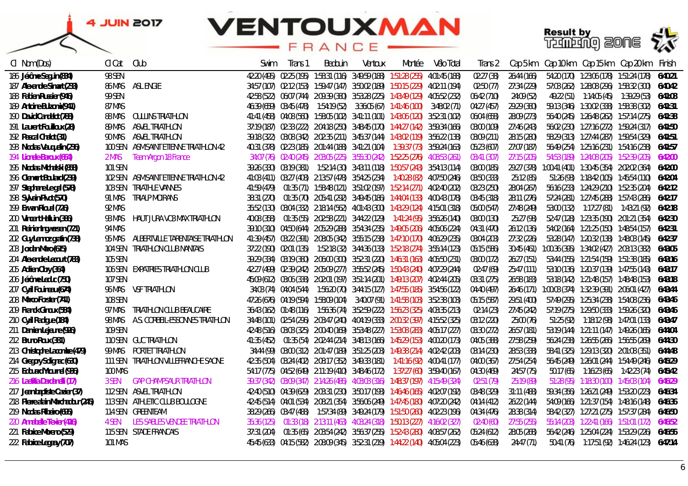

| Cl Nom (Dos)                      | CI Cat        | Club                                   | Swim        | Irans 1                 | Bedouin                                                                                 | Ventoux | Montée | Vélo Total    | Trans 2     | Cap 5 km    |             |              | Cap 10 km    Cap 15 km    Cap 20 km                           | Finish  |
|-----------------------------------|---------------|----------------------------------------|-------------|-------------------------|-----------------------------------------------------------------------------------------|---------|--------|---------------|-------------|-------------|-------------|--------------|---------------------------------------------------------------|---------|
| 186 Jérôme Seguin (834)           | 98 SEN        |                                        |             |                         | 42:20 (495) 02:25 (195) 1:58:31 (116) 3:49:59 (188) 1:51:28 (255)                       |         |        | 4:01:45 (188) | 02:27 (38)  | 26:44 (166) |             |              | 54:20 (170) 1:23:06 (178) 1:51:24 (178)                       | 6:40:21 |
| 187 Alexandre Simart (233)        |               | <b>86 MAS ASL ENGIE</b>                |             |                         | 34:57 (107) 02:12 (153) 1:59:47 (147) 3:50:02 (189) 1:50:15 (229) 4:02:11 (194)         |         |        |               | 02:50 (77)  | 27:34 (229) |             |              | 57:03 (262) 1:28:08 (296) 1:58:32 (300)                       | 6:40:42 |
| 188 Fabien Russier (946)          | 99 SEN        |                                        |             |                         | 42:58 (522) 06:07 (744) 2:09:39 (380) 3:53:28 (225) 1:43:49 (129) 4:05:52 (232)         |         |        |               | 06:42 (710) | 24:09 (52)  | 49:22 (51)  | 1:14:05 (45) | 1:39:29 (53)                                                  | 6:41:08 |
| 189 Antoine Bulzomi (941)         | 87 MAS        |                                        |             |                         | 46:39 (659) 03:45 (478) 1:54:19 (52)                                                    |         |        | 3:48:02 (71)  | 04:27 (457) | 29:29 (380) |             |              |                                                               | 6:41:31 |
| 190 David Candelot (788)          | <i>88 MAS</i> | OULLINS TRIATHLON                      |             |                         | 41:41 (458) 04:08 (560) 1:58:05 (102) 3:41:11 (101) 1:43:06 (120) 3:52:31 (102)         |         |        |               | 06:04 (658) | 28:09 (273) |             |              | 56:40 (245) 1:26:48 (262) 1:57:14 (275)                       | 6:41:38 |
| 191 Laurent Fouilloux (28)        | 89 MAS        | ASVEL TRIATHLON                        |             |                         | 37:19 (187) 02:33 (222) 2:04:18 (250) 3:48:45 (170) 1:44:27 (142) 3:59:34 (166)         |         |        |               | 03:00 (109) | 27:46 (243) |             |              | 56:02 (230) 1:27:16 (272) 1:59:24 (317) 6:41:50               |         |
| 192 Pascal Chalot (31)            |               | 90 MAS ASVEL TRIATHLON                 |             |                         | 39:18 (322) 03:08 (342) 2:02:35 (211) 3:45:37 (144) 1:43:02 (119) 3:56:22 (138)         |         |        |               | 03:09 (211) | 28:15 (280) |             |              | 58:29 (313) 1:27:44 (287) 1:59:54 (329) 6:41:51               |         |
| 193 Nicolas Vauguelin (236)       |               | 100 SEN ASM.SAINT ETIENNE TRIATHLON 42 |             |                         | 40:31 (378) 02:23 (185) 2:01:44 (188) 3:41:21 (104) 1:39:37 (73) 3:59:24 (163)          |         |        |               | 05:23 (607) | 27:07 (187) |             |              |                                                               |         |
| 194 Lionele Baroux (664)          | 2 MAS         | Team Argon 18 France                   |             |                         | 34:07 (76)  02:40 (245)  2:03:05 (225)  3:55:30 (242)  1:52:25 (276)  4:08:53 (261)     |         |        |               | 03:41 (307) | 27:15 (205) |             |              |                                                               |         |
| 195 Nicolas Michalski (858)       | 101 SEN       |                                        |             |                         | 39:26 (330)  03:19 (381)  1:52:14 (30)  3:43:11 (118)  1:50:57 (243)  3:54:13 (114)     |         |        |               | 03:00 (185) | 29:27 (378) |             |              | 1:00:41 (401) 1:30:45 (354) 2:02:02 (364) 6:42:00             |         |
| 196 Clement Boulard (239)         |               | 102 SEN ASM.SAINT ETIENNE TRIATHLON 42 |             |                         | 41:03 (411) 03:27 (408) 2:13:57 (478) 3:54:25 (234) 1:40:28 (82) 4:07:50 (246)          |         |        |               | 03:50 (333) | 25:12 (85)  |             |              | 51:26 (93)  1:18:42 (105)  1:45:54 (110)  6:42:04             |         |
| 197 Stephane Le gal (578)         | 103 SEN       | TRIATHLE VANNES                        | 41:59 (479) |                         | 01:35 (71) 1:58:48 (121) 3:51:02 (197) 1:52:14 (271) 4:02:40 (202)                      |         |        |               | 03:23 (250) | 28:04 (267) |             |              | 56:16 (233) 1:24:29 (210) 1:52:35 (204) 6:42:12               |         |
| 198 Sylvain Pivot (570)           | 91 MAS        | TRIALP MOIRANS                         | 38:31 (270) |                         | 01:35 (70) 2:05:41 (292) 3:49:45 (186) 1:44:04 (133) 4:00:43 (178)                      |         |        |               | 03:45 (318) | 28:11 (276) |             |              | 57:24 (281) 1:27:45 (288) 1:57:43 (286) 6:42:17               |         |
| 199 Erwan Rioual (726)            | 92 MAS        |                                        |             |                         | 35:52 (130) 03:04 (332) 2:18:14 (562) 4:01:43 (300) 1:43:29 (124) 4:15:01 (318)         |         |        |               | 05:00 (547) | 27:48 (249) | 53:00 (132) |              |                                                               |         |
| 200 Vincent Halluin (386)         | 93 MAS        | HAUT JURA VO3 MAX TRIATHLON            | 40:08 (358) |                         | 01:35 (55) 2:02:58 (221) 3:44:22 (129) 1:41:24 (95) 3:56:26 (140)                       |         |        |               | 03:00 (130) | 25:27 (98)  |             |              | 52:47 (128) 1:23:35 (190) 2:01:21 (354) 6:42:30               |         |
| 201 Reinier Ingwersen (721)       | 94 MAS        |                                        |             |                         | 39:10 (310) 04:50 (644) 2:05:29 (288) 3:54:34 (235) 1:49:05 (206) 4:05:06 (224)         |         |        |               | 04:31 (470) | 26:12 (136) |             |              | 54:02 (164) 1:21:25 (150) 1:48:54 (157) 6:42:31               |         |
| 202 Guy Lennoz gratin (738)       | 95 MAS        | ALBERTVILLE TARENTAISE TRIATHLON       |             |                         | 41:39 (457) 03:22 (391) 2:08:05 (342) 3:55:15 (238) 1:47:10 (170) 4:06:29 (235)         |         |        |               | 03:04 (203) | 27:32 (226) |             |              | 53:28 (147) 1:20:32 (138) 1:48:03 (145)                       | 6:42:37 |
| 203 Jordan Maro (615)             |               | 104 SEN TRIATHLON CLUB NANTAIS         |             | 37:22 (190) 02:01 (135) | 1:52:18 (32) 3:44:36 (133) 1:52:18 (274) 3:55:14 (123)                                  |         |        |               | 05:15 (586) | 30:45 (461) |             |              |                                                               | 6:43:05 |
| 204 Alexandre Lecourt (783)       | 105 SEN       |                                        |             |                         | 39:29 (334) 03:19 (380) 2:06:00 (300) 3:52:31 (220) 1:46:31 (163) 4:05:50 (231)         |         |        |               | 03:00 (172) | 26:27 (151) |             |              | 53:44 (155) 1:21:54 (159) 1:51:38 (185)                       | 6:43:16 |
| 205 Adrien Obry (364)             |               | 106 SEN EXPATRIES TRIATHLON CLUB       |             |                         | 42:27 (499) 02:39 (242) 2:05:09 (277) 3:55:52 (245) 1:50:43 (240) 4:07:29 (244)         |         |        |               | 02:47 (69)  | 25:47(111)  |             |              | 53:10 (136) 1:20:37 (139) 1:47:55 (143)                       | 6:43:17 |
| 206 Jérôme Leduc (750)            | 107 SEN       |                                        |             |                         | 45:09 (612) 03:06 (338) 2:02:01 (197) 3:51:14 (201) 1:49:13 (207) 4:02:44 (205)         |         |        |               | 03:31 (275) | 26:58 (183) |             |              | 53:18 (142) 1:21:48 (157) 1:48:48 (153) 6:43:18               |         |
| 207 Cyril Fouineau (674)          | 96 MAS        | VSF TRIATHLON                          |             |                         | 34:03 (74) 04:04 (544) 1:56:20 (70) 3:44:15 (127) 1:47:55 (185) 3:54:56 (122)           |         |        |               | 04:40 (497) |             |             |              | 26:46 (171) 1:00:03 (374) 1:32:39 (391) 2:06:01 (427) 6:43:44 |         |
| 208 Marco Forster (741)           | 108 SEN       |                                        |             |                         | 47:26 (676) 04:19 (594) 1:58:09 (104) 3:40:07 (91) 1:41:58 (103) 3:52:38 (103)          |         |        |               | 05:15 (587) | 29:51 (400) |             |              | 57:49 (295) 1:25:34 (238) 1:54:08 (236)                       | 6:43:46 |
| 209 Franck Ginoux (584)           | 97 MAS        | TRIATHLON CLUB BEAUCAIRE               |             |                         | 36:43 (162)    01:48 (116)    1:56:36 (74)  3:52:59 (222)  1:56:23 (325)  4:03:35 (213) |         |        |               | 02:14 (23)  | 27:45 (242) |             |              |                                                               | 6:43:46 |
| 210 Cyril Radigue (184)           | 98 MAS        | A.S. CORBEIL-ESSONNES TRIATHLON        |             |                         | 34:48 (101) 02:54 (296) 2:03:47 (240) 4:04:19 (333) 2:00:32 (397) 4:15:52 (325)         |         |        |               | 03:12 (220) | 25:00 (76)  | 51:25(92)   |              |                                                               | 6:43:47 |
| 211 Damien Lejeune (926)          | 109 SEN       |                                        |             |                         | 42:48 (516) 03:03 (325) 2:00:40 (169) 3:53:48 (227) 1:53:08 (283) 4:05:17 (227)         |         |        |               | 03:30 (272) | 26:57 (181) |             |              | 53:19 (144) 1:21:11 (147) 1:49:26 (165)                       | 6:44:04 |
| 212 Bruno Roux (381)              |               | 110 SEN GUC TRIATHLON                  | 41:35 (452) |                         | 01:35 (54) 2:02:44 (214) 3:48:13 (166) 1:45:29 (153) 4:00:20 (173)                      |         |        |               | 04:05 (388) | 27:58 (259) |             |              | 56:24 (238) 1:26:55 (266) 1:56:55 (269) 6:44:30               |         |
| 213 Christophe Lacombe (479)      |               | 99 MAS PORTET TRIATHLON                |             |                         | 34:44 (99) 03:00 (312) 2:01:47 (189) 3:51:25 (203) 1:49:38 (214) 4:02:42 (203)          |         |        |               | 03:14 (230) | 28:53 (338) | 58:41 (325) |              |                                                               |         |
| 214 Gregory Solignac (630)        |               | 111 SEN TRIATHLON VILLEFRANCHE SAONE   |             |                         | 42:35 (504)  03:24 (402)  2:08:17 (352)  3:49:33 (181)  1:41:16 (92)  4:00:41 (177)     |         |        |               | 04:00 (367) | 27:54 (254) |             |              | 56:45 (249) 1:26:01 (244) 1:54:49 (246) 6:45:29               |         |
| 215 Edouard Ytournel (936)        | 100 MAS       |                                        |             |                         | 54:17 (775) 04:52 (649) 2:11:19 (410) 3:48:46 (172) 1:37:27 (60) 3:59:40 (167)          |         |        |               | 04:30 (469) | 24:57 (75)  | 50:17 (65)  |              |                                                               |         |
| 216 Laetitia Dardanelli (17)      | 3 SEN         | <b>GAP CHAMPSAUR TRIATHLON</b>         | 39:37 (342) |                         | 03:09 (347) 2:14:26 (486) 4:03:03 (316) 1:48:37 (197) 4:15:49 (324)                     |         |        |               | 02:51 (79)  | 25:19 (89)  | 51:28 (95)  |              | 1:18:30 (100) 1:45:03 (104) 6:46:29                           |         |
| 217 Jean baptiste Cazier (37)     |               | 112 SEN ASVEL TRIATHLON                |             |                         | 42:40 (510) 04:39 (629) 2:03:31 (230) 3:50:17 (193) 1:46:46 (165) 4:02:07 (192)         |         |        |               | 03:48 (329) | 31:11 (488) |             |              | 59:34 (356) 1:26:21 (249) 1:53:20 (223) 6:46:34               |         |
| 218 Pierre alain Marchadour (245) |               | 113 SEN ATHLETIC CLUB BOULOGNE         |             |                         | 42:45 (514) 04:01 (534) 2:08:21 (354) 3:56:06 (249) 1:47:45 (180) 4:07:20 (242)         |         |        |               | 04:14 (412) | 26:22 (144) |             |              | 54:09 (166) 1:21:37 (154) 1:48:16 (148) 6:46:36               |         |
| 219 Nicolas Ribeiro (695)         |               | <i>114 SEN GREENTEAM</i>               |             |                         | 38:29 (266) 03:47 (488) 1:57:34 (89) 3:49:24 (179) 1:51:50 (260) 4:02:23 (196)          |         |        |               | 04:34 (476) | 28:38 (314) |             |              | 58:42 (327) 1:27:21 (275) 1:57:37 (284) 6:46:50               |         |
| 220 Annabelle Texier (416)        | 4 SEN         | <b>LES SABLES VENDEE TRIATHLON</b>     | 35:36 (125) |                         | 01:33 (18) 2:13:11 (463) 4:03:24 (318) 1:50:13 (227) 4:16:02 (327)                      |         |        |               | 02:40 (60)  | 27:55 (255) |             |              | 55:14 (203) 1:22:41 (166) 1:51:01 (172) 6:46:52               |         |
| 221 Fabrice Moreno (529)          |               | 115 SEN STADE FRANCAIS                 |             |                         | 37:31 (204)  01:35 (65)  2:03:54 (242)  3:56:37 (255)  1:52:43 (280)  4:08:57 (262)     |         |        |               | 05:24 (612) | 28:05 (268) |             |              |                                                               | 6:46:56 |
| 222 Fabrice Legeay (707)          | 101 MAS       |                                        |             |                         | 45:45 (633) 04:15 (582) 2:08:09 (345) 3:52:31 (219) 1:44:22 (140) 4:05:04 (223)         |         |        |               | 05:46 (638) | 24:47 (71)  |             |              | 50:41 (76)  1:17:51 (92)  1:46:24 (123)  6:47:14              |         |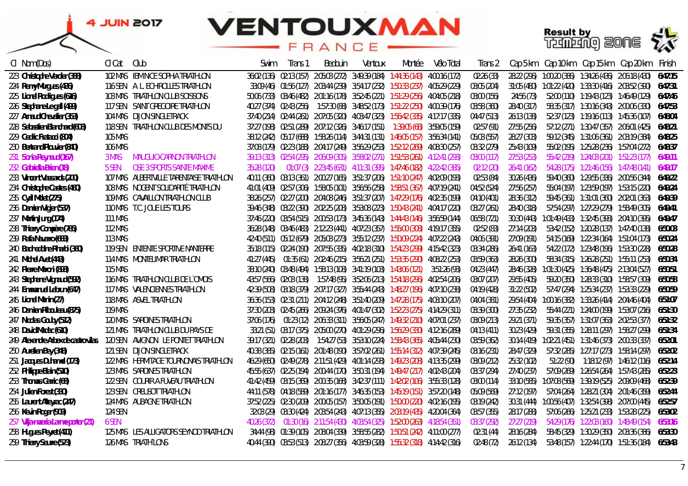### **VENTOUXMAN** FRANCE



镓

| Cl Nom (Dos)                        | Cl Cat         | Club                                       | Swim        | Trans 1 | Bedouin | Ventoux                                                                                     | Montée | Vélo Total | Irans 2     | Cap 5 km    |  | Cap 10 km    Cap 15 km    Cap 20 km                            | Hinish  |
|-------------------------------------|----------------|--------------------------------------------|-------------|---------|---------|---------------------------------------------------------------------------------------------|--------|------------|-------------|-------------|--|----------------------------------------------------------------|---------|
| 223 Christophe Verdier (388)        |                | 102 MAS IBM NICE SOPHIA TRIATHLON          |             |         |         | 36:02 (136) 02:13 (157) 2:05:03 (272) 3:49:39 (184) 1:44:36 (143) 4:00:16 (172)             |        |            | 02:26 (33)  | 28:22 (296) |  | 1:00:20 (386)  1:34:26 (436)  2:06:18 (430)                    | 6:47:15 |
| 224 Remy Murgues (436)              |                | 116 SEN A. L. ECHIROLLES TRIATHLON         |             |         |         | 33:09 (46) 01:56 (127) 2:03:44 (239) 3:54:17 (232) 1:50:33 (237) 4:05:29 (229)              |        |            | 03:05 (204) |             |  | 31:05 (480) 1:01:22 (420) 1:33:30 (416) 2:03:52 (390)          | 6:47:31 |
| 225 Lionel Rodrigues (616)          |                | 103 MAS TRIATHLON CLUB SOISSONS            |             |         |         | 50:06 (733) 03:46 (482) 2:01:16 (178) 3:52:45 (221) 1:51:29 (256) 4:04:05 (218)             |        |            | 03:00 (156) | 24:56 (73)  |  | 52:00 (110) 1:19:43 (123) 1:46:49 (129)                        | 6:47:46 |
| 226 Stephane Le gall (499)          |                | 117 SEN SAINT GREGOIRE TRIATHLON           |             |         |         | 40:27 (374) 02:43 (256) 1:57:30 (88) 3:48:52 (173) 1:51:22 (250) 4:00:39 (176)              |        |            | 03:58 (360) | 28:40 (317) |  | 58:35 (317) 1:30:16 (343) 2:00:06 (330)                        | 6:47:53 |
| 227 Arnaud Chevalier (353)          |                | <b>104 MAS DIJON SINGLETRACK</b>           |             |         |         | 37:40 (214) 02:44 (261) 2:07:05 (320) 4:03:47 (323) 1:56:42 (335) 4:17:17 (335)             |        |            | 04:47 (513) | 26:13 (138) |  | 52:37 (123) 1:19:16 (113) 1:45:36 (107)                        | 6:48:04 |
| 228 Sebastien Blanchard (608)       |                | 118 SEN TRIATHLON CLUB DES MONTS DU        |             |         |         | 37:27 (198) 02:51 (289) 2:07:12 (326) 3:46:17 (151) 1:39:05 (68) 3:59:05 (159)              |        |            | 02:57 (91)  | 27:55 (256) |  | 57:12 (271) 1:30:47 (357) 2:06:01 (425)                        | 6:48:21 |
| 229 Cedric Fratacci (804)           | 10.5 MA.S      |                                            |             |         |         | 38:12 (242) 05:17 (688) 1:58:26 (114) 3:44:31 (131) 1:46:05 (157) 3:56:34 (141)             |        |            | 05:03 (557) | 28:27 (303) |  |                                                                | 6:48:25 |
| 230 Bertrand Plouvier (840)         | <b>106 MAS</b> |                                            |             |         |         | 37:08 (179) 02:23 (188) 2:04:17 (249) 3:56:29 (253) 1:52:12 (269) 4:08:30 (257)             |        |            | 03:32 (279) | 25:43 (109) |  | 55:02 (195) 1:25:28 (236) 1:57:04 (272)                        | 6:48:37 |
| 231 Sonia Reynaud (167)             | 3 MAS          | <b>MAUGUIO-CARNON TRIATHLON</b>            |             |         |         | 39:13 (313)  02:54 (295)  2:06:09 (305)  3:58:02 (271)  1:51:53 (261)  4:12:41 (293)        |        |            | 03:00 (117) | 27:53 (253) |  | 55:42 (219) 1:24:03 (201) 1:51:23 (177)                        | 6:49:11 |
| 232 Gabriella Brien (18)            | 5.SEN          | OSE 3 SPORTS SAINTE MAXIME                 | 35:28 (120) |         |         | 01:07 (3) 2:23:45 (631) 4:11:31 (395) 1:47:46 (182) 4:22:42 (385)                           |        |            | 02:12(20)   | 26:41 (162) |  | 54:28 (175) 1:21:46 (156) 1:47:48 (141)                        | 6:49:17 |
| 233 Vincent Vassards (200)          |                | 107 MAS ALBERTVILLE TARENTAISE TRIATHLON   |             |         |         | 40:11 (360)  03:13 (361)  2:00:27 (165)  3:51:37 (206)  1:51:10 (247)  4:02:09 (193)        |        |            | 02:53 (84)  | 30:26 (436) |  | 59:40 (360) 1:29:55 (336) 2:00:56 (344)                        | 6:49:22 |
| 234 Christophe Castes (460)         |                | 108 MAS NOGENT SOLIDARITÉ TRIATHLON        |             |         |         | 41:01 (409) 02:57 (306) 1:58:05 (101) 3:56:56 (258) 1:58:51 (367) 4:07:19 (241)             |        |            | 04:52 (524) | 27:56 (257) |  | 55:04 (197) 1:23:59 (197) 1:53:15 (220)                        | 6:49:24 |
| 235 Cyril Molet (275)               |                | 109 MAS CAVAILLON TRIATHLON CLUB           |             |         |         | 38:26 [257] 02:27 [200] 2:04:08 [246] 3:51:37 [207] 1:47:29 (176) 4:02:35 (199)             |        |            | 04:10 (401) | 28:36 (312) |  | 59:45 (361) 1:31:01 (360) 2:02:01 (363)                        | 6:49:39 |
| 236 Damien Vigier (537)             |                | 110 MAS T.C. JOUE LES TOURS                |             |         |         | 39:46 (348) 03:22 (390) 2:02:25 (208) 3:53:08 (223) 1:50:43 (241) 4:04:17 (220)             |        |            | 03:27 (261) | 28:40 (318) |  | 57:54 (297) 1:27:29 (279) 1:58:49 (305)                        | 6:49:41 |
| 237 Martin Jung (174)               | 111 MAS        |                                            |             |         |         | 37:46 (220) 03:54 (515) 2:00:53 (173) 3:45:36 (143) 1:44:43 (146) 3:56:59 (144)             |        |            | 06:58 (721) |             |  | 30:30 (443)  1:01:49 (433)  1:32:45 (393)  2:04:10 (395)       | 6:49:47 |
| 238 Thierry Compère (785)           | 112 MAS        |                                            |             |         |         | 36:28 (148)  03:46 (483)  2:12:23 (441)  4:07:23 (357)  1:55:00 (308)  4:19:17 (355)        |        |            | 02:52 (83)  | 27:14 (203) |  | 53:42 (152) 1:20:28 (137) 1:47:40 (138)                        | 6:50:03 |
| 239 Rafa Navarro (683)              | 113 MAS        |                                            |             |         |         | 42:40 (511) 05:12 (679) 2:05:03 (273) 3:55:12 (237) 1:50:09 (224) 4:07:22 (243)             |        |            | 04:06 (391) | 27:09 (191) |  | 54:15 (169) 1:22:34 (164) 1:51:04 (173)                        | 6:50:24 |
| 240 Badr eddine Rharbi (360)        |                | 119 SEN ENTENTE SPORTIVE NANTERRE          |             |         |         | 35:18 (115) 02:24 (190) 2:07:55 (335) 4:02:18 (310) 1:54:23 (299) 4:15:42 (323)             |        |            | 03:34 (286) | 26:41 (163) |  | 54:22 (172) 1:23:48 (196) 1:53:30 (228)                        | 6:50:28 |
| 241 Michel Avet (443)               |                | 114 MAS MONTELIMAR TRIATHLON               |             |         |         | 41:27 (445)  01:35 (61)  2:02:46 (215)  3:56:21 (251)  1:53:35 (290)  4:08:22 (253)         |        |            | 03:59 (363) | 28:26 (300) |  | 58:34 (315) 1:26:28 (251) 1:55:11 (253)                        | 6:50:34 |
| 242 Pierre Maroni (893)             | 115 MAS        |                                            |             |         |         | 38:10 (240) 03:48 (494) 1:58:13 (108) 3:41:19 (103) 1:43:06 (121) 3:51:26 (93)              |        |            | 04:23 (447) | 28:46 (328) |  |                                                                | 6:50:51 |
| 243 Stephane Vignaud (592)          |                | 116 MAS TRIATHLON CLUB DE L'OMOIS          |             |         |         | 43:57 (566) 02:03 (138) 1:57:48 (95) 3:52:06 (213) 1:54:18 (296) 4:02:54 (206)              |        |            | 03:07 (207) | 29:55 (405) |  |                                                                | 6:50:58 |
| 244 Emmanuel Lebrun (647)           |                | 117 MAS VALENCIENNES TRIATHLON             |             |         |         | 42:39 (508)    03:18 (379)   2:07:17 (327)   3:55:44 (243)    1:48:27 (196)   4:07:10 (238) |        |            | 04:19 (428) | 31:22 (502) |  |                                                                | 6:50:59 |
| 245 Lionel Manin (27)               |                | 118 MAS ASVEL TRIATHLON                    |             |         |         | 36:36 (153)   02:31 (211)   2:04:12 (248)   3:51:40 (209)   1:47:28 (175)   4:03:10 (207)   |        |            | 04:04 (381) | 29:54 (404) |  |                                                                | 6:51:07 |
| 246 Damien Ribouleau (875)          | <b>119 MAS</b> |                                            |             |         |         | 37:30 (203) 02:45 (266) 2:09:24 (376) 4:01:47 (302) 1:52:23 (275) 4:14:29 (311)             |        |            | 03:39 (300) | 27:35 (232) |  | 55:44 (221) 1:24:00 (199) 1:53:07 (216)                        | 6:51:30 |
| 247 Nicolas Gouby (512)             |                | 120 MAS SARDINES TRIATHLON                 |             |         |         | 37:06 (176)  01:23 (12)  2:06:33 (311)  3:56:05 (247)  1:49:32 (210)  4:07:01 (237)         |        |            | 03:09 (213) | 29:21 (371) |  | 59:35 (357) 1:31:07 (363) 2:02:53 (377)                        | 6:51:32 |
| 248 David Madec (610)               |                | 121 MAS TRIATHLON CLUB DU PAYS DE          |             |         |         | 33:21 (51) 03:17 (375) 2:05:00 (270) 4:01:29 (296) 1:56:29 (330) 4:12:16 (289)              |        |            | 04:13 (411) | 30:23 (429) |  |                                                                | 6:51:34 |
| 249 Alexandre Arbex de castro vilas |                | 120 SEN AVIGNON LE PONTET TRIATHLON        |             |         |         | 39:17 (321) 02:28 (203) 1:54:27 (53) 3:53:10 (224) 1:58:43 (365) 4:05:44 (230)              |        |            | 03:59 (362) |             |  | 30:14 (419) 1:02:21 (451) 1:31:46 (373) 2:00:33 (337)          | 6:52:01 |
| 250 Aurelien Bey (348)              |                | 121 SEN DIJON SINGLETRACK                  |             |         |         | 40:38 (385) 02:15 (161) 2:01:48 (190) 3:57:02 (261) 1:55:14 (312) 4:07:39 (245)             |        |            | 03:16 (231) | 28:47 (329) |  | 57:32 (285) 1:27:17 (273) 1:58:14 (297)                        | 6:52:02 |
| 251 Jacques Duhamel (173)           |                | 122 MAS HERMITAGE TOURNONAIS TRIATHLON     |             |         |         | 46:29 (650) - 02:49 (278) - 2:11:51 (429) - 4:01:14 (293) - 1:49:23 (208) - 4:13:35 (299)   |        |            | 03:09 (212) | 25:32 (102) |  | 51:22 (90)  1:18:12 (97)  1:46:12 (116)                        | 6:52:14 |
| 252 Philippe Blain (510)            |                | 123 MAS SARDINES TRIATHLON                 |             |         |         | 45:55 (637) 02:25 (194) 2:00:44 (170) 3:50:31 (194) 1:49:47 (217) 4:02:43 (204)             |        |            | 03:37 (294) | 27:40 (237) |  | 57:09 (269) 1:26:54 (264) 1:57:43 (285)                        | 6:52:23 |
| 253 Thomas Garric (68)              |                | 122 SEN COURIR A FUVEAU TRIATHLON          |             |         |         | 41:42 (459) 03:15 (369) 2:00:35 (168) 3:42:37 (111) 1:42:02 (106) 3:55:33 (128)             |        |            | 03:00 (114) | 33:10 (585) |  |                                                                | 6:52:39 |
| 254 Julien Forest (330)             |                | 123 SEN CREUSOT TRIATHLON                  |             |         |         | 44:11 (578) 04:18 (589) 2:01:16 (177) 3:46:35 (153) 1:45:19 (151) 3:57:20 (148)             |        |            | 05:09 (569) | 27:12 (197) |  | 57:04 (264) 1:28:21 (304) 2:01:46 (359)                        | 6:52:44 |
| 255 Laurent Alteyrac (247)          |                | 124 MAS AUBAGNE TRIATHLON                  |             |         |         | 37:52 (225) 02:30 (209) 2:00:05 (157) 3:50:05 (191) 1:50:00 (220) 4:02:16 (195)             |        |            | 03:19 (242) |             |  | 30:31 (444)    1:00:56 (407)    1:32:54 (398)    2:07:00 (445) | 6:52:57 |
| 256 Kevin Roger (909)               | 124 SEN        |                                            |             |         |         | 32:03 (29) 03:30 (424) 2:03:54 (243) 4:07:13 (355) 2:03:19 (435) 4:20:04 (364)              |        |            | 03:57 (355) | 28:17 (288) |  | 57:06 (266) 1:25:21 (233) 1:53:28 (225)                        | 6:53:02 |
| 257 Vilja-maaria Larme porter (21)  | 6 SEN          |                                            | 40:26 (372) |         |         | 01:30 (16) 2:11:54 (430) 4:03:54 (325) 1:52:00 (263) 4:18:54 (351)                          |        |            | 03:37 (292) | 27:27 (219) |  | 54:29 (176) 1:22:03 (160) 1:48:49 (154)                        | 6:53:16 |
| 258 Hugues Peyret (411)             |                | 125 MAS    LES ALLIGATORS SEYNOD TRIATHLON |             |         |         | 34:44 (98) 01:39 (105) 2:08:04 (339) 3:58:55 (282) 1:50:51 (242) 4:11:00 (277)              |        |            | 02:31 (44)  | 28:16 (284) |  | 58:45 (329) 1:30:29 (350) 2:03:36 (386)                        | 6:53:30 |
| 259 Thierry Seurre (573)            |                | <i>126 MAS TRIATH'LONS</i>                 |             |         |         | 40:44 (390) 03:53 (513) 2:08:27 (356) 4:03:59 (328) 1:55:32 (318) 4:14:42 (316)             |        |            | 02:48 (72)  | 26:12 (134) |  | 53:48 (157) 1:22:44 (170) 1:51:36 (184)                        | 6:53:43 |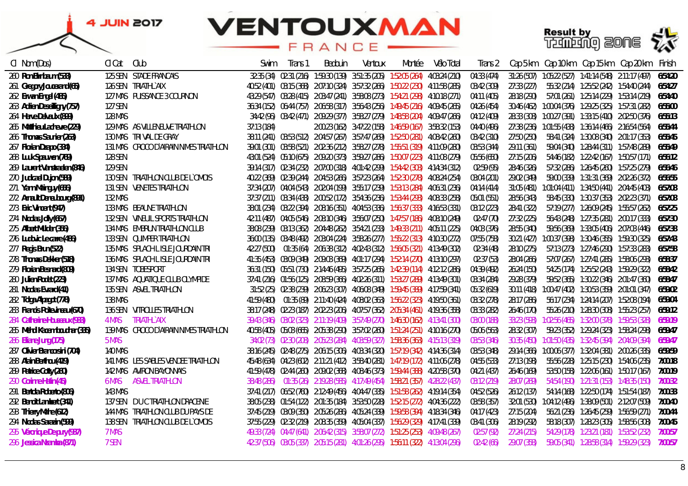



| CI Nom (Dos)                  | Cl Cat         | Club                                   | Swim        | Trans 1 | Bedouin | Ventoux | Montée                                                                                    | Vélo Total | Trans 2     |             |                                         | Cap 5 km Cap 10 km Cap 15 km Cap 20 km                   | Finish  |
|-------------------------------|----------------|----------------------------------------|-------------|---------|---------|---------|-------------------------------------------------------------------------------------------|------------|-------------|-------------|-----------------------------------------|----------------------------------------------------------|---------|
| 260 Ron Birnbaum (533)        |                | <b>125 SEN STADE FRANCAIS</b>          |             |         |         |         | 32:35 (34) 02:31 (216) 1:59:30 (139) 3:51:35 (205) 1:52:05 (264) 4:03:24 (210)            |            | 04:33 (474) | 31:26 (507) |                                         | 1:05:22 (527)  1:41:14 (548)  2:11:17 (497)              | 6:54:20 |
| 261 Gregory Joucerand (65)    |                | 126 SEN TRIATHLYAIX                    |             |         |         |         | 40:52 (401) 03:15 (368) 2:07:10 (324) 3:57:32 (266) 1:50:22 (230) 4:11:58 (285)           |            | 03:42 (309) | 27:33 (227) |                                         | 55:32 (214) 1:25:52 (242) 1:54:40 (244)                  | 6:54:27 |
| 262 Erwan Engel (485)         |                | 127 MAS PUISSANCE 3 COURNON            |             |         |         |         | 43:29 (547) 03:28 (415) 2:03:47 (241) 3:58:08 (273) 1:54:21 (298) 4:10:18 (271)           |            | 04:11 (405) | 28:18 (290) |                                         | 57:01 (261) 1:25:14 (229) 1:53:14 (219)                  | 6:54:40 |
| 263 Adrien Deseilligny (757)  | 127 SEN        |                                        |             |         |         |         | 36:34 (152) 06:44 (757) 2:06:58 (317) 3:56:43 (256) 1:49:45 (216) 4:09:45 (265)           |            | 04:26 (454) |             |                                         | 30:46 (462) 1:00:04 (376) 1:29:25 (325) 1:57:31 (282)    | 6:55:00 |
| 264 Herve Delvaulx (899)      | <b>128 MAS</b> |                                        |             |         |         |         | 34:42 (96) 03:42 (471) 2:09:29 (377) 3:58:27 (279) 1:48:58 (204) 4:09:47 (266)            |            | 04:12 (409) |             |                                         | 28:33 (308) 1:00:27 (391) 1:33:15 (410) 2:02:50 (376)    | 6:55:13 |
| 265 Matthieu Lachevre (229)   |                | 129 MAS AS VILLENEUVE TRIATHLON        | 37:13 (184) |         |         |         | 2:00:23 (162) 3:47:22 (158) 1:46:59 (167) 3:58:32 (153)                                   |            | 04:40 (496) |             |                                         | 27:38 (236) 1:01:55 (438) 1:36:14 (466) 2:16:54 (564)    | 6:55:44 |
| 266 Thomas Saunier (263)      |                | 130 MAS TRIVAL DE GRAY                 |             |         |         |         | 38:11 (241)  03:53 (512)  2:04:57 (267)  3:57:47 (269)  1:52:50 (281)  4:08:42 (260)      |            | 03:42 (310) | 27:50 (250) |                                         | 58:41 (324) 1:30:08 (340) 2:01:17 (353)                  | 6:55:45 |
| 267 Florian Dzapo (334)       |                | 131 MAS CROCO D'AIRAIN NIMES TRIATHLON |             |         |         |         | 39:01 (301)  03:58 (521)  2:02:36 (212)  3:58:27 (278)  1:55:51 (319)  4:11:09 (280)      |            | 03:53 (344) | 29:11 (361) |                                         | 59:04 (340) 1:28:44 (311) 1:57:48 (289)                  | 6:55:49 |
| 268 Luuk Spauwen (769)        | 128 SEN        |                                        |             |         |         |         | 43:01 (524) 05:10 (675) 2:09:20 (373) 3:59:27 (286) 1:50:07 (223) 4:11:08 (279)           |            | 05:56 (650) | 27:15 (206) |                                         | 54:46 (182) 1:22:42 (167) 1:50:57 (171)                  | 6:56:12 |
| 269 Laurent Vanstraelen (846) | 129 SEN        |                                        |             |         |         |         | 39:14 (317) 02:34 (232) 2:07:00 (318) 4:01:42 (299) 1:54:42 (303) 4:14:34 (312)           |            | 02:59 (95)  | 28:46 (326) |                                         | 57:32 (286) 1:26:45 (260) 1:57:25 (279)                  | 6:56:46 |
| 270 Judicael Dujon (589)      |                | 130 SEN TRIATHLON CLUB DE L'OMOIS      |             |         |         |         | 40:22 (369) 02:39 (244) 2:04:53 (266) 3:57:23 (264) 1:52:30 (278) 4:08:24 (254)           |            | 03:04 (201) | 29:02 (349) |                                         | 59:00 (339) 1:31:31 (369) 2:02:26 (372)                  | 6:56:55 |
| 271 Yann Mainguy (656)        |                | 131 SEN VENETES TRIATHLON              |             |         |         |         | 37:34 (207)  04:04 (543)  2:02:04 (199)  3:55:17 (239)  1:53:13 (284)  4:06:31 (236)      |            | 04:14 (414) |             |                                         | 31:05 (481)  1:01:04 (411)  1:34:50 (441)  2:04:45 (403) | 6:57:08 |
| 272 Arnault Deneubourg (891)  | 132 MAS        |                                        |             |         |         |         | 37:37 (211) 03:34 (438) 2:00:52 (172) 3:54:36 (236) 1:53:44 (293) 4:08:33 (258)           |            | 05:01 (551) | 28:56 (343) |                                         | 58:45 (330) 1:30:37 (353) 2:02:23 (371)                  | 6:57:08 |
| 273 Eric Vincent (947)        |                | 133 MAS BEAUNE TRIATHLON               |             |         |         |         | 38:01 (234) 03:22 (394) 2:08:16 (351) 4:04:53 (336) 1:56:37 (333) 4:16:53 (331)           |            | 03:12 (223) | 28:41 (322) |                                         | 57:19 (277) 1:26:09 (245) 1:55:57 (262)                  | 6:57:25 |
| 274 Nicolas Jolly (667)       |                | 132 SEN VINEUIL SPORTS TRIATHLON       |             |         |         |         | 42:11 (487) 04:05 (546) 2:08:10 (346) 3:56:07 (250) 1:47:57 (186) 4:08:10 (249)           |            | 02:47 (70)  | 27:32 (225) |                                         | 56:43 (248) 1:27:35 (281) 2:00:17 (333)                  | 6:57:30 |
| 275 Albert Mulder (356)       |                | 134 MAS EMBRUN TRIATHLON CLUB          |             |         |         |         | 38:08 (239) 03:13 (362) 2:04:48 (262) 3:54:21 (233) 1:49:33 (211) 4:05:11 (225)           |            | 04:03 (376) | 28:55 (340) |                                         | 59:56 (369) 1:33:05 (406) 2:07:03 (446)                  | 6:57:38 |
| 276 Ludovic Le carre (486)    |                | 133 SEN QUIMPER TRIATHLON              |             |         |         |         | 36:00 (135) 03:48 (492) 2:03:04 (224) 3:58:26 (277) 1:55:22 (313) 4:10:30 (272)           |            | 07:55 (758) | 30:21 (427) |                                         |                                                          | 6:57:43 |
| 277 Regis Brun (522)          |                | 135 MAS SPLACH LISLE JOURDAIN TRI      | 42:27 (500) |         |         |         | 01:35 (64) 2:06:38 (312) 4:02:43 (312) 1:56:05 (321) 4:13:49 (302)                        |            | 02:34 (48)  | 28:10 (275) |                                         | 57:13 (273) 1:27:46 (290) 1:57:33 (283)                  | 6:57:58 |
| 278 Thomas Dekker (518)       |                | 136 MAS SPLACH LISLE JOURDAIN TRI      |             |         |         |         | 41:35 (453) 03:09 (349) 2:09:03 (369) 4:01:17 (294) 1:52:14 (270) 4:13:10 (297)           |            | 02:37 (53)  | 28:04 (266) |                                         | 57:07 (267) 1:27:41 (285) 1:58:06 (293)                  | 6:58:37 |
| 279 Florian Besnard (809)     |                | 134 SEN TOBESPORT                      |             |         |         |         | 36:31 (150) 05:51 (730) 2:14:46 (495) 3:57:25 (265) 1:42:39 (114) 4:12:12 (286)           |            | 04:39 (492) | 26:24 (150) |                                         | 54:25 (174) 1:25:52 (243) 1:59:29 (322)                  | 6:58:42 |
| 280 Julien Rodet (223)        |                | 137 MAS AQUATIQUE CLUB OLYMPIDE        |             |         |         |         | 37:41 (216) 01:56 (125) 2:08:59 (366) 4:02:26 (311) 1:53:27 (289) 4:13:49 (301)           |            | 03:34 (284) | 29:28 (379) |                                         |                                                          | 6:58:47 |
| 281 Nicolas Evrard (41)       |                | 135 SEN ASVEL TRIATHLON                |             |         |         |         | 31:52 (25) 02:38 (239) 2:06:23 (307) 4:06:08 (349) 1:59:45 (389) 4:17:59 (341)            |            | 05:32 (619) |             |                                         | 30:11 (418) 1:00:47 (402) 1:30:53 (359) 2:01:01 (347)    | 6:59:02 |
| 282 Tolga Alpagot (778)       | <b>138 MAS</b> |                                        |             |         |         |         | 41:59 (480)  01:35 (89)  2:11:40 (424)  4:08:02  (363)  1:56:22  (323)  4:19:50  (361)    |            | 03:32 (278) | 28:17 (286) |                                         | 56:17 (234) 1:24:14 (207) 1:52:08 (194)                  | 6:59:04 |
| 283 Francis Poitevineau (670) |                | 136 SEN VITROLLES TRIATHLON            |             |         |         |         | 38:17 (248)   02:23 (187)   2:02:23 (206)   4:07:57 (362)   2:05:34 (461)   4:19:36 (358) |            | 03:33 (282) | 26:46 (170) |                                         | 55:26 (210) 1:28:30 (308) 1:55:23 (257)                  | 6:59:12 |
| 284 Catherine Houseaux (933)  | 4 MAS          | TRIATHL'AIX                            |             |         |         |         | 39:43 (346)  03:02 (323)  2:11:19 (409)  3:57:49 (270)  1:46:30 (162)  4:13:41 (300)      |            | 03:00 (188) | 33:23 (593) |                                         |                                                          | 6:59:19 |
| 285 Mehdi Kacem boudhar (335) |                | 139 MAS CROCO D'AIRAIN NIMES TRIATHLON |             |         |         |         | 40:58 (405)  05:03 (665)  2:05:38 (290)  3:57:02 (260)  1:51:24 (251)  4:10:16 (270)      |            | 05:06 (563) | 28:32 (307) |                                         |                                                          | 6:59:47 |
| 286 Eliane Jung (175)         | 5 MAS          |                                        |             |         |         |         | 34:02 (73)  02:30 (208)  2:05:23 (284)  4:03:59 (327)  1:58:36 (363)  4:15:13 (319)       |            | 03:53 (346) | 30:35 (450) |                                         |                                                          | 6:59:47 |
| 287 Olivier Brancorsini (704) | <i>140 MAS</i> |                                        |             |         |         |         | 38:16 (245) - 02:48 (275) - 2:06:15 (306) - 4:03:34 (320) - 1:57:19 (342) - 4:14:36 (314) |            | 03:53 (348) | 29:14 (366) |                                         |                                                          | 6:59:59 |
| 288 Alain Berthou (419)       |                | 141 MAS LES SABLES VENDEE TRIATHLON    |             |         |         |         | 45:48 (634)  04:23 (602)  2:11:21 (412)  3:58:40 (281)  1:47:19 (172)  4:11:06 (278)      |            | 04:55 (533) | 27:13 (198) |                                         | 55:56 (228) 1:25:15 (230) 1:54:06 (235)                  | 7:00:18 |
| 289 Patrice Cotty (260)       |                | <b>142 MAS AVIRON BAYONNAIS</b>        |             |         |         |         | 41:59 (478) 02:44 (260) 2:09:02 (368) 4:08:46 (373) 1:59:44 (388) 4:20:58 (370)           |            | 04:21 (437) | 26:46 (169) |                                         | 53:50 (158) 1:22:06 (161) 1:50:17 (167)                  | 7:00:19 |
| 290 Corinne Hatin (45)        | <b>6 MAS</b>   | ASVEL TRIATHLON                        | 38:48 (286) |         |         |         | 01:35 (26) 2:19:28 (585) 4:17:49 (454) 1:58:21 (357) 4:28:22 (437)                        |            | 03:12 (219) | 28:07 (269) | 54:54 (190) 1:21:31 (153) 1:48:35 (150) |                                                          | 7:00:32 |
| 291 Bertola Roberto (806)     | 143 MAS        |                                        |             |         |         |         | 37:41 (217) 06:52 (760) 2:12:49 (456) 4:04:47 (335) 1:51:58 (262) 4:19:14 (354)           |            | 04:52 (526) | 26:12 (137) |                                         | 54:14 (168) 1:22:50 (174) 1:51:54 (187)                  | 7:00:33 |
| 292 Benoit Lambert (341)      |                | 137 SEN DUCTRIATHLON DRACENIE          |             |         |         |         | 38:05 (238) 01:54 (122) 2:01:35 (184) 3:53:50 (228) 1:52:15 (272) 4:04:36 (222)           |            | 03:58 (357) |             |                                         | 32:01 (530) 1:04:12 (496) 1:38:09 (501) 2:12:07 (509)    | 7:00:40 |
| 293 Thierry Mahe (612)        |                | 144 MAS TRIATHLON CLUB DU PAYS DE      |             |         |         |         | 37:45 (219) 03:09 (350) 2:05:26 (286) 4:05:24 (339) 1:59:58 (394) 4:18:34 (346)           |            | 04:17 (423) | 27:15 (204) |                                         | 56:21 (236) 1:26:45 (259) 1:56:59 (271)                  | 7:00:44 |
| 294 Nicolas Sarazin (599)     |                | 138 SEN TRIATHLON CLUB DE L'OMOIS      |             |         |         |         | 37:55 (229) 02:32 (219) 2:08:35 (359) 4:05:04 (337) 1:56:29 (329) 4:17:41 (339)           |            | 03:41 (306) | 28:19 (292) |                                         | 58:18 (307) 1:28:23 (305) 1:58:56 (308)                  | 7:00:45 |
| 295 Véronique De pury (937)   | 7 MAS          |                                        |             |         |         |         | 49:33 (724) 04:47 (641) 2:06:42 (315) 3:58:07 (272) 1:51:25 (253) 4:09:48 (267)           |            | 02:57 (92)  | 27:24 (215) |                                         |                                                          | 7:00:57 |
| 296 Jessica Nzamba (871)      | 7 SEN          |                                        |             |         |         |         | 42:37 (506) 03:05 (337) 2:05:15 (281) 4:01:26 (295) 1:56:11 (322) 4:13:04 (296)           |            | 02:42 (66)  | 29:07 (358) |                                         | 59:05 (341) 1:28:58 (314) 1:59:29 (323)                  | 7:00:57 |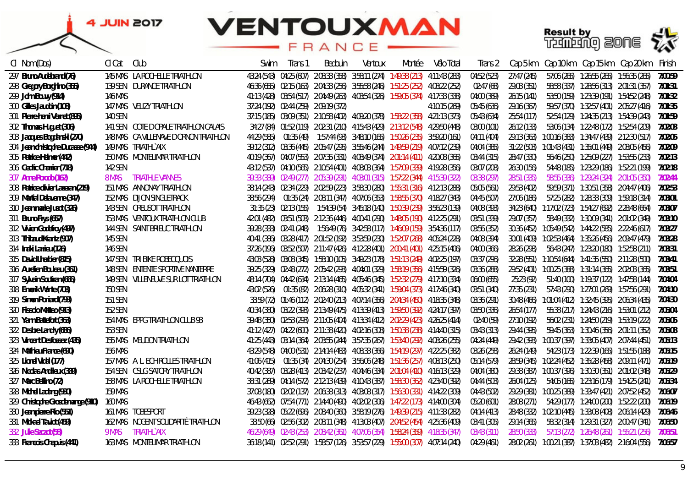



| CI Nom (Dos)                      | CI Cat<br>Club                   |                                          | Swim | Irans 1 | Bedouin                               | Ventoux | Montée                                                                                 | Vélo Total    | Trans 2     | Cap 5 km    |  | Cap 10 km    Cap 15 km    Cap 20 km                           | Finish  |
|-----------------------------------|----------------------------------|------------------------------------------|------|---------|---------------------------------------|---------|----------------------------------------------------------------------------------------|---------------|-------------|-------------|--|---------------------------------------------------------------|---------|
| 297 Bruno Audebrand (76)          |                                  | 145 MAS LA ROCHELLE TRIATHLON            |      |         |                                       |         | 43:24 (543) 04:25 (607) 2:08:33 (358) 3:58:11 (274) 1:49:38 (213) 4:11:43 (283)        |               | 04:52 (523) | 27:47 (245) |  | 57:06 (265) 1:26:55 (265) 1:56:35 (265)                       | 7:00:59 |
| 298 Gregory Borghino (355)        | 139 SEN DURANCE TRIATHLON        |                                          |      |         |                                       |         | 46:36 (655) 02:15 (163) 2:04:33 (256) 3:55:58 (246) 1:51:25 (252) 4:08:22 (252)        |               | 02:47 (68)  | 29:03 (351) |  | 58:58 (337) 1:28:56 (313) 2:01:31 (357)                       | 7:01:31 |
| 299 John Bouvy (914)              | 146 MAS                          |                                          |      |         |                                       |         | 41:13 (428) 03:54 (517) 2:04:49 (263) 4:03:54 (326) 1:59:05 (374) 4:17:33 (338)        |               | 04:00 (369) | 26:15(141)  |  | 53:50 (159) 1:23:39 (191) 1:54:52 (248)                       | 7:01:32 |
| 300 Gilles Jaudoin (108)          | 147 MAS VELIZY TRIATHLON         |                                          |      |         | 37:24 (192) 02:44 (259) 2:09:19 (372) |         |                                                                                        | 4:10:15 (269) | 05:45 (636) | 29:16 (367) |  | 59:57 (370) 1:32:57 (401) 2:05:27 (416) 7:01:35               |         |
| 301 Pierre-henri Vernet (895)     | 140 SEN                          |                                          |      |         |                                       |         | 37:15 (185) 03:09 (351) 2:10:58 (402) 4:09:20 (378) 1:58:22 (358) 4:21:13 (373)        |               | 05:43 (634) | 25:54 (117) |  | 52:54 (129) 1:24:35 (213) 1:54:39 (243) 7:01:59               |         |
| 302 Thomas Huguet (306)           |                                  | 141 SEN COTE DOPALE TRIATHLON CALAIS     |      |         |                                       |         | 34:27 (84) 01:52 (119) 2:02:31 (210) 4:15:43 (429) 2:13:12 (548) 4:29:50 (448)         |               | 03:00 (101) | 26:12 (133) |  | 53:06 (134) 1:22:48 (172) 1:52:54 (209)                       | 7:02:03 |
| 303 Jacques Bogdanski (270)       |                                  | 148 MAS CA VILLENAVE D ORNON TRIATHLON   |      |         |                                       |         | 44:29 (585)    01:35 (49)    1:57:44 (93)  3:48:10 (165)  1:50:26 (235)  3:59:20 (161) |               | 04:11 (404) |             |  | 29:13 (363) 1:00:16 (383) 1:34:47 (439) 2:12:30 (517)         | 7:02:05 |
| 304 Jean christophe Ducasse (944) | 149 MAS TRIATHLYAIX              |                                          |      |         |                                       |         | 39:12 (312) 03:36 (445) 2:05:47 (295) 3:55:46 (244) 1:49:59 (219) 4:07:12 (239)        |               | 04:04 (385) |             |  | 31:22 (503) 1:01:43 (431) 1:35:01 (449) 2:08:05 (456)         | 7:02:09 |
| 305 Patrice Helmer (442)          |                                  | 150 MAS MONTELIMAR TRIATHLON             |      |         |                                       |         | 40:19 (367) 04:07 (553) 2:07:35 (331) 4:08:49 (374) 2:01:14 (411) 4:20:08 (365)        |               | 03:44 (315) | 28:47 (330) |  |                                                               | 7:02:13 |
| 306 Cedric Charrier (718)         | 142 SEN                          |                                          |      |         |                                       |         | 43:12 (537) 04:10 (565) 2:10:54 (401) 4:08:03 (364) 1:57:09 (339) 4:19:28 (356)        |               | 03:07 (208) | 26:30 (156) |  | 54:48 (185) 1:23:29 (186) 1:52:21 (199)                       | 7:02:18 |
| 307 Anne Porodo (162)             | <b>8 MAS</b>                     | TRIATHLE VANNES                          |      |         |                                       |         | 39:33 (339) 02:49 (277) 2:05:39 (291) 4:03:01 (315) 1:57:22 (344) 4:15:39 (322)        |               | 03:38 (297) | 28:51 (335) |  | 58:55 (336) 1:29:24 (324) 2:01:05 (350)                       | 7:02:44 |
| 308 Patrice olivier Lazeran (219) | 151 MAS ANNONAY TRIATHLON        |                                          |      |         |                                       |         | 38:14 (243) 02:34 (229) 2:02:59 (223) 3:58:30 (280) 1:55:31 (316) 4:12:13 (288)        |               | 05:05 (561) | 29:53 (402) |  |                                                               | 7:02:53 |
| 309 Martial Delavenne (347)       | <b>152 MAS DIJON SINGLETRACK</b> |                                          |      |         |                                       |         | 38:56 (294)  01:35 (24)  2:08:11 (347)  4:07:06 (353)  1:58:55 (370)  4:18:27 (343)    |               | 04:45 (507) | 27:06 (186) |  |                                                               | 7:03:01 |
| 310 Jean marie Jusot (326)        | 143 SEN CREUSOT TRIATHLON        |                                          |      |         |                                       |         | 31:35 (23) 02:13 (155) 1:54:39 (54) 3:45:18 (140) 1:50:39 (239) 3:56:23 (139)          |               | 04:08 (393) |             |  | 34:23 (640) 1:17:02 (723) 1:54:27 (692) 2:28:48 (664)         | 7:03:07 |
| 311 Bruno Frys (657)              |                                  | 153 MAS VENTOUX TRIATHLON CLUB           |      |         |                                       |         | 42:01 (482) 03:51 (503) 2:12:36 (446) 4:00:41 (290) 1:48:05 (190) 4:12:25 (291)        |               | 03:51 (339) | 29:07 (357) |  |                                                               | 7:03:10 |
| 312 Vivien Godefroy (497)         |                                  | 144 SEN SAINT BRIEUC TRIATHLON           |      |         |                                       |         | 39:28 (333) 02:41 (248) 1:56:49 (76) 3:42:58 (117) 1:46:09 (159) 3:54:36 (117)         |               | 03:56 (352) |             |  | 30:36 (452) 1:05:49 (542) 1:44:22 (585) 2:22:46 (617)         | 7:03:27 |
| 313 Thibaud Krantz (907)          | 145 SEN                          |                                          |      |         |                                       |         | 40:41 (386) 03:28 (417) 2:01:52 (192) 3:53:59 (230) 1:52:07 (268) 4:05:24 (228)        |               | 04:08 (394) |             |  | 30:01 (409) 1:02:53 (464) 1:35:26 (456) 2:09:47 (479)         | 7:03:28 |
| 314 Inaki Larrieu (126)           | 146 SEN                          |                                          |      |         |                                       |         | 37:26 (196) 03:52 (507) 2:11:47 (426) 4:12:28 (401) 2:00:41 (401) 4:25:15 (406)        |               | 04:00 (366) | 28:26 (298) |  |                                                               | 7:03:31 |
| 315 David Lherbier (815)          | 147 SEN TRI BIKE ROBECQUOIS      |                                          |      |         |                                       |         | 43:03 (528) 03:08 (345) 1:58:10 (105) 3:49:23 (178) 1:51:13 (249) 4:02:25 (197)        |               | 03:37 (296) |             |  | 32:28 (551)   1:10:54 (644)   1:41:35 (550)   2:11:28 (500)   | 7:03:41 |
| 316 Aurelien Bouleau (361)        |                                  | <b>148 SEN ENTENTE SPORTIVE NANTERRE</b> |      |         |                                       |         | 39:25 (329) 02:48 (272) 2:05:42 (293) 4:04:01 (329) 1:58:19 (356) 4:15:59 (326)        |               | 03:36 (288) |             |  | 29:52 (401) 1:00:25 (388) 1:31:14 (365) 2:02:03 (365)         | 7:03:51 |
| 317 Sylvain Soutiran (666)        |                                  | 149 SEN VILLENEUVE SUR LOT TRIATHLON     |      |         |                                       |         | 48:14 (704) 04:42 (634) 2:13:14 (465) 4:05:46 (345) 1:52:32 (279) 4:17:10 (334)        |               | 06:00 (655) | 25:23 (92)  |  | 51:40 (100) 1:19:37 (122) 1:47:58 (144)                       | 7:04:04 |
| 318 Emerik Wante (703)            | 150 SEN                          |                                          |      |         |                                       |         | 43:02 (526)  01:35 (82)  2:06:28 (310)  4:05:32 (341)  1:59:04 (373)  4:17:46 (340)    |               | 03:51 (340) | 27:35 (231) |  | 57:43 (290) - 1:27:01 (269) - 1:57:56 (291) -                 | 7:04:10 |
| 319 Simon Poniard (793)           | 151 SEN                          |                                          |      |         |                                       |         | 33:59 (72)  01:46 (112)  2:02:40 (213)  4:07:14 (356)  2:04:34 (450)  4:18:35 (348)    |               | 03:36 (291) |             |  |                                                               | 7:04:30 |
| 320 Fissolo Matteo (913)          | 152 SEN                          |                                          |      |         |                                       |         | 40:34 (380) 03:22 (393) 2:13:49 (475) 4:13:39 (413) 1:59:50 (392) 4:24:17 (397)        |               | 03:50 (336) | 26:54 (177) |  | 55:38 (217) 1:24:43 (216) 1:53:01 (212)                       | 7:05:04 |
| 321 Yann Battefort (363)          |                                  | 154 MAS EPPG TRIATHLON CLUB 93           |      |         |                                       |         | 39:48 (350) 02:53 (293) 2:11:05 (404) 4:13:34 (412) 2:02:29 (423) 4:26:25 (414)        |               | 02:40 (59)  | 27:10 (192) |  | 56:02 (231)  1:24:50 (219)  1:53:19 (222)                     | 7:05:05 |
| 322 Desbre Landry (686)           | 153 SEN                          |                                          |      |         |                                       |         | 41:12 (427) 04:22 (600) 2:11:38 (420) 4:02:16 (308) 1:50:38 (238) 4:14:40 (315)        |               | 03:43 (313) | 29:44 (395) |  | 59:45 (363) 1:30:46 (356) 2:01:11 (352)                       | 7:05:08 |
| 323 Vincent Desfossez (435)       | 155 MAS MEUDON TRIATHLON         |                                          |      |         |                                       |         | 41:25 (443) 03:14 (364) 2:03:55 (244) 3:57:35 (267) 1:53:40 (292) 4:08:26 (255)        |               | 04:24 (449) |             |  | 29:42 (393) 1:00:37 (397) 1:33:05 (407) 2:07:44 (451)         | 7:05:13 |
| 324 Mathieu France (690)          | <b>156 MAS</b>                   |                                          |      |         |                                       |         | 43:29 (548) 04:00 (531) 2:14:14 (483) 4:08:33 (366) 1:54:19 (297) 4:22:25 (382)        |               | 03:26 (258) | 26:24 (149) |  | 54:23 (173) 1:22:39 (165) 1:51:55 (188)                       | 7:05:15 |
| 325 Lionel Vidal (177)            |                                  | 157 MAS A. L. ECHIROLLES TRIATHLON       |      |         |                                       |         | 41:06 (415)  01:35 (34)  2:04:30 (254)  3:56:06 (248)  1:51:36 (257)  4:08:13 (250)    |               | 05:14 (579) |             |  | 28:59 (345) 1:02:24 (452) 1:35:28 (458) 2:09:11 (471)         | 7:05:19 |
| 326 Nicolas Andrieux (339)        |                                  | 154 SEN CSLG SATORY TRIATHLON            |      |         |                                       |         | 40:42 (387) 03:28 (413) 2:03:42 (237) 4:04:46 (334) 2:01:04 (410) 4:16:13 (329)        |               | 04:04 (380) |             |  | 29:38 (387)  1:00:37 (396)  1:30:30 (351)  2:01:02 (348)      | 7:05:29 |
| 327 Marc Bellino (72)             |                                  | 158 MAS LA ROCHELLE TRIATHLON            |      |         |                                       |         | 38:31 (269) 04:14 (572) 2:12:13 (439) 4:10:43 (387) 1:58:30 (362) 4:23:40 (392)        |               | 04:44 (503) | 26:04 (125) |  |                                                               | 7:05:34 |
| 328 Michel Ladang (930)           | 159 MAS                          |                                          |      |         |                                       |         | 37:08 (180) 02:02 (137) 2:06:38 (313) 4:03:08 (317) 1:56:30 (331) 4:14:22 (309)        |               | 04:43 (502) |             |  | 29:29 (381) 1:00:25 (389) 1:33:47 (421) 2:07:52 (452)         | 7:06:07 |
| 329 Christophe Grosdemange (910)  | 160 MAS                          |                                          |      |         |                                       |         | 46:43 (662) 07:54 (771) 2:14:40 (490) 4:02:02 (306) 1:47:22 (173) 4:14:00 (304)        |               | 05:20 (601) | 28:08 (271) |  | 54:29 (177)     1:24:00 (200)     1:52:22 (200)               | 7:06:19 |
| 330 Jean pierre Rio (551)         | 161 MAS TOBESPORT                |                                          |      |         |                                       |         | 39:23 (328) 05:22 (696) 2:08:40 (360) 3:58:19 (276) 1:49:39 (215) 4:11:33 (282)        |               | 04:14 (413) |             |  | 28:48 (332) 1:02:10 (445) 1:33:08 (408) 2:06:14 (429)         | 7:06:46 |
| 331 Mickael Taviot (459)          |                                  | 162 MAS    NOGENT SOLIDARITÉ TRIATHLON   |      |         |                                       |         | 33:50 (66) 02:56 (302) 2:08:11 (348) 4:13:03 (407) 2:04:52 (454) 4:25:36 (409)         |               | 03:41 (305) | 29:14 (365) |  |                                                               | 7:06:50 |
| 332 Julie Szczot (58)             | <b>9 MAS</b><br>TRIATHLY AIX     |                                          |      |         |                                       |         | 46:29 (649) 02:43 (253) 2:08:42 (361) 4:07:06 (354) 1:58:24 (359) 4:18:35 (347)        |               | 03:43 (311) | 28:50 (333) |  | 57:13 (272) 1:26:48 (261) 1:55:21 (256)                       | 7:06:51 |
| 333 Francois Chapuis (441)        |                                  | 163 MAS MONTELIMAR TRIATHLON             |      |         |                                       |         | 36:18 (141) 02:52 (291) 1:58:57 (126) 3:53:57 (229) 1:55:00 (307) 4:07:14 (240)        |               | 04:29 (461) |             |  | 28:02 (261) 1:00:21 (387) 1:37:03 (482) 2:16:04 (556) 7:06:57 |         |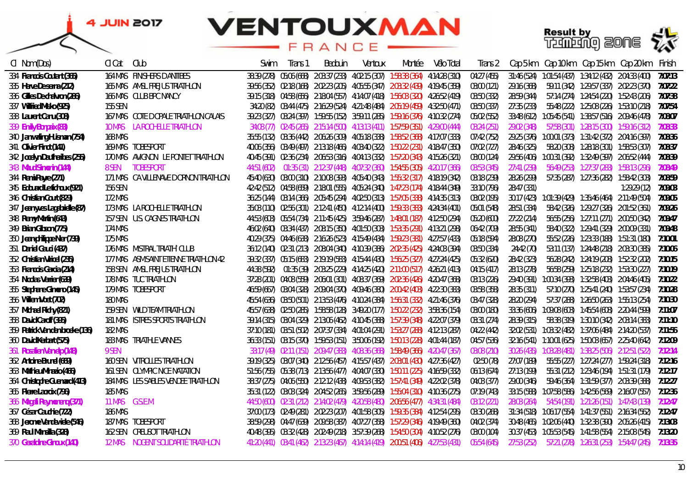### **VENTOUXMAN** FRANCE

**Result by<br>Training 2006 22** 



| CI Nom (Dos)                     | CI Cat               | Club                                   | Swim | Trans 1 | Bedouin | Ventoux                                                                              | Montée | Vélo Total | Trans 2     | Cap 5 km    | Cap 10 km    Cap 15 km    Cap 20 km                               |              | Finish  |
|----------------------------------|----------------------|----------------------------------------|------|---------|---------|--------------------------------------------------------------------------------------|--------|------------|-------------|-------------|-------------------------------------------------------------------|--------------|---------|
| 334 Francois Coutant (365)       |                      | <b>164 MAS FINISHERS DANTIBES</b>      |      |         |         | 38:39 (278) 05:06 (668) 2:03:37 (233) 4:02:15 (307) 1:58:38 (364) 4:14:28 (310)      |        |            | 04:27 (455) | 31:46 (524) |                                                                   |              | 7:07:13 |
| 335 Herve De serna (212)         |                      | 165 MAS AMSL FREJUS TRIATHLON          |      |         |         | 39:56 (352) 02:18 (168) 2:02:23 (205) 4:05:55 (347) 2:03:32 (439) 4:19:45 (359)      |        |            | 03:00 (121) | 29:16 (368) | 59:11 (342) 1:29:57 (337) 2:02:23 (370) 7:07:22                   |              |         |
| 336 Gilles De chalvron (286)     |                      | 166 MAS CLUB BPC NANCY                 |      |         |         | 39:15 (318) 04:58 (656) 2:18:04 (557) 4:14:07 (418) 1:56:03 (320) 4:26:52 (419)      |        |            | 03:50 (332) | 28:59 (344) | 57:14 (274)  1:24:54 (220)  1:52:43 (206)                         |              | 7:07:38 |
| 337 Wilfried Misko (925)         | 155 SEN              |                                        |      |         |         | 34:20 (82) 03:44 (475) 2:16:29 (524) 4:21:48 (484) 2:05:19 (459) 4:32:50 (471)       |        |            | 03:50 (337) | 27:35 (233) | 55:48 (222)  1:25:08 (226)  1:53:10 (218)                         |              | 7:07:54 |
| 338 Laurent Canu (308)           |                      | 167 MAS COTE DOPALE TRIATHLON CALAIS   |      |         |         | 39:23 (327) 03:24 (397) 1:59:55 (152) 3:59:11 (285) 1:59:16 (376) 4:10:32 (274)      |        |            | 05:02 (552) | 33:48 (612) |                                                                   |              | 7:08:07 |
| 339 Emily Bonpaix (83)           | <i><b>10 MAS</b></i> | LA ROCHELLE TRIATHLON                  |      |         |         | 34:08 (77) 02:45 (265) 2:15:14 (500) 4:13:13 (411) 1:57:59 (351) 4:29:00 (444)       |        |            | 03:24 (251) | 29:02 (348) | 57:58 (301) 1:28:15 (300) 1:59:16 (312)                           |              | 7:08:33 |
| 340 Jan waling Huisman (754)     | 168 MAS              |                                        |      |         |         | 35:55 (132) 03:36 (442) 2:06:26 (309) 4:05:18 (338) 1:58:52 (368) 4:17:07 (333)      |        |            | 07:42 (752) |             | 29:25 (376) 1:00:01 (373) 1:31:42 (372) 2:04:16 (397)             |              | 7:08:36 |
| 341 Olivier Finot (141)          |                      | 169 MAS TOBESPORT                      |      |         |         | 40:06 (356) 03:49 (497) 2:13:18 (466) 4:03:40 (322) 1:50:22 (231) 4:18:47 (350)      |        |            | 07:02 (727) | 28:46 (325) |                                                                   |              | 7:08:37 |
| 342 Jocelyn Dautheribes (255)    |                      | 170 MAS AVIGNON LE PONTET TRIATHLON    |      |         |         | 40:45 (391) 02:36 (234) 2:06:53 (316) 4:04:13 (332) 1:57:20 (343) 4:15:26 (321)      |        |            | 03:00 (124) |             | 29:56 (406) 1:00:31 (392) 1:32:49 (397) 2:06:52 (444)             |              | 7:08:39 |
| 343 Maud Simonin (144)           | <b>8 SEN</b>         | TOBESPORT                              |      |         |         | 44:51 (602)  01:35 (31)  2:12:37 (448)  4:07:32 (360)  1:54:55 (305)  4:20:17 (366)  |        |            | 03:53 (345) | 27:41 (239) |                                                                   |              | 7:08:49 |
| 344 Remi Payre (271)             |                      | 171 MAS CA VILLENAVE D ORNON TRIATHLON |      |         |         | 45:40 (630) 03:00 (310) 2:10:08 (393) 4:05:40 (343) 1:55:32 (317) 4:18:19 (342)      |        |            | 03:18 (239) | 28:26 (299) |                                                                   |              | 7:08:59 |
| 345 Edouard Le fichoux (921)     | 156 SEN              |                                        |      |         |         | 42:42 (512) 04:58 (659) 2:18:01 (555) 4:05:24 (340) 1:47:23 (174) 4:18:44 (349)      |        |            | 33:10 (796) | 28:47 (331) |                                                                   | 1:29:29 (12) | 7:09:03 |
| 346 Christian Court (829)        | 172 MAS              |                                        |      |         |         | 36:25 (144) 03:14 (366) 2:05:45 (294) 4:02:50 (313) 1:57:05 (338) 4:14:35 (313)      |        |            | 03:02 (195) |             | 30:17 (423) 1:01:39 (429) 1:35:46 (464) 2:11:49 (504)             |              | 7:09:05 |
| 347 Jean yves Lagabrielle (87)   |                      | 173 MAS LA ROCHELLE TRIATHLON          |      |         |         | 35:03 (110) 02:56 (301) 2:12:41 (450) 4:12:14 (400) 1:59:33 (383) 4:24:34 (401)      |        |            | 05:01 (548) | 28:51 (334) | 58:42 (326) 1:29:27 (326) 2:01:52 (361)                           |              | 7:09:26 |
| 348 Remy Martin (643)            |                      | 157 SEN U.S. CAGNES TRIATHLON          |      |         |         | 44:53 (603) 05:54 (734) 2:11:45 (425) 3:59:46 (287) 1:48:01 (187) 4:12:50 (294)      |        |            | 05:20 (600) | 27:22 (214) |                                                                   |              | 7:09:47 |
| 349 Brian Gibson (775)           | 174 MAS              |                                        |      |         |         | 46:02 (640) 03:34 (437) 2:08:15 (350) 4:01:50 (303) 1:53:35 (291) 4:13:21 (298)      |        |            | 06:42 (709) | 28:55 (341) | 58:40 (322) 1:29:41 (329) 2:00:09 (331)                           |              | 7:09:48 |
| 350 Jean-philippe Nier (739)     | 175 MAS              |                                        |      |         |         | 40:29 (375) 04:46 (638) 2:16:26 (523) 4:15:49 (434) 1:59:23 (381) 4:27:57 (433)      |        |            | 05:18 (594) | 28:08 (270) | 55:52 (226) 1:23:33 (188) 1:51:31 (180)                           |              | 7:10:01 |
| 351 Daniel Gauci (437)           |                      | 176 MAS MISTRAL TRIATH CLUB            |      |         |         | 36:12 (140) 02:31 (213) 2:08:04 (340) 4:10:39 (386) 2:02:35 (425) 4:24:03 (394)      |        |            | 03:50 (334) | 24:42 (70)  | 53:11 (137) 1:24:48 (218) 2:03:30 (385)                           |              | 7:10:06 |
| 352 Christian Viricel (235)      |                      | 177 MAS ASM.SAINT ETIENNE TRIATHLON 42 |      |         |         | 39:32 (337) 05:15 (683) 2:19:19 (583) 4:15:44 (430) 1:56:25 (327) 4:27:24 (425)      |        |            | 05:32 (620) | 28:42 (323) | 56:28 (242) 1:24:19 (208) 1:52:32 (202)                           |              | 7:10:15 |
| 353 Francois Garcia (214)        |                      | 158 SEN AMSL FREJUS TRIATHLON          |      |         |         | 44:38 (592)  01:35 (39)  2:03:25 (229)  4:14:25 (420)  2:11:00 (517)  4:26:21 (413)  |        |            | 04:15 (417) | 28:13 (278) |                                                                   |              |         |
| 354 Nicolas Verrier (639)        |                      | 178 MAS TUC TRIATHLON                  |      |         |         | 37:28 (201) 04:08 (559) 2:06:01 (301) 4:08:37 (369) 2:02:36 (426) 4:20:47 (368)      |        |            | 03:13 (226) |             | 29:40 (391) 1:00:34 (393) 1:32:58 (403) 2:04:46 (405)             |              | 7:10:22 |
| 355 Stephane Gimeno (145)        |                      | 179 MAS TOBESPORT                      |      |         |         | 46:59 (667) 03:04 (328) 2:09:04 (370) 4:09:46 (380) 2:00:42 (403) 4:22:30 (383)      |        |            | 03:58 (358) | 28:35 (311) |                                                                   |              | 7:10:28 |
| 356 Willem Voet (702)            | <i>180 MAS</i>       |                                        |      |         |         | 45:54 (636)  03:50 (501)  2:13:53 (476)  4:10:24 (384)  1:56:31 (332)  4:21:46 (376) |        |            | 03:47 (328) | 28:20 (294) |                                                                   |              | 7:10:30 |
| 357 Michael Richy (821)          |                      | 159 SEN WILD TEAM TRIATHLON            |      |         |         | 45:57 (638) 02:50 (285) 1:58:58 (128) 3:49:20 (177) 1:50:22 (232) 3:58:36 (154)      |        |            | 03:00 (180) |             | 33:36 (606) 1:09:08 (603) 1:45:54 (608) 2:20:44 (599)             |              | 7:11:07 |
| 358 David Caroff (395)           |                      | 181 MAS ISTRES SPORTS TRIATHLON        |      |         |         | 39:14 (315) 03:04 (329) 2:13:06 (462) 4:10:45 (388) 1:57:39 (348) 4:22:07 (379)      |        |            | 03:31 (274) | 28:39 (315) |                                                                   |              | 7:11:10 |
| 359 Patrick Van den broeke (136) | 182 MAS              |                                        |      |         |         | 37:10 (181) 03:51 (502) 2:07:37 (334) 4:01:04 (291) 1:53:27 (288) 4:12:13 (287)      |        |            | 04:22 (442) |             | 32:02 (531)  1:03:32 (482)  1:37:06 (484)  2:14:20 (537)          |              | 7:11:56 |
| 360 David Kerbart (575)          |                      | <b>183 MAS TRIATHLE VANNES</b>         |      |         |         | 36:33 (151) 03:15 (370) 1:59:53 (151) 3:50:06 (192) 1:50:13 (228) 4:01:44 (187)      |        |            | 04:57 (536) |             | 32:16 (541) 1:10:01 (625) 1:50:03 (657) 2:25:40 (642)             |              | 7:12:09 |
| 361 Rosalien Van elp (148)       | 9 SEN                |                                        |      |         |         | 33:17 (49) 02:11 (151) 2:09:47 (383) 4:08:36 (368) 1:58:49 (366) 4:20:47 (367)       |        |            | 03:08 (210) |             | 30:26 (435)  1:03:28 (481)  1:38:25 (506)  2:12:51 (522)          |              | 7:12:14 |
| 362 Antoine Brunel (669)         |                      | 160 SEN VITROLLES TRIATHLON            |      |         |         | 39:19 (325) 03:07 (340) 2:12:56 (457) 4:15:57 (437) 2:03:01 (430) 4:27:36 (427)      |        |            | 02:50 (78)  | 27:07 (189) | 55:55 (227) 1:27:24 (277) 1:59:24 (318)                           |              | 7:12:16 |
| 363 Mathieu Minazio (466)        |                      | 161 SEN OLYMPIC NICE NATATION          |      |         |         | 51:56 (755) 05:38 (713) 2:13:56 (477) 4:04:07 (330) 1:50:11 (225) 4:16:59 (332)      |        |            | 06:13 (674) | 27:13 (199) |                                                                   |              | 7:12:17 |
| 364 Christophe Guemard (413)     |                      | 184 MAS LES SABLES VENDEE TRIATHLON    |      |         |         | 38:37 (275) 04:06 (550) 2:12:12 (438) 4:09:53 (382) 1:57:41 (349) 4:22:02 (378)      |        |            | 04:03 (377) | 29:00 (346) |                                                                   |              | 7:12:27 |
| 365 Pierre Lacroix (796)         | <b>185 MAS</b>       |                                        |      |         |         | 35:31 (122) 03:03 (324) 2:04:52 (265) 3:59:56 (289) 1:55:04 (310) 4:10:36 (275)      |        |            | 07:19 (743) |             | 33:15 (588)  1:07:58 (586)  1:42:56 (569)  2:16:07 (557)  7:12:36 |              |         |
| 366 Magali Reymoneng (371)       | 11 MAS               | G.S.E.M.                               |      |         |         | 44:50 (600) 02:31 (212) 2:14:02 (479) 4:20:58 (480) 2:06:56 (477) 4:34:31 (484)      |        |            | 03:12 (221) | 28:03 (264) |                                                                   |              | 7:12:47 |
| 367 César Cauchie (722)          | <b>186 MAS</b>       |                                        |      |         |         | 37:00 (173) 02:49 (281) 2:02:23 (207) 4:01:58 (305) 1:59:35 (384) 4:12:54 (295)      |        |            | 03:30 (268) |             | 31:34 (518)  1:06:17 (554)  1:41:37 (551)  2:16:34 (562)  7:12:47 |              |         |
| 368 Jerome Vandewiele (546)      |                      | <i>187 MAS TOBESPORT</i>               |      |         |         | 38:59 (298) 04:47 (639) 2:09:58 (387) 4:07:27 (358) 1:57:29 (346) 4:19:49 (360)      |        |            | 04:02 (374) |             | 30:48 (465)  1:02:06 (440)  1:32:38 (390)  2:05:26 (415)  7:13:03 |              |         |
| 369 Raul Mansilla (328)          |                      | 162 SEN CREUSOT TRIATHLON              |      |         |         | 40:48 (395)  03:32 (428)  2:02:49 (218)  3:57:39 (268)  1:54:50 (304)  4:10:52 (276) |        |            | 03:00 (104) |             |                                                                   |              | 7:13:20 |
| 370 Geraldine Ginoux (140)       | 12 MAS               | NOGENT SOLIDARITÉ TRIATHLON            |      |         |         | 41:20 (441) 03:41 (462) 2:13:23 (467) 4:14:14 (419) 2:00:51 (406) 4:27:53 (431)      |        |            | 05:54 (645) | 27:53 (252) |                                                                   |              |         |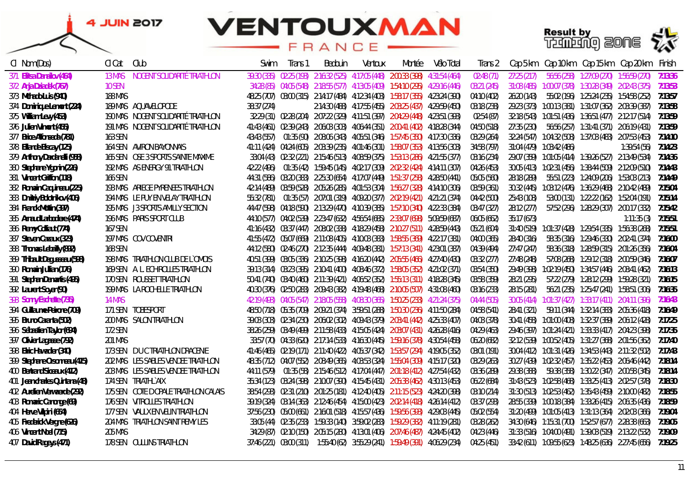### **VENTOUXMAN** FRANCE



| CI Nom (Dos)                   | Cl Cat         | Club                                 | .Swim       | Trans 1 | Bedouin | Ventoux | Montée                                                                                         | Vélo Total | Trans 2     |             |                            |                                                       | Cap 5 km Cap 10 km Cap 15 km Cap 20 km                   | Finish  |
|--------------------------------|----------------|--------------------------------------|-------------|---------|---------|---------|------------------------------------------------------------------------------------------------|------------|-------------|-------------|----------------------------|-------------------------------------------------------|----------------------------------------------------------|---------|
| 371 Elitsa Danailov (464)      | 13 MAS         | NOGENT SOLIDARITÉ TRIATHLON          |             |         |         |         | 39:30 (335) 02:25 (193) 2:16:32 (525) 4:17:05 (448) 2:00:33 (398) 4:31:54 (464)                |            | 02:48 (71)  | 27:25(217)  |                            | 56:56 (258) 1:27:09 (270) 1:56:59 (270)               |                                                          | 7:13:36 |
| 372 Anja Dziadek (767)         | 10 SEN         |                                      |             |         |         |         | 34:28 (85) 04:05 (548) 2:18:55 (577) 4:13:05 (409) 1:54:10 (295) 4:29:16 (446)                 |            | 03:21 (245) |             |                            |                                                       | 31:08 (485)  1:00:07 (378)  1:30:28 (349)  2:02:43 (375) | 7:13:53 |
| 373 Mchado Luis (940)          | <b>188 MAS</b> |                                      |             |         |         |         | 48:25 (707) 03:00 (315) 2:14:17 (484) 4:12:34 (403) 1:58:17 (355) 4:23:24 (390)                |            | 04:10 (402) | 26:20 (143) |                            |                                                       | 55:02 (196) 1:25:24 (235) 1:54:58 (252)                  | 7:13:57 |
| 374 Dominique Lemont (224)     |                | <b>189 MAS AQUAVELOPODE</b>          | 38:37 (274) |         |         |         | 2:14:30 (488) 4:17:55 (455) 2:03:25 (437) 4:29:59 (450)                                        |            | 03:18 (238) |             |                            |                                                       | 29:23 (373) 1:00:13 (381) 1:31:07 (362) 2:03:39 (387)    | 7:13:58 |
| 375 William Levy (453)         |                | 190 MAS NOGENT SOLIDARITÉ TRIATHLON  |             |         |         |         | 32:29 (31) 02:28 (204) 2:07:22 (329) 4:11:51 (397) 2:04:29 (448) 4:23:51 (393)                 |            | 02:54 (87)  |             |                            |                                                       | 32:18 (543) 1:01:51 (436) 1:36:51 (477) 2:12:17 (514)    | 7:13:59 |
| 376 Julien Vimont (455)        |                | 191 MAS NOGENT SOLIDARITÉ TRIATHLON  |             |         |         |         | 41:43 (461) 02:39 (243) 2:06:03 (303) 4:06:44 (351) 2:00:41 (402) 4:18:28 (344)                |            | 04:50 (518) | 27:35 (230) |                            |                                                       |                                                          | 7:13:59 |
| 377 Brice Alfonseda (781)      | 163 SEN        |                                      |             |         |         |         | 43:43 (557)  01:35 (90)  2:08:06 (343)  4:05:51 (346)  1:57:45 (350)  4:17:30 (336)            |            | 03:29 (264) |             |                            |                                                       | 32:24 (547)  1:04:32 (508)  1:37:03 (483)  2:07:53 (453) | 7:14:10 |
| 378 Ellande Biscay (125)       |                | 164 SEN AVIRON BAYONNAIS             |             |         |         |         | 41:11 (424) 04:24 (605) 2:03:39 (235) 4:01:46 (301) 1:58:07 (353) 4:13:56 (303)                |            | 34:58 (797) |             | 31:04 (479)  1:03:42 (486) |                                                       | 1:39:54 (56)                                             | 7:14:23 |
| 379 Anthony Dardanelli (958)   |                | 165 SEN OSE 3 SPORTS SAINTE MAXIME   |             |         |         |         | 33:04 (43) 02:32 (221) 2:15:46 (513) 4:08:59 (375) 1:53:13 (286) 4:21:55 (377)                 |            | 03:16 (234) |             |                            |                                                       | 29:07 (359) 1:01:05 (414) 1:39:26 (527) 2:13:49 (534)    | 7:14:36 |
| 380 Stephane Ygonin (226)      |                | 192 MAS AS ENERGY 91 TRIATHLON       |             |         |         |         | 42:22 (496)  01:35 (42)  1:59:45 (145)  4:02:17 (309)  2:02:32 (424)  4:14:11 (307)            |            | 04:26 (453) |             |                            |                                                       | 30:05 (413) 1:02:31 (456) 1:38:44 (509) 2:12:09 (510)    | 7:14:43 |
| 381 Vincent Griffon (118)      | 166 SEN        |                                      |             |         |         |         | 44:31 (586) 03:20 (383) 2:25:30 (654) 4:17:07 (449) 1:51:37 (258) 4:28:50 (441)                |            | 05:05 (560) | 28:18 (289) |                            |                                                       | 55:51 (223) 1:24:09 (206) 1:53:03 (213)                  | 7:14:49 |
| 382 Romain Caquineau (225)     |                | 193 MAS ARIEGE PYRENEES TRIATHLON    |             |         |         |         | 42:14 (489) 03:59 (528) 2:05:26 (285) 4:01:53 (304) 1:56:27 (328) 4:14:10 (306)                |            | 03:59 (361) |             |                            |                                                       | 30:32 (445)  1:03:12 (476)  1:36:29 (468)  2:10:42 (489) | 7:15:04 |
| 383 Dmitriy Bolotnikov (406)   |                | 194 MAS LE PUY EN VELAY TRIATHLON    |             |         |         |         | 55:32 (781)  01:35 (57)  2:07:01 (319)  4:09:20 (377)  2:02:19 (421)  4:21:21 (374)            |            | 04:42 (500) | 25:43 (108) |                            |                                                       | 53:00 (131) 1:22:22 (162) 1:52:04 (191)                  | 7:15:14 |
| 384 Franck Mottin (397)        |                | 195 MAS J3 SPORTS AMILLY SECTION     |             |         |         |         | 44:47 (598) 04:18 (590) 2:13:29 (470) 4:10:39 (385) 1:57:10 (340) 4:22:33 (384)                |            | 03:47 (327) | 28:12 (277) |                            |                                                       | 57:52 (296) 1:28:29 (307) 2:00:17 (332)                  | 7:15:42 |
| 385 Arnaud Larbodiere (474)    |                | 196 MAS PARIS SPORT CLUB             |             |         |         |         | 44:10 (577) 04:02 (539) 2:23:47 (632) 4:56:54 (685) 2:33:07 (698) 5:09:59 (687)                |            | 06:05 (662) | 35:17 (673) |                            |                                                       | 1:11:35(3)                                               | 7:15:51 |
| 386 Remy Colliaut (774)        | 167 SEN        |                                      |             |         |         |         | 41:16 (432) 03:37 (447) 2:08:02 (338) 4:18:29 (458) 2:10:27 (511) 4:28:59 (443)                |            | 05:21 (604) |             |                            |                                                       | 31:40 (519) 1:01:37 (428) 1:29:54 (335) 1:56:38 (268)    | 7:15:51 |
| 387 Steven Cazaux (323)        |                | <b>197 MAS COV COVENTRI</b>          |             |         |         |         | 41:55 (472) 05:07 (669) 2:11:08 (405) 4:10:03 (383) 1:58:55 (369) 4:22:17 (381)                |            | 04:00 (365) | 28:40 (316) |                            |                                                       | 58:35 (316) 1:29:46 (330) 2:02:41 (374)                  | 7:16:00 |
| 388 Thomas Lebailly (892)      | 168 SEN        |                                      |             |         |         |         | 44:12 (580) 02:46 (270) 2:12:35 (444) 4:09:48 (381) 1:57:13 (341) 4:23:01 (387)                |            | 04:39 (494) | 27:47 (247) |                            |                                                       | 58:36 (318) 1:28:59 (315) 2:01:26 (356)                  | 7:16:04 |
| 389 Thibault Degusseau (598)   |                | 198 MAS TRIATHLON CLUB DE L'OMOIS    |             |         |         |         | 40:51 (399) 03:05 (336) 2:10:25 (398) 4:16:20 (442) 2:05:55 (466) 4:27:40 (430)                |            | 03:32 (277) | 27:48 (248) |                            |                                                       | 57:08 (268) 1:29:12 (318) 2:00:59 (346)                  | 7:16:07 |
| 390 Romain Jullian (176)       |                | 169 SEN A. L. ECHIROLLES TRIATHLON   |             |         |         |         | 39:13 (314)    03:23 (395)    2:10:41 (400)    4:08:46 (372)    1:58:05 (352)    4:21:02 (371) |            | 03:54 (350) | 29:49 (398) |                            |                                                       |                                                          | 7:16:13 |
| 391 Stephan Demartis (495)     |                | 170 SEN ROUSSET TRIATHLON            |             |         |         |         | 50:41 (740) 03:40 (460) 2:11:39 (421) 4:06:52 (352) 1:55:13 (311) 4:18:28 (345)                |            | 03:58 (359) | 28:21 (295) |                            |                                                       | 57:22 (279) 1:28:12 (299) 1:59:28 (321)                  | 7:16:15 |
| 392 Laurent Soyer (90)         |                | 199 MAS LA ROCHELLE TRIATHLON        |             |         |         |         | 40:30 (376) 02:50 (283) 2:09:43 (382) 4:19:48 (468) 2:10:05 (507) 4:31:08 (460)                |            | 03:16 (233) | 28:15 (281) |                            |                                                       |                                                          | 7:16:35 |
| 393 Sonny Eschette (735)       | 14 MAS         |                                      |             |         |         |         | 42:19 (493) 04:05 (547) 2:18:05 (558) 4:08:30 (365) 1:50:25 (233) 4:21:24 (375)                |            | 04:44 (505) |             |                            | 30:05 (414) 1:01:37 (427) 1:33:17 (411) 2:04:11 (396) |                                                          | 7:16:43 |
| 394 Guillaume Peirone (709)    |                | 171 SEN TOBESPORT                    |             |         |         |         | 48:50 (718) 05:35 (709) 2:09:21 (374) 3:59:51 (288) 1:50:30 (236) 4:11:50 (284)                |            | 04:58 (541) | 28:41 (321) |                            |                                                       | 59:11 (344)     1:32:14 (383)     2:05:36 (418)          | 7:16:49 |
| 395 Bruno Caranta (502)        |                | <b>200 MAS SALON TRIATHLON</b>       |             |         |         |         | 39:03 (303)  02:34 (230)  2:06:02 (302)  4:09:43 (379)  2:03:41 (442)  4:25:33 (407)           |            | 04:03 (378) |             |                            |                                                       | 30:41 (458)  1:01:00 (408)  1:32:37 (389)  2:06:12 (428) | 7:17:25 |
| 396 Sébastien Taylor (694)     | 172 SEN        |                                      |             |         |         |         | 38:26 (259)  03:49 (499)  2:11:58 (433)  4:15:05 (424)  2:03:07 (431)  4:26:28 (416)           |            | 04:29 (463) |             |                            |                                                       | 29:46 (397) 1:01:24 (421) 1:33:33 (417) 2:04:23 (398)    | 7:17:35 |
| 397 Olivier Lagasse (792)      | <b>201 MAS</b> |                                      |             |         |         |         | 33:57 (70) 04:33 (620) 2:17:14 (533) 4:16:30 (445) 1:59:16 (378) 4:30:54 (458)                 |            | 06:20 (682) |             |                            |                                                       | 32:12 (539)  1:00:52 (405)  1:31:27 (368)  2:01:56 (362) | 7:17:40 |
| 398 Elric Hawadier (340)       |                | 173 SEN DU C TRIATHLON DRACENIE      |             |         |         |         | 41:46 (465) 02:19 (171) 2:11:40 (422) 4:05:37 (342) 1:53:57 (294) 4:19:05 (352)                |            | 03:01 (191) |             |                            |                                                       | 30:04 (412) 1:01:31 (426) 1:34:53 (443) 2:11:32 (502)    | 7:17:43 |
| 399 Stephane Orsonneau (415)   |                | 202 MAS LES SABLES VENDEE TRIATHLON  |             |         |         |         | 48:35 (712) 04:07 (552) 2:08:49 (365) 4:03:53 (324) 1:55:04 (309) 4:15:17 (320)                |            | 03:29 (263) |             |                            |                                                       | 30:27 (439)  1:02:32 (457)  1:35:22 (453)  2:06:46 (442) | 7:18:14 |
| 400 Bertrand Siceaux (412)     |                | 203 MAS LES SABLES VENDEE TRIATHLON  | 44:11 (579) |         |         |         | 01:35 (58) 2:15:46 (512) 4:17:04 (447) 2:01:18 (412) 4:27:54 (432)                             |            | 03:36 (289) | 29:38 (388) |                            |                                                       |                                                          | 7:18:14 |
| 401 Jean charles Quintana (48) |                | 174 SEN TRIATHLYAIX                  |             |         |         |         | 35:34 (123) 03:24 (398) 2:10:07 (390) 4:15:45 (431) 2:05:38 (462) 4:30:13 (453)                |            | 06:22 (684) |             |                            |                                                       | 31:43 (523) 1:02:58 (468) 1:33:25 (413) 2:02:57 (378)    | 7:18:30 |
| 402 Aurelien Verwaerde (292)   |                | 175 SEN COTE DOPALE TRIATHLON CALAIS |             |         |         |         | 38:54 (293) 02:31 (210) 2:01:25 (181) 4:12:40 (405) 2:11:15 (523) 4:24:20 (398)                |            | 03:10 (214) |             |                            |                                                       | 31:30 (513) 1:02:53 (462) 1:35:43 (459) 2:10:00 (482)    | 7:18:55 |
| 403 Romaric Canonge (69)       |                | 176 SEN VITROLLES TRIATHLON          |             |         |         |         | 39:19 (324) 03:14 (363) 2:12:46 (454) 4:15:00 (423) 2:02:14 (418) 4:26:14 (412)                |            | 03:37 (293) |             |                            |                                                       | 28:55 (339)  1:00:18 (384)  1:33:26 (415)  2:06:35 (436) | 7:18:59 |
| 404 Herve Vilpini (654)        |                | 177 SEN VAULX EN VELIN TRIATHLON     |             |         |         |         | 37:56 (230) 05:00 (661) 2:16:01 (518) 4:15:57 (436) 1:59:56 (393) 4:29:03 (445)                |            | 05:02 (554) |             |                            |                                                       | 31:20 (499) 1:01:05 (413) 1:31:13 (364) 2:02:03 (366)    | 7:19:04 |
| 405 Frederick Vergne (626)     |                | 204 MAS TRIATHLON SAINT REMY LES     |             |         |         |         | 33:05 (44) 02:35 (233) 1:59:33 (140) 3:59:02 (283) 1:59:29 (382) 4:11:19 (281)                 |            | 03:28 (262) |             |                            |                                                       | 34:30 (646)  1:15:31 (700)  1:52:57 (677)  2:28:38 (663) | 7:19:05 |
| 406 Vincent Noel (715)         | 205 MAS        |                                      |             |         |         |         | 34:29 (87) 02:10 (150) 2:05:15 (280) 4:13:01 (406) 2:07:46 (487) 4:24:45 (402)                 |            | 04:23 (446) |             |                            | 31:33 (516) 1:04:00 (491) 1:39:03 (519) 2:13:22 (532) |                                                          | 7:19:09 |
| 407 David Rageys (471)         |                | 178 SEN OULLINS TRIATHLON            |             |         |         |         | 37:46 (221) 03:00 (311) 1:55:40 (62) 3:55:29 (241) 1:59:49 (391) 4:06:29 (234)                 |            | 04:25 (451) |             |                            |                                                       | 33:42 (611) 1:09:55 (623) 1:48:25 (636) 2:27:45 (656)    | 7:19:25 |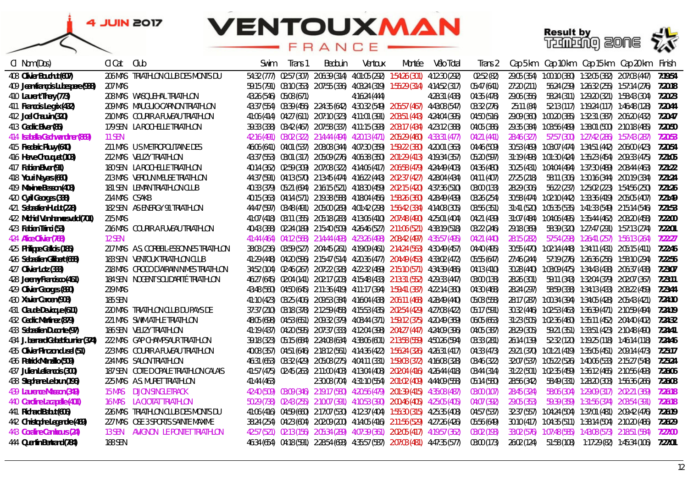

| CI Nom (Dos)                        | Cl Cat         | Club                                    | Swim        | Irans 1                 | Bedouin | Ventoux      | Montée                                                                                    | Vélo Total    | Trans 2     |             |  | Cap 5 km Cap 10 km Cap 15 km Cap 20 km Finish                                 |         |
|-------------------------------------|----------------|-----------------------------------------|-------------|-------------------------|---------|--------------|-------------------------------------------------------------------------------------------|---------------|-------------|-------------|--|-------------------------------------------------------------------------------|---------|
| 408 Olivier Bouchut (607)           |                | 206 MAS TRIATHLON CLUB DES MONTS DU     |             |                         |         |              | 54:32 (777) 02:57 (307) 2:06:39 (314) 4:01:05 (292) 1:54:26 (301) 4:12:30 (292)           |               | 02:52 (82)  | 29:05 (354) |  |                                                                               | 7:19:54 |
| 409 Jean-françois Lubespere (938)   | <b>207 MAS</b> |                                         |             |                         |         |              | 59:15 (791) 03:10 (353) 2:07:55 (336) 4:03:24 (319) 1:55:29 (314) 4:14:52 (317)           |               | 05:47 (641) | 27:20 (211) |  |                                                                               |         |
| 410 Laurent Thery (773)             |                | 208 MAS WASQUEHAL TRIATHLON             |             | 43:26 (546) 05:08 (671) |         | 4:16:24(444) |                                                                                           | 4:28:31 (438) | 04:35 (478) | 29:06 (356) |  | 58:24 (311) 1:29:20 (321) 1:58:43 (304) 7:20:23                               |         |
| 411 Francois Le grix (432)          |                | <b>209 MAS MAUGUIO-CARNON TRIATHLON</b> |             |                         |         |              | 43:37 (554) 03:39 (456) 2:24:35 (642) 4:30:32 (549) 2:05:57 (467) 4:43:08 (547)           |               | 03:32 (276) | 25:11 (84)  |  | 52:13 (117) 1:19:24 (117) 1:46:48 (128) 7:20:44                               |         |
| 412 Joel Chauvin (320)              |                | 210 MAS COURIR A FUVEAU TRIATHLON       |             |                         |         |              | 41:06 (414) 04:27 (611) 2:07:10 (323) 4:11:01 (391) 2:03:51 (443) 4:24:04 (395)           |               | 04:50 (516) |             |  |                                                                               |         |
| 413 Cedric Biver (85)               |                | 179 SEN LA ROCHELLE TRIATHLON           |             |                         |         |              | 39:33 (338) 03:42 (467) 2:07:58 (337) 4:11:15 (393) 2:03:17 (434) 4:23:12 (388)           |               | 04:05 (386) |             |  |                                                                               |         |
| 414 Isabella Gschwandtner (869)     | 11 SEN         |                                         |             |                         |         |              | 42:16 (491) 03:02 (322) 2:14:44 (494) 4:20:13 (471) 2:05:29 (460) 4:33:31 (477)           |               | 04:21 (441) | 28:46 (327) |  |                                                                               |         |
| 415 Frederic Pluvy (640)            |                | 211 MAS U S METROPOLITAINE DES          |             |                         |         |              | 46:06 (641)  04:01 (537)  2:08:08 (344)  4:07:30 (359)  1:59:22 (380)  4:20:01 (363)      |               | 04:46 (509) |             |  |                                                                               |         |
| 416 Herve Chouquet (103)            |                | 212 MAS VELIZY TRIATHLON                |             |                         |         |              | 43:37 (553) 03:01 (317) 2:05:09 (276) 4:06:38 (350) 2:01:29 (413) 4:19:34 (357)           |               | 05:20 (597) |             |  | 31:19 (498)  1:01:30 (424)  1:35:23 (454)  2:09:33 (475)  7:21:05             |         |
| 417 Fabien Biver (91)               |                | 180 SEN LA ROCHELLE TRIATHLON           |             |                         |         |              | 40:14 (362) 02:59 (309) 2:07:08 (322) 4:14:06 (417) 2:06:58 (479) 4:24:49 (403)           |               | 04:36 (480) |             |  | 30:25 (431)  1:04:04 (494)  1:37:30 (489)  2:08:44 (463)  7:21:22             |         |
| 418 Youri Neyers (660)              |                | 213 MAS VERDUN MEUSE TRIATHLON          |             |                         |         |              | 44:37 (591) 04:13 (570) 2:13:45 (474) 4:16:22 (443) 2:02:37 (427) 4:28:04 (434)           |               | 04:11 (407) | 27:25 (218) |  |                                                                               |         |
| 419 Maxime Besson (408)             |                | 181 SEN LEMAN TRIATHLON CLUB            |             |                         |         |              | 40:33 (379)  05:21 (694)  2:16:15 (521)  4:18:30 (459)  2:02:15 (420)  4:37:36 (510)      |               | 03:00 (133) | 28:29 (306) |  |                                                                               |         |
| 420 Cyril Georges (338)             | 214 MAS CSAKB  |                                         |             |                         |         |              | 40:15 (363) 04:14 (571) 2:19:38 (588) 4:18:04 (456) 1:58:26 (360) 4:28:49 (439)           |               | 03:26 (254) |             |  | 30:58 (474)  1:02:10 (442)  1:33:36 (419)  2:05:05 (407)  7:21:49             |         |
| 421 Sebastien Hudut (228)           |                | 182 SEN AS ENERGY 91 TRIATHLON          |             |                         |         |              | 44:47 (597) 03:48 (491) 2:05:00 (269) 4:01:42 (298) 1:56:42 (334) 4:14:08 (305)           |               | 03:56 (351) |             |  | 31:41 (520) 1:05:35 (535) 1:41:33 (549) 2:15:14 (546) 7:21:53                 |         |
| 422 Michiel Van hamersveld (701)    | 215 MAS        |                                         |             |                         |         |              | 41:07 (418) 03:11 (355) 2:05:18 (283) 4:13:06 (410) 2:07:48 (490) 4:25:01 (404)           |               | 04:21 (439) |             |  | 31:07 (484)  1:04:06 (495)  1:35:44 (462)  2:08:20  (458)  7:22:00            |         |
| 423 Fabien Trinci (53)              |                | 216 MAS COURIR A FUVEAU TRIATHLON       |             |                         |         |              | 40:43 (388) 02:24 (189) 2:15:40 (509) 4:26:46 (527) 2:11:06 (521) 4:38:19 (518)           |               | 03:22 (246) | 29:18 (369) |  | 58:39 (320) 1:27:47 (291) 1:57:13 (274) 7:22:01                               |         |
| 424 Alice Olivier (768)             | 12 SEN         |                                         |             |                         |         |              | 41:44 (464) 04:12 (568) 2:14:44 (493) 4:23:26 (498) 2:08:42 (497) 4:35:57 (495)           |               | 04:21 (440) | 28:15 (282) |  | 57:54 (298) 1:26:41 (257) 1:56:13 (264) 7:22:27                               |         |
| 425 Philippe Gallois (185)          |                | 217 MAS A.S. CORBEIL-ESSONNES TRIATHLON |             |                         |         |              | 38:03 (236) 03:59 (527) 2:04:45 (261) 4:19:09 (461) 2:14:24 (563) 4:30:49 (457)           |               | 04:40 (495) |             |  | 30:55 (470) 1:02:14 (448) 1:34:11 (431) 2:05:15 (411) 7:22:46                 |         |
| 426 Sebastien Gilibert (658)        |                | 183 SEN VENTOUX TRIATHLON CLUB          |             |                         |         |              | 41:29 (448) 04:20 (596) 2:15:47 (514) 4:20:36 (477) 2:04:49 (453) 4:33:02 (472)           |               | 05:55 (647) |             |  | 27:46 (244) 57:19 (276) 1:26:36 (256) 1:58:10 (294) 7:22:56                   |         |
| 427 Olivier Lotz (333)              |                | 218 MAS CROCO D'AIRAIN NIMES TRIATHLON  |             |                         |         |              | 34:52 (104) 02:46 (267) 2:07:22 (328) 4:22:32 (489) 2:15:10 (571) 4:34:39 (486)           |               | 04:13 (410) |             |  | 30:28 (440)  1:03:09 (475)  1:34:43 (438)  2:06:37 (438)  7:23:07             |         |
| 428 Jeremy Francisco (461)          |                | 184 SEN NOGENT SOLIDARITÉ TRIATHLON     |             |                         |         |              | 46:27 (645) 02:04 (141) 2:02:17 (203) 4:15:48 (433) 2:13:31 (552) 4:29:33 (447)           |               | 03:00 (138) | 28:26 (301) |  |                                                                               |         |
| 429 Olivier Georges (890)           | <b>219 MAS</b> |                                         |             |                         |         |              | 43:48 (560) 04:50 (645) 2:11:36 (419) 4:11:17 (394) 1:59:41 (387) 4:22:14 (380)           |               | 04:30 (468) | 28:24 (297) |  |                                                                               |         |
| 430 Xavier Caroen (908)             | 185 SEN        |                                         |             |                         |         |              | 41:10 (423)   03:25 (406)   2:09:53 (384)   4:16:04 (438)   2:06:11 (468)   4:28:49 (440) |               | 05:03 (558) |             |  | 28:17 (287)     1:00:34 (394)     1:34:05 (428)     2:05:43 (421)     7:24:10 |         |
| 431 Claude Devicque (611)           |                | 220 MAS TRIATHLON CLUB DU PAYS DE       |             |                         |         |              | 37:37 (210) 03:18 (378) 2:12:59 (458) 4:15:53 (435) 2:02:54 (429) 4:27:08 (422)           |               | 05:17 (591) |             |  | 30:32 (446) 1:02:53 (463) 1:36:39 (471) 2:10:59 (494) 7:24:19                 |         |
| 432 Cedric Martinez (879)           |                | 221 MAS SWIM ATHLE TRIATHLON            |             |                         |         |              | 48:05 (698) 04:53 (651) 2:09:32 (379) 4:08:44 (371) 1:59:12 (375) 4:20:49 (369)           |               | 06:05 (663) |             |  | 31:23 (505)  1:02:36 (460)  1:35:11 (452)  2:04:40 (402)  7:24:32             |         |
| 433 Sebastien Duconte (97)          |                | 186 SEN VELIZY TRIATHLON                |             |                         |         |              | 41:19 (437) 04:20 (595) 2:07:37 (333) 4:12:04 (398) 2:04:27 (447) 4:24:09 (396)           |               | 04:05 (387) | 28:29 (305) |  | 59:21 (351) 1:33:51 (423) 2:10:48 (490) 7:24:41                               |         |
| 434 J. bernard Gabet fournier (374) |                | 222 MAS GAP CHAMPSAUR TRIATHLON         |             |                         |         |              | 39:18 (323)  05:15 (684)  2:24:08 (634)  4:38:06 (601)  2:13:58 (559)  4:50:26 (594)      |               | 03:33 (281) | 26:14 (139) |  | 52:32 (120) 1:19:25 (118) 1:46:14 (118) 7:24:46                               |         |
| 435 Olivier Pinczon du sel (51)     |                | 223 MAS   COURIR A FUVEAU TRIATHLON     |             |                         |         |              | 40:08 (357)  04:51 (646)  2:18:12 (561)  4:14:36 (422)  1:56:24 (326)  4:26:31 (417)      |               | 04:33 (473) |             |  | 29:21 (370) 1:01:21 (419) 1:35:05 (451) 2:09:14 (473) 7:25:17                 |         |
| 436 Patrick Manzillo (509)          |                | 224 MAS SALON TRIATHLON                 |             |                         |         |              | 46:31 (653) 03:32 (429) 2:05:08 (275) 4:04:11 (331) 1:59:03 (372) 4:16:08 (328)           |               | 03:46 (322) |             |  | 32:07 (537)  1:05:22 (526)  1:40:06 (533)  2:15:27 (548)  7:25:24             |         |
| 437 Julien Letrancois (300)         |                | 187 SEN COTE DOPALE TRIATHLON CALAIS    |             |                         |         |              | 41:57 (475) 02:45 (263) 2:11:00 (403) 4:13:04 (408) 2:02:04 (416) 4:26:44 (418)           |               | 03:44 (314) |             |  | 31:22 (501)  1:02:35 (459)  1:36:12 (465)  2:10:56 (493)  7:26:06             |         |
| 438 Stephane Le brun (196)          |                | 225 MAS A.S. MURET TRIATHLON            | 41:44 (463) |                         |         |              | 2:30:08 (704) 4:31:10 (554) 2:01:02 (409) 4:44:09 (558)                                   |               | 05:14 (580) | 28:56 (342) |  |                                                                               |         |
| 439 Laurence Masson (349)           | 15 MAS         | DIJON SINGLETRACK                       |             |                         |         |              | 42:40 (509) 03:09 (346) 2:19:17 (580) 4:20:56 (479) 2:01:39 (415) 4:35:08 (487)           |               | 03:00 (107) | 28:45 (324) |  | 58:06 (304) 1:29:09 (317) 2:02:21 (369)                                       | 7:26:18 |
| 440 Caroline Lacapelle (401)        |                | 16 MAS LA CIOTAT TRIATHLON              |             |                         |         |              | 50:29 (738) 02:43 (255) 2:10:07 (391) 4:10:53 (390) 2:00:46 (405) 4:25:05 (405)           |               | 04:07 (392) | 29:05 (353) |  |                                                                               |         |
| 441 Richard Babut (606)             |                | 226 MAS TRIATHLON CLUB DES MONTS DU     |             |                         |         |              | 41:06 (416) 04:59 (660) 2:17:07 (530) 4:12:37 (404) 1:55:30 (315) 4:25:35 (408)           |               | 04:57 (537) |             |  | 32:37 (557)  1:04:24 (504)  1:37:01 (481)  2:09:42  (476)  7:26:19            |         |
| 442 Christophe Legendre (469)       |                | 227 MAS OSE 3 SPORTS SAINTE MAXIME      |             |                         |         |              | 38:24 (254) 04:23 (604) 2:02:09 (200) 4:14:05 (416) 2:11:56 (529) 4:27:26 (426)           |               | 05:56 (649) |             |  | 30:10 (417)  1:04:35 (511)  1:38:14 (504)  2:10:20  (486)  7:26:29            |         |
| 443 Coraline Cambours (24)          |                | 13 SEN AVIGNON LE PONTET TRIATHLON      |             |                         |         |              | 42:57 (521) 02:13 (156) 2:05:34 (289) 4:07:39 (361) 2:02:05 (417) 4:19:57 (362)           |               | 03:02 (193) |             |  |                                                                               |         |
| 444 Quentin Bertrand (784)          | 188 SEN        |                                         |             |                         |         |              | 46:34 (654) 04:18 (591) 2:28:54 (693) 4:35:57 (587) 2:07:03 (481) 4:47:35 (577)           |               | 03:00 (173) |             |  | 26:02 (124) 51:58 (108) 1:17:29 (82) 1:45:34 (106) 7:27:01                    |         |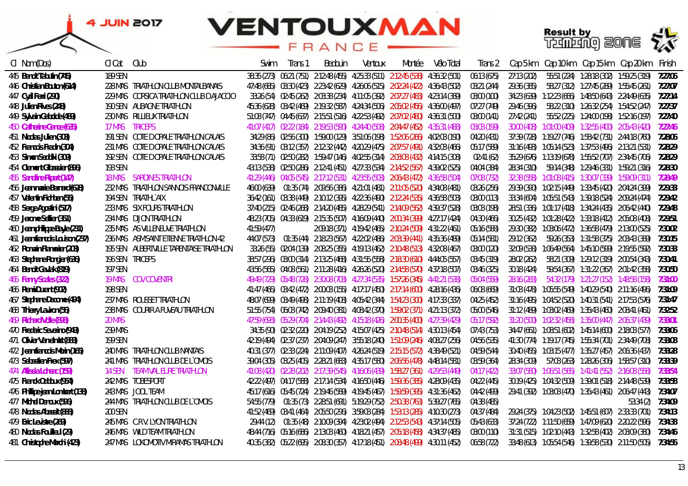#### **VENTOUXMAN**  $\Box$ E A N



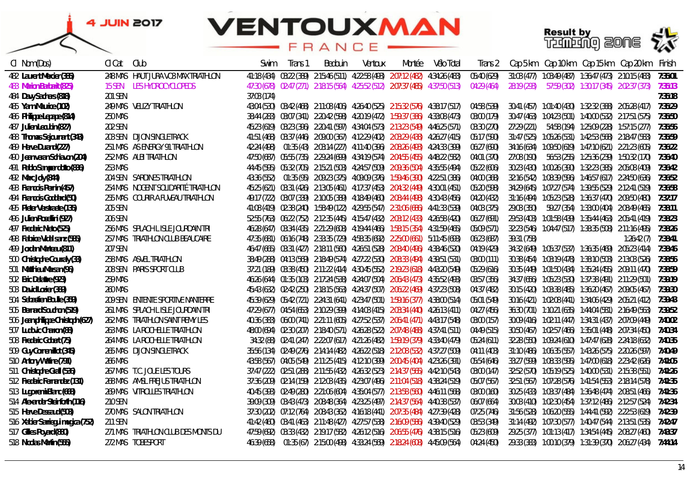## **VENTOUXMAN**

A<sub>N</sub>  $\Box$ E



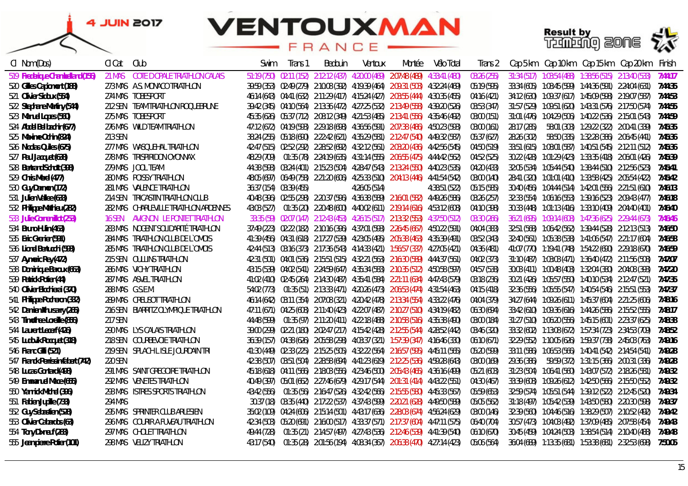

| CI Nom (Dos)                      | CI Cat  | Club                                      | Swim        | Irans 1                 | Bedouin | Ventoux      | Montée                                                                                                                              | Vélo Total    | Trans 2     |             |  | Cap 5 km Cap 10 km Cap 15 km Cap 20 km Finish                                  |         |
|-----------------------------------|---------|-------------------------------------------|-------------|-------------------------|---------|--------------|-------------------------------------------------------------------------------------------------------------------------------------|---------------|-------------|-------------|--|--------------------------------------------------------------------------------|---------|
| 519 Frederique Chambelland (156)  | 21 MAS  | COTE D OPALE TRIATHLON CALAIS             | 51:19 (750) |                         |         |              | 02:11 (152) 2:12:12 (437) 4:20:00 (469) 2:07:48 (489)                                                                               | 4:33:41 (480) | 03:26 (255) |             |  | 31:34 (517) 1:03:54 (488) 1:38:56 (515) 2:13:40 (533)                          | 7:44:17 |
| 520 Gilles Capiomont (188)        |         | 273 MAS A.S. MONACO TRIATHLON             |             |                         |         |              | 39:59 (353) 02:49 (279) 2:10:08 (392) 4:19:39 (464) 2:09:31 (503) 4:32:24 (469)                                                     |               | 05:19 (595) |             |  | 33:34 (605)  1:08:45 (599)  1:44:36 (591)  2:24:04 (631)  7:44:35              |         |
| 521 Olivier Sidoux (554)          |         | 274 MAS TOBESPORT                         |             |                         |         |              | 46:14 (643) 04:41 (632) 2:11:29 (417) 4:15:24 (427) 2:03:55 (444) 4:30:35 (455)                                                     |               | 04:16 (421) |             |  | 34:12 (630) 1:09:37 (617) 1:45:09 (598) 2:19:07 (587) 7:44:53                  |         |
| 522 Stephane Martiny (544)        |         | 212 SEN TEAM TRIATHLON ROQUEBRUNE         |             |                         |         |              | 39:42 (345) 04:10 (564) 2:13:36 (472) 4:27:25 (532) 2:13:49 (558) 4:39:20 (526)                                                     |               | 03:53 (347) |             |  | 31:57 (529)  1:09:51 (620)  1:43:31 (576)  2:17:50  (574)  7:44:55             |         |
| 523 Manuel Lopes (560)            |         | 275 MAS TOBESPORT                         |             |                         |         |              | 45:35 (626) 05:37 (712) 2:08:12 (349) 4:21:53 (485) 2:13:41 (556) 4:35:46 (492)                                                     |               | 03:00 (151) |             |  | 31:01 (476)  1:04:29 (506)  1:40:22 (536)  2:15:01  (543)  7:44:59             |         |
| 524 Abdel Bel bachir (677)        |         | 276 MAS WILD TEAM TRIATHLON               |             |                         |         |              | 47:12 (672) 04:19 (593) 2:29:18 (698) 4:36:56 (591) 2:07:38 (486) 4:50:23 (593)                                                     |               | 03:00 (161) | 28:17 (285) |  | 58:01 (303) 1:29:22 (322) 2:00:41 (339) 7:45:35                                |         |
| 525 Maxime Ochin (824)            | 213 SEN |                                           |             |                         |         |              | 38:24 (255) 05:18 (690) 2:22:42 (621) 4:35:29 (581) 2:12:47 (540) 4:49:32 (587)                                                     |               | 05:37 (627) | 28:26 (302) |  | 58:50 (335)  1:32:28 (386)  2:06:45 (441)  7:45:36                             |         |
| 526 Nicolas Quiles (675)          |         | 277 MAS WASQUEHAL TRIATHLON               |             |                         |         |              | 42:47 (515) 02:52 (292) 2:28:52 (692) 4:32:12 (561) 2:03:20 (436) 4:42:56 (545)                                                     |               | 04:50 (519) |             |  |                                                                                |         |
| 527 Paul Jacquet (638)            |         | 278 MAS TRISPIRIDON OYONNAX               |             |                         |         |              | 48:29 (709)                                  01:35 (78)                2:24:19 (635)   4:31:14 (555)   2:06:55 (475)  4:44:42 (562) |               | 04:52 (525) |             |  | 30:22 (428)     1:01:29 (423)     1:33:35 (418)     2:06:01 (426)     7:45:39  |         |
| 528 Bertrand Schott (398)         |         | 279 MAS JOOL TEAM                         |             |                         |         |              | 44:38 (593) 03:24 (401) 2:15:23 (504) 4:28:47 (543) 2:13:24 (550) 4:40:23 (535)                                                     |               | 04:20 (433) |             |  | 32:05 (534)     1:05:44 (540)     1:38:44 (510)     2:12:56 (523)      7:45:41 |         |
| 529 Chris Merel (477)             |         | 280 MAS POISSY TRIATHLON                  |             |                         |         |              | 48:05 (697) 06:49 (758) 2:21:20 (606) 4:25:33 (510) 2:04:13 (446) 4:41:54 (542)                                                     |               | 03:00 (140) |             |  | 28:41 (320) 1:01:01 (410) 1:33:58 (425) 2:05:54 (422) 7:45:42                  |         |
| 530 Guy Darmon (172)              |         | 281 MAS VALENCE TRIATHLON                 |             | 36:37 (154) 03:39 (455) |         | 4:26:05(514) |                                                                                                                                     | 4:38:51 (522) | 05:15 (585) |             |  | 30:40 (456)  1:04:44 (514)  1:42:01 (556)  2:21:51 (610)  7:46:13              |         |
| 531 Julien Vallee (633)           |         | 214 SEN TRICASTIN TRIATHLON CLUB          |             |                         |         |              | 40:48 (396) 02:55 (298) 2:20:37 (596) 4:36:38 (589) 2:16:01 (582) 4:49:26 (586)                                                     |               | 03:26 (257) |             |  | 32:33 (554)  1:06:16 (553)  1:39:16 (523)  2:09:43 (477)  7:46:18              |         |
| 532 Philippe Mathieu (282)        |         | 282 MAS CHARLEVILLE TRIATHLON ARDENNES    |             |                         |         |              | 43:03 (527)  01:35 (20)  2:20:48 (600)  4:40:02 (611)  2:19:14 (616)  4:53:12 (608)                                                 |               | 04:10 (398) |             |  | 30:33 (448)     1:01:13 (416)     1:33:10 (409)     2:04:40 (401)     7:46:40  |         |
| 533 Julie Cornemillot (253)       |         | <b>16 SEN AVIGNON LE PONTET TRIATHLON</b> |             |                         |         |              | 33:35 (59) 02:07 (147) 2:12:43 (453) 4:26:15 (517) 2:13:32 (553) 4:37:50 (512)                                                      |               | 03:30 (266) |             |  | 36:21 (695)     1:09:14 (608)     1:47:36 (625)     2:29:44 (673)              | 7:46:46 |
| 534 Bruno Hulin (463)             |         | 283 MAS NOGENT SOLIDARITÉ TRIATHLON       |             |                         |         |              | 37:49 (223) 02:22 (182) 2:10:16 (396) 4:37:01 (593) 2:26:45 (667) 4:50:22 (591)                                                     |               | 04:04 (383) |             |  |                                                                                |         |
| 535 Eric Grenier (591)            |         | 284 MAS TRIATHLON CLUB DE L'OMOIS         |             |                         |         |              | 41:39 (456) 04:31 (618) 2:17:27 (539) 4:23:05 (495) 2:05:38 (463) 4:35:39 (491)                                                     |               | 03:52 (343) |             |  | 32:40 (561)  1:05:38 (538)  1:41:06 (547)  2:21:17 (604)  7:46:58              |         |
| 536 Lionel Bertucchi (593)        |         | 285 MAS TRIATHLON CLUB DE L'OMOIS         |             |                         |         |              | 42:44 (513) 03:16 (373) 2:17:36 (543) 4:14:33 (421) 1:56:57 (337) 4:27:05 (421)                                                     |               | 04:36 (481) |             |  | 41:07 (770) 1:19:41 (748) 1:54:22 (690) 2:29:18 (670) 7:46:59                  |         |
| 537 Aymeric Rey (472)             |         | 215 SEN OULLINS TRIATHLON                 |             |                         |         |              | 42:31 (501) 04:01 (536) 2:15:51 (515) 4:32:21 (563) 2:16:30 (589) 4:44:37 (561)                                                     |               | 04:02 (373) |             |  | 31:10 (487)  1:03:03 (471)  1:36:40 (472)  2:11:56 (508)  7:47:07              |         |
| 538 Dominique Baroux (663)        |         | 286 MAS VICHY TRIATHLON                   |             |                         |         |              | 43:15 (539) 04:02 (541) 2:24:59 (647) 4:35:34 (583) 2:10:35 (512) 4:50:58 (597)                                                     |               | 04:57 (538) |             |  | 30:03 (411)  1:00:48 (403)  1:32:04 (380)  2:04:08 (393)  7:47:20              |         |
| 539 Patrick Potier (44)           |         | 287 MAS ASVEL TRIATHLON                   |             |                         |         |              | 41:02 (410) 02:45 (264) 2:14:30 (487) 4:35:41 (584) 2:21:11 (634) 4:47:43 (579)                                                     |               | 03:18 (236) |             |  | 30:21 (426)  1:05:57 (550)  1:40:10 (534)  2:12:47 (521)  7:47:35              |         |
| 540 Olivier Bicchierai (370)      |         | 288 MAS G.S.E.M.                          |             |                         |         |              | 54:02 (773)  01:35 (51)  2:13:33 (471)  4:20:26 (473)  2:06:53 (474)  4:31:54 (463)                                                 |               | 04:15 (418) |             |  | 32:36 (556)  1:05:55 (547)  1:40:54 (546)  2:15:51 (553)  7:47:37              |         |
| 541 Philippe Pocheron (332)       |         | 289 MAS CREUSOT TRIATHLON                 |             |                         |         |              | 46:14 (642) 03:11 (354) 2:07:08 (321) 4:20:42 (478) 2:13:34 (554) 4:33:22 (476)                                                     |               | 04:04 (379) |             |  | 34:27 (644) 1:09:26 (611) 1:45:37 (604) 2:21:25 (606) 7:48:16                  |         |
| 542 Damien Ithursarry (265)       |         | 216 SEN BIARRITZ OLYMPIQUE TRIATHLON      |             |                         |         |              | 47:11 (671) 04:25 (608) 2:11:40 (423) 4:22:07 (487) 2:10:27 (510) 4:34:19 (482)                                                     |               | 06:30 (694) |             |  | 33:42 (610) 1:09:36 (616) 1:44:26 (586) 2:15:52 (555) 7:48:17                  |         |
| 543 Timothee Loreille (856)       | 217 SEN |                                           |             |                         |         |              | 44:48 (599)  01:35 (97)  2:11:20 (411)  4:22:18 (488)  2:10:58 (516)  4:35:38 (490)                                                 |               | 03:00 (184) |             |  | 31:27 (510)  1:06:20 (556)  1:45:15 (601)  2:23:37 (625)  7:48:38              |         |
| 544 Laurent Lecerf (426)          |         | 290 MAS LYS CALAIS TRIATHLON              |             |                         |         |              | 39:00 (299)  02:21 (180)  2:02:47 (217)  4:15:42 (428)  2:12:55 (544)  4:28:52 (442)                                                |               | 03:46 (320) |             |  |                                                                                |         |
| 545 Ludovik Rocquet (318)         |         | 218 SEN COURBEVOIE TRIATHLON              |             |                         |         |              | 36:39 (157)  04:38 (626)  2:05:58 (298)  4:03:37 (321)  1:57:39 (347)  4:16:46 (330)                                                |               | 06:10 (671) |             |  |                                                                                |         |
| 546 Franc Gilli (521)             |         | 219 SEN SPLACH LISLE JOURDAIN TRI         |             |                         |         |              | 41:30 (449) 02:33 (225) 2:15:25 (505) 4:32:22 (564) 2:16:57 (595) 4:45:11 (565)                                                     |               | 05:20 (599) |             |  | 33:11 (586)     1:06:53 (566)     1:40:41 (542)     2:14:54 (541)     7:49:28  |         |
| 547 Franck Perrissin-fabert (742) | 220 SEN |                                           |             |                         |         |              | 42:38 (507) 03:51 (504) 2:28:58 (694) 4:41:23 (619) 2:12:25 (536) 4:59:28 (643)                                                     |               | 03:00 (169) | 29:36 (386) |  | 59:59 (372) 1:31:15 (366) 2:00:31 (336) 7:49:28                                |         |
| 548 Lucas Gontard (498)           |         | 291 MAS SAINT GREGOIRE TRIATHLON          |             |                         |         |              | 45:18 (618) 04:11 (566) 2:18:03 (556) 4:23:46 (500) 2:05:43 (465) 4:36:16 (499)                                                     |               | 05:21 (603) |             |  | 31:23 (504)  1:06:41 (560)  1:43:07 (572)  2:18:26 (581)  7:49:32              |         |
| 549 Emmanuel Mace (655)           |         | 292 MAS VENETES TRIATHLON                 |             |                         |         |              | 40:49 (397) 05:01 (662) 2:27:46 (679) 4:29:17 (544) 2:01:31 (414) 4:43:22 (551)                                                     |               | 04:30 (467) |             |  | 33:39 (608)  1:09:26 (612)  1:42:50 (566)  2:15:50 (552)                       | 7:49:32 |
| 550 Yannick Michel (396)          |         | 293 MAS ISTRES SPORTS TRIATHLON           | 43:42 (556) |                         |         |              | 01:35 (56)     2:16:47 (526)     4:32:42 (566)     2:15:55 (580)     4:45:33 (567)                                                  |               | 05:59 (653) |             |  | 32:59 (574)     1:05:51 (544)     1:39:12 (522)     2:12:45 (520)              | 7:49:34 |
| 551 Fabien Jupille (733)          | 294 MAS |                                           |             |                         |         |              | 30:37 (18) 03:35 (440) 2:17:22 (537) 4:37:43 (599) 2:20:21 (628) 4:49:50 (589)                                                      |               | 05:05 (562) |             |  | 31:18 (497)  1:05:42 (539)  1:43:50 (580)  2:20:30 (598)  7:49:37              |         |
| 552 Guy Sebastien (528)           |         | 295 MAS SPRINTER CLUB ARLESIEN            |             |                         |         |              | 35:02 (109) 04:24 (606) 2:15:14 (501) 4:43:17 (636) 2:28:03 (674) 4:56:24 (629)                                                     |               | 03:00 (146) |             |  |                                                                                |         |
| 553 Olivier Cabardos (63)         |         | 296 MAS COURIR A FUVEAU TRIATHLON         |             |                         |         |              | 42:34 (503) 05:20 (691) 2:16:00 (517) 4:33:37 (571) 2:17:37 (604) 4:47:11 (575)                                                     |               | 06:40 (704) |             |  |                                                                                |         |
| 554 Tony Dixneuf (283)            |         | 297 MAS CHOLET TRIATHLON                  | 49:44 (728) |                         |         |              | 01:35 (21) 2:14:57 (497) 4:27:43 (536) 2:12:46 (539) 4:41:39 (540)                                                                  |               | 06:10 (670) |             |  | 30:45 (459)     1:04:24 (503)     1:38:54 (514)     2:10:40 (488)              | 7:49:48 |
| 555 Jean pierre Potier (101)      |         | 298 MAS VELIZY TRIATHLON                  | 43:17 (540) |                         |         |              | 01:35 (28) 2:01:56 (194) 4:08:34 (367) 2:06:38 (470) 4:27:14 (423)                                                                  |               | 05:06 (564) |             |  |                                                                                | 7:50:05 |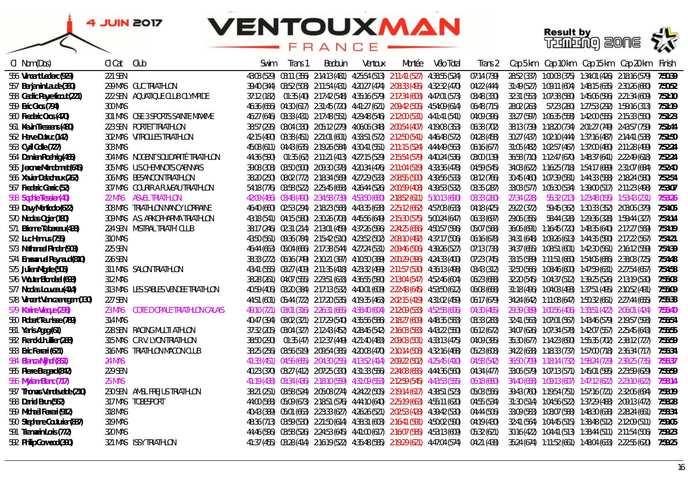

| CI Nom (Dos)                   | Cl Cat         | Club                                | Swim | Trans 1 | Bedouin | Ventoux | Montée                                                                                           | Vélo Total | Trans 2     |             |  | Cap 5 km Cap 10 km Cap 15 km Cap 20 km Finish                                 |         |
|--------------------------------|----------------|-------------------------------------|------|---------|---------|---------|--------------------------------------------------------------------------------------------------|------------|-------------|-------------|--|-------------------------------------------------------------------------------|---------|
| 556 Vincent Leclerc (929)      | 221 SEN        |                                     |      |         |         |         | 43:03 (529) 03:11 (356) 2:14:13 (481) 4:25:54 (513) 2:11:41 (527) 4:38:55 (524)                  |            | 07:14 (739) |             |  | 28:52 (337) 1:00:03 (375) 1:34:01 (426) 2:18:16 (579)                         | 7:50:39 |
| 557 Benjamin Laude (380)       |                | 299 MAS GUC TRIATHLON               |      |         |         |         | 39:40 (344)  03:52 (508)  2:11:54 (431)  4:20:27 (474)  2:08:33 (495)  4:32:32 (470)             |            | 04:22 (444) |             |  | 31:49 (527) 1:09:11 (604) 1:48:15 (635) 2:30:26 (680) 7:50:52                 |         |
| 558 Cedric Payre ficout (221)  |                | 222 SEN AQUATIQUE CLUB OLYMPIDE     |      |         |         |         | 37:12 (182)     01:35 (40)     2:17:42 (548)     4:35:16 (579)     2:17:34 (603)   4:47:01 (573) |            | 03:48 (330) |             |  | 32:31 (553)  1:07:38 (580)  1:45:06 (596)  2:21:34 (609)  7:51:10             |         |
| 559 Eric Gros (794)            | 300 MAS        |                                     |      |         |         |         | 46:36 (656) 04:30 (617) 2:31:45 (720) 4:41:27 (621) 2:09:42 (505) 4:54:09 (614)                  |            | 06:48 (715) | 28:02 (263) |  |                                                                               |         |
| 560 Frederic Cros (470)        |                | 301 MAS OSE 3 SPORTS SAINTE MAXIME  |      |         |         |         | 46:27 (646) 03:33 (431) 2:17:48 (551) 4:29:48 (546) 2:12:00 (531) 4:41:41 (541)                  |            | 04:09 (396) |             |  | 33:27 (597)  1:06:35 (558)  1:42:00 (555)  2:15:33 (550)  7:51:23             |         |
| 561 Kevin Tressens (480)       |                | 223 SEN PORTET TRIATHLON            |      |         |         |         | 38:57 (295)    03:04 (330)   2:05:12 (279)   4:06:06 (348)   2:00:54 (407)   4:19:08 (353)       |            | 06:38 (702) |             |  |                                                                               |         |
| 562 Herve Dutruc (142)         |                | 302 MAS VITROLLES TRIATHLON         |      |         |         |         | 42:15 (490) 03:38 (451) 2:21:01 (601) 4:33:51 (572) 2:12:50 (541) 4:46:48 (572)                  |            | 04:28 (458) |             |  |                                                                               |         |
| 563 Cyril Colle (727)          | 303 MAS        |                                     |      |         |         |         | 45:08 (611) 04:43 (635) 2:19:26 (584) 4:30:41 (551) 2:11:15 (524) 4:44:49 (563)                  |            | 06:16 (677) |             |  | 31:05 (482) 1:02:57 (467) 1:37:00 (480) 2:11:28 (499) 7:52:24                 |         |
| 564 Damien Roehrig (465)       |                | 304 MAS NOGENT SOLIDARITÉ TRIATHLON |      |         |         |         | 44:36 (590)  01:35 (62)  2:11:21 (413)  4:27:15 (529)  2:15:54 (579)  4:40:24 (536)              |            | 03:00 (139) |             |  | 36:58 (710) 1:12:47 (670) 1:48:37 (641) 2:22:49 (618) 7:52:24                 |         |
| 565 Jerome Mandonnet (645)     |                | 305 MAS U.S.CHEMINOTS CAENNAIS      |      |         |         |         | 39:08 (308)  03:50 (500)  2:09:30 (378)  4:20:34 (476)  2:11:04 (519)  4:33:36 (478)             |            | 04:59 (545) |             |  | 34:03 (622)  1:16:25 (718)  1:54:17 (689)  2:31:07 (684)  7:52:40             |         |
| 566 Xavier Delachaux (262)     |                | 306 MAS BESANCON TRIATHLON          |      |         |         |         | 38:20 (250) 08:02 (772) 2:18:34 (569) 4:27:29 (533) 2:08:55 (500) 4:39:56 (533)                  |            | 08:12 (766) |             |  | 30:45 (460)  1:07:39 (581)  1:44:33 (588)  2:18:24 (580)  7:52:54             |         |
| 567 Frederic Garric (52)       |                | 307 MAS COURIR A FUVEAU TRIATHLON   |      |         |         |         | 54:18 (776) 03:58 (522) 2:25:45 (658) 4:26:44 (526) 2:00:59 (408) 4:39:53 (532)                  |            | 03:35 (287) |             |  | 33:03 (577)  1:05:30 (534)  1:39:00 (517)  2:11:23 (498)  7:53:07             |         |
| 568 Sophie Tessier (40)        | $22$ MAS       | ASVEL TRIATHLON                     |      |         |         |         | 42:09 (486) 03:48 (490) 2:34:58 (739) 4:53:50 (680) 2:18:52 (611) 5:10:13 (690)                  |            | 03:33 (280) | 27:34 (228) |  |                                                                               | 7:53:26 |
| 569 Davy Monticolo (622)       |                | 308 MAS TRIATHLON NANCY LORRAINE    |      |         |         |         | 46:40 (660) 02:53 (294) 2:18:23 (568) 4:43:35 (638) 2:25:12 (662) 4:57:08 (633)                  |            | 04:18 (425) | 29:22 (372) |  |                                                                               | 7:54:05 |
| 570 Nicolas Ogier (180)        |                | 309 MAS A.S. ARKOPHARMA TRIATHLON   |      |         |         |         | 43:18 (541) 04:15 (580) 2:30:26 (708) 4:45:56 (649) 2:15:30 (575) 5:00:24 (647)                  |            | 06:33 (697) | 29:06 (355) |  | 58:44 (328) 1:29:36 (328) 1:59:44 (327) 7:54:14                               |         |
| 571 Etienne Tabareau (438)     |                | 224 SEN MISTRAL TRIATH' CLUB        |      |         |         |         | 38:17 (246) 02:31 (214) 2:13:01 (459) 4:37:26 (596) 2:24:25 (656) 4:50:57 (596)                  |            | 05:07 (568) |             |  | 36:06 (691)  1:16:45 (720)  1:48:35 (640)  2:17:27 (569)  7:54:19             |         |
| 572 Luc Hennus (755)           | <b>310 MAS</b> |                                     |      |         |         |         | 43:50 (561) 09:36 (784) 2:15:42 (510) 4:23:52 (502) 2:08:10 (492) 4:37:17 (506)                  |            | 06:16 (678) |             |  | 34:31 (648)  1:09:26 (613)  1:44:35 (590)  2:17:22 (567)  7:54:21             |         |
| 573 Nathanael Pinder (903)     | 225 SEN        |                                     |      |         |         |         | 46:44 (663) 05:04 (666) 2:17:38 (544) 4:27:24 (531) 2:09:46 (506) 4:39:26 (527)                  |            | 07:13 (738) |             |  |                                                                               | 7:54:39 |
| 574 Emmanuel Reynaud (810)     | 226 SEN        |                                     |      |         |         |         | 38:33 (272) 06:16 (749) 2:10:21 (397) 4:10:50 (389) 2:00:29 (396) 4:24:33 (400)                  |            | 07:23 (745) |             |  |                                                                               | 7:54:48 |
| 575 Julien Migale (505)        |                | 311 MAS SALON TRIATHLON             |      |         |         |         | 43:41 (555) 03:27 (409) 2:11:35 (418) 4:23:32 (499) 2:11:57 (530) 4:36:13 (498)                  |            | 03:43 (312) |             |  | 32:50 (566)  1:08:46 (600)  1:47:59 (631)  2:27:54 (657)  7:54:58             |         |
| 576 Wouter Blondeel (693)      | 312 MAS        |                                     |      |         |         |         | 38:28 (261) 04:07 (555) 2:23:51 (633) 4:36:55 (590) 2:13:04 (547) 4:52:46 (604)                  |            | 06:23 (688) |             |  | 32:20 (545)  1:04:37 (512)  1:39:25 (526)  2:13:19 (530)  7:55:03             |         |
| 577 Nicolas Louveau (414)      |                | 313 MAS LES SABLES VENDEE TRIATHLON |      |         |         |         | 40:59 (406) 03:20 (384) 2:17:13 (532) 4:40:01 (609) 2:22:48 (645) 4:53:50 (612)                  |            | 06:08 (668) |             |  | 31:18 (496)  1:04:03 (493)  1:37:51 (495)  2:10:52 (491)  7:55:09             |         |
| 578 Vincent Van caenegem (130) | 227 SEN        |                                     |      |         |         |         | 44:51 (601) 05:44 (722) 2:17:20 (535) 4:19:35 (463) 2:02:15 (419) 4:31:02 (459)                  |            | 06:17 (679) |             |  |                                                                               | 7:55:38 |
| 579 Karine Vieque (298)        | <b>23 MAS</b>  | COTE D'OPALE TRIATHLON CALAIS       |      |         |         |         | 49:10 (721) 03:01 (316) 2:26:31 (665) 4:38:40 (604) 2:12:09 (533) 4:52:58 (606)                  |            | 04:30 (465) |             |  | 29:39 (389)  1:00:56 (406)  1:33:51 (422)  2:06:01 (424)  7:55:40             |         |
| 580 Robert Teunisse (789)      | 314 MAS        |                                     |      |         |         |         | 40:47 (394) 03:02 (321) 2:17:29 (540) 4:35:56 (586) 2:18:27 (609) 4:48:35 (583)                  |            | 03:33 (283) |             |  | 32:41 (563)    1:07:01 (567)    1:43:46 (579)    2:19:57 (593)      7:55:54   |         |
| 581 Yanis Agag (61)            |                | 228 SEN RACING MULTI ATHLON         |      |         |         |         | 37:32 (205)  03:04 (327)  2:12:43 (452)  4:28:46 (542)  2:16:03 (583)  4:43:22 (550)             |            | 06:12 (672) |             |  |                                                                               | 7:55:55 |
| 582 Franck Lhuillier (268)     |                | 315 MAS C.R.V. LYON TRIATHLON       |      |         |         |         | 38:50 (290)  01:35 (47)  2:12:37 (449)  4:21:40 (483)  2:09:03 (501)  4:33:13 (475)              |            | 04:09 (395) |             |  | 35:30 (677)     1:14:23 (690)     1:55:35 (702)     2:38:12 (727)     7:55:59 |         |
| 583 Eric Ferrari (621)         |                | 316 MAS TRIATHLON MACON CLUB        |      |         |         |         | 38:25 (256)  03:56 (519)  2:09:54 (385)  4:20:08 (470)  2:10:14 (508)  4:32:16 (468)             |            | 05:23 (608) |             |  | 34:22 (638)  1:18:33 (737)  1:57:00 (718)  2:36:34 (717)  7:56:34             |         |
| 584 Bianca Nijhof (851)        | 24 MAS         |                                     |      |         |         |         | 41:33 (451) 04:56 (655) 2:04:30 (255) 4:13:52 (414) 2:09:22 (502) 4:25:45 (410)                  |            | 04:58 (542) |             |  |                                                                               | 7:56:37 |
| 585 Pierre Bragard (842)       | 229 SEN        |                                     |      |         |         |         | 40:23 (370) 03:27 (412) 2:07:25 (330) 4:31:33 (556) 2:24:08 (655) 4:44:36 (560)                  |            | 04:34 (477) |             |  |                                                                               | 7:56:59 |
| 586 Myriam Blanc (717)         | <b>25 MAS</b>  |                                     |      |         |         |         | 41:19 (438)  03:34 (436)  2:18:10 (559)  4:31:09 (553)  2:12:59 (545)  4:43:53 (555)             |            | 06:18 (680) |             |  |                                                                               | 7:58:14 |
| 587 Thomas Vandevelde (210)    |                | 230 SEN AMSL FREJUS TRIATHLON       |      |         |         |         | 38:21 (251) 03:58 (524) 2:05:08 (274) 4:24:22 (505) 2:19:14 (617) 4:38:51 (523)                  |            | 05:03 (556) |             |  | 39:43 (760)          1:19:54 (751)          1:57:16 (721)     2:32:06 (694)   | 7:58:19 |
| 588 Daniel Brun (562)          |                | 317 MAS TOBESPORT                   |      |         |         |         | 44:00 (568) 05:09 (673) 2:18:51 (576) 4:44:10 (640) 2:25:19 (663) 4:55:11 (620)                  |            | 04:55 (534) |             |  | 31:30 (514)  1:04:56 (522)  1:37:29 (488)  2:09:13 (472)  7:58:28             |         |
| 589 Michaël Ferrari (912)      | 318 MAS        |                                     |      |         |         |         | 40:43 (389) 05:01 (663) 2:23:33 (627) 4:26:26 (521) 2:02:53 (428) 4:39:42 (530)                  |            | 04:44 (506) |             |  |                                                                               |         |
| 590 Stephane Couturier (887)   | 319 MAS        |                                     |      |         |         |         | 48:36 (713) 03:59 (530) 2:21:50 (614) 4:38:31 (603) 2:16:41 (591) 4:50:02 (590)                  |            | 04:19 (430) |             |  | 32:41 (564)  1:04:45 (515)  1:38:48 (512)  2:12:09  (511)  7:59:05            |         |
| 591 Tramarin Loris (772)       | <b>320 MAS</b> |                                     |      |         |         |         | 44:46 (596) 03:58 (526) 2:24:53 (645) 4:41:00 (617) 2:16:07 (585) 4:53:13 (609)                  |            | 05:32 (621) |             |  |                                                                               | 7:59:23 |
| 592 Philip Gorwood (390)       |                | 321 MAS ISSY TRIATHLON              |      |         |         |         | 41:37 (455) 03:28 (414) 2:16:19 (522) 4:35:48 (585) 2:19:29 (621) 4:47:04 (574)                  |            | 04:21 (438) |             |  |                                                                               | 7:59:25 |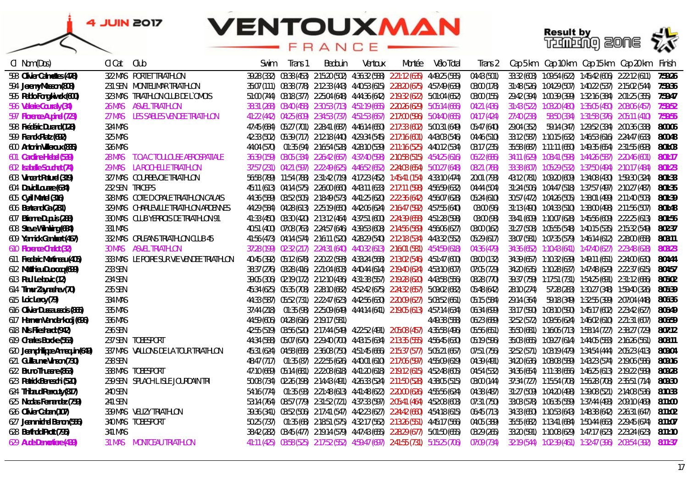



| CI Nom (Dos)                     | CI Cat          | Club                                      | Swim        | Trans i | Bedouin                               | Ventoux | Montée                                                                                    | Vélo Total    | Irans 2     |             |  | Cap 5 km Cap 10 km Cap 15 km Cap 20 km                   | Finish  |
|----------------------------------|-----------------|-------------------------------------------|-------------|---------|---------------------------------------|---------|-------------------------------------------------------------------------------------------|---------------|-------------|-------------|--|----------------------------------------------------------|---------|
| 593 Olivier Calmettes (478)      |                 | 322 MAS PORTET TRIATHLON                  |             |         |                                       |         | 39:28 (332) 03:38 (453) 2:15:20 (502) 4:36:32 (588) 2:21:12 (635) 4:49:25 (585)           |               | 04:43 (501) |             |  | 33:32 (603) 1:09:54 (622) 1:45:42 (606) 2:22:12 (611)    | 7:59:26 |
| 594 Jeremy Masson (808)          |                 | 231 SEN MONTELIMAR TRIATHLON              |             |         |                                       |         | 35:07 (111) 08:38 (778) 2:12:33 (443) 4:40:53 (615) 2:28:20 (675) 4:57:49 (639)           |               | 03:00 (178) |             |  | 31:48 (526) 1:04:29 (507) 1:40:22 (537) 2:15:02 (544)    | 7:59:36 |
| 595 Pablo Fong kiwok (600)       |                 | 323 MAS TRIATHLON CLUB DE L'OMOIS         |             |         |                                       |         | 51:00 (744) 03:18 (377) 2:25:04 (648) 4:44:36 (642) 2:19:32 (622) 5:01:04 (652)           |               | 03:00 (155) |             |  | 29:42 (394) 1:00:39 (399) 1:32:16 (384) 2:01:25 (355)    | 7:59:47 |
| 596 Valerie Courraly (34)        |                 | 26 MAS ASVEL TRIATHLON                    |             |         |                                       |         | 38:31 (268) 03:40 (458) 2:30:53 (713) 4:51:19 (665) 2:20:26 (629) 5:05:14 (666)           |               | 04:21 (436) |             |  | 31:43 (522) 1:03:20 (480) 1:35:05 (450) 2:08:06 (457)    | 7:59:52 |
| 597 Florence Aupinel (723)       |                 | 27 MAS LES SABLES VENDEE TRIATHLON        |             |         |                                       |         | 41:22 (442) 04:25 (609) 2:34:53 (737) 4:51:53 (667) 2:17:00 (596) 5:04:40 (665)           |               | 04:17 (424) | 27:40 (238) |  |                                                          | 7:59:55 |
| 598 Frédéric Durand (128)        | 324 MAS         |                                           |             |         |                                       |         | 47:45 (684) 05:27 (701) 2:28:41 (687) 4:46:14 (650) 2:17:33 (602) 5:00:31 (649)           |               | 05:47 (640) | 29:04 (352) |  |                                                          | 8:00:06 |
| 599 Franck Platz (692)           | 325 MAS         |                                           |             |         |                                       |         | 42:33 (502) 05:39 (717) 2:12:18 (440) 4:29:34 (545) 2:17:16 (601) 4:43:03 (546)           |               | 04:46 (510) |             |  | 33:12 (587)  1:10:15 (632)  1:46:53 (616)  2:24:47 (633) | 8:00:48 |
| 600 Antonin Villeroux (835)      | 326 MAS         |                                           |             |         |                                       |         | 44:04 (570)  01:35 (94)  2:16:54 (528)  4:28:10 (539)  2:11:16 (525)  4:40:12 (534)       |               | 03:17 (235) |             |  | 35:58 (687)  1:11:11 (650)  1:49:35 (654)  2:31:55 (693) | 8:01:03 |
| 601 Caroline Hiebel (539)        |                 | 28 MAS T.O.A.C TOULOUSE AEROSPATIALE      |             |         |                                       |         | 36:39 (159)  03:05 (334)  2:26:42 (667)  4:37:40 (598)  2:10:58 (515)  4:54:25 (616)      |               | 06:22 (686) |             |  | 34:11 (629) 1:08:41 (598) 1:44:26 (587) 2:20:46 (601)    | 8:01:17 |
| 602 Isabelle Souchet (74)        |                 | 29 MAS LA ROCHELLE TRIATHLON              |             |         |                                       |         | 37:57 (231)  04:21 (597)  2:22:49 (625)  4:46:52 (652)  2:24:03 (654)  5:00:27 (648)      |               | 08:21 (768) |             |  | 33:38 (607) 1:05:29 (532) 1:37:50 (494) 2:10:17 (484)    | 8:01:23 |
| 603 Vincent Paturel (319)        |                 | 327 MAS COURBEVOIE TRIATHLON              |             |         |                                       |         | 56:58 (789) 11:54 (788) 2:31:42 (719) 4:17:23 (452) 1:45:41 (154) 4:33:10 (474)           |               | 20:01 (793) |             |  | 43:12 (781)  1:09:20 (609)  1:34:08 (430)  1:59:30 (324) | 8:01:33 |
| 604 David Louaze (634)           | 232 SEN TRICEPS |                                           |             |         |                                       |         | 45:11 (613) 04:14 (575) 2:26:00 (660) 4:43:11 (633) 2:17:11 (598) 4:56:59 (632)           |               | 04:44 (504) |             |  | 31:24 (506) 1:04:47 (518) 1:37:57 (497) 2:10:27 (487)    | 8:01:35 |
| 605 Cyril Martel (316)           |                 | 328 MAS COTE DOPALE TRIATHLON CALAIS      |             |         |                                       |         | 44:36 (589) 03:52 (505) 2:18:49 (573) 4:41:25 (620) 2:22:36 (642) 4:56:07 (628)           |               | 05:24 (610) |             |  | 30:57 (472) 1:04:26 (505) 1:38:01 (499) 2:11:40 (503)    | 8:01:39 |
| 606 Bertrand Ga (281)            |                 | 329 MAS CHARLEVILLE TRIATHLON ARDENNES    |             |         |                                       |         | 44:29 (584)  04:28 (613)  2:25:19 (650)  4:42:06 (624)  2:16:47 (592)  4:57:55 (640)      |               | 03:00 (96)  |             |  | 31:13 (490) 1:04:33 (510) 1:38:00 (498) 2:11:56 (507)    | 8:01:48 |
| 607 Etienne Dupuis (288)         |                 | 330 MAS CLUB YERROIS DE TRIATHLON 91      |             |         |                                       |         | 41:33 (450) 03:30 (420) 2:13:12 (464) 4:37:51 (600) 2:24:39 (658) 4:51:28 (598)           |               | 03:00 (98)  |             |  | 33:41 (609) 1:10:07 (628) 1:45:56 (609) 2:22:25 (613)    | 8:01:56 |
| 608 Steve Wilmking (684)         | 331 MAS         |                                           |             |         |                                       |         | 40:51 (400) 07:08 (763) 2:24:57 (646) 4:39:53 (608) 2:14:56 (569) 4:56:06 (627)           |               | 03:00 (162) |             |  | 31:27 (508) 1:05:55 (548) 1:40:15 (535) 2:15:32 (549)    | 8:02:37 |
| 609 Yannick Gambert (467)        |                 | 332 MAS ORLEANS TRIATHLON CLUB 45         |             |         |                                       |         | 41:56 (473) 04:14 (574) 2:16:11 (520) 4:28:29 (540) 2:12:18 (534) 4:43:32 (552)           |               | 05:29 (617) |             |  | 33:07 (581) 1:07:35 (579) 1:46:14 (612) 2:28:00 (658)    | 8:03:11 |
| 610 Florence Chalot (32)         |                 | <b>30 MAS ASVEL TRIATHLON</b>             |             |         |                                       |         | 37:28 (199) 02:32 (217) 2:24:31 (640) 4:40:32 (613) 2:16:01 (581) 4:54:59 (618)           |               | 04:36 (479) |             |  | 34:36 (652) 1:10:43 (641) 1:47:40 (627) 2:23:48 (628)    | 8:03:23 |
| 611 Frederic Martineau (405)     |                 | 333 MAS LE POIRE SUR VIE VENDEE TRIATHLON |             |         |                                       |         | 40:45 (392) 05:12 (678) 2:20:22 (593) 4:33:24 (568) 2:13:02 (546) 4:51:47 (600)           |               | 03:00 (132) |             |  | 34:39 (657) 1:10:32 (639) 1:49:11 (651) 2:24:00 (630)    | 8:04:44 |
| 612 Matthieu Ducrocq (699)       | 233 SEN         |                                           |             |         |                                       |         | 38:37 (276) 03:28 (416) 2:21:04 (603) 4:40:44 (614) 2:19:40 (624) 4:53:10 (607)           |               | 07:05 (729) |             |  | 34:20 (635) 1:10:28 (637) 1:47:48 (629) 2:22:37 (615)    | 8:04:57 |
| 613 Paul Le bovic (12)           | 234 SEN         |                                           |             |         |                                       |         | 39:05 (306) 02:19 (172) 2:12:10 (436) 4:31:38 (557) 2:19:28 (620) 4:43:58 (556)           |               | 08:28 (770) |             |  | 39:37 (759) 1:17:51 (731) 1:54:25 (691) 2:31:12 (686)    | 8:05:02 |
| 614 Timur Zaynashev (70)         | 235 SEN         |                                           |             |         |                                       |         | 45:34 (625) 05:35 (708) 2:28:10 (682) 4:52:42 (675) 2:24:32 (657) 5:09:02 (682)           |               | 05:48 (642) | 28:10 (274) |  | 57:28 (283) 1:30:27 (348) 1:59:40 (326)                  | 8:05:39 |
| 615 Loic Leroy (79)              | 334 MAS         |                                           |             |         |                                       |         | 44:33 (587) 05:52 (731) 2:22:47 (623) 4:42:56 (630) 2:20:09 (627) 5:03:52 (661)           |               | 05:15 (584) | 29:14 (364) |  |                                                          | 8:06:36 |
| 616 Olivier Dussaussois (865)    | 335 MAS         |                                           |             |         |                                       |         | 37:44 (218)  01:35 (98)  2:25:09 (649)  4:44:14 (641)  2:19:05 (613)  4:57:14 (634)       |               | 06:34 (699) |             |  | 33:17 (590) 1:08:10 (590) 1:45:17 (602) 2:23:42 (627)    | 8:06:49 |
| 617 Harmen Van der kooij (696)   | 336 MAS         |                                           |             |         | 44:59 (606) 04:28 (616) 2:19:17 (581) |         |                                                                                           | 4:49:38 (588) | 06:23 (689) |             |  | 32:52 (572) 1:09:56 (624) 1:46:02 (610) 2:21:31 (607)    | 8:06:59 |
| 618 Nils Flieshardt (942)        | 236 SEN         |                                           |             |         |                                       |         | 42:55 (519) 03:56 (520) 2:17:44 (549) 4:22:52 (491) 2:05:08 (457) 4:35:58 (496)           |               | 05:56 (651) |             |  | 35:50 (681)  1:16:06 (713)  1:58:14 (727)  2:38:27 (729) | 8:07:12 |
| 619 Charles Borcke (563)         |                 | 237 SEN TOBESPORT                         |             |         |                                       |         | 44:34 (588) 05:07 (670) 2:29:40 (700) 4:43:15 (634) 2:13:35 (555) 4:56:45 (630)           |               | 05:19 (596) |             |  | 35:03 (665) 1:09:27 (614) 1:44:05 (583) 2:16:26 (561)    | 8:08:11 |
| 620 Jean philippe Annequin (649) |                 | 337 MAS VALLONS DE LA TOUR TRIATHLON      |             |         |                                       |         | 45:31 (624) 04:58 (658) 2:36:08 (750) 4:51:45 (666) 2:15:37 (577) 5:05:21 (667)           |               | 07:51 (756) |             |  | 32:52 (571) 1:03:19 (479) 1:34:54 (444) 2:05:23 (413)    | 8:09:04 |
| 621 Guillaume Vinson (730)       | 238 SEN         |                                           |             |         |                                       |         | 48:47 (717)  01:35 (87)  2:22:55 (626)  4:40:01 (610)  2:17:06 (597)  4:55:09 (619)       |               | 04:39 (491) |             |  | 34:20 (636) 1:08:08 (589) 1:43:23 (574) 2:19:06 (586)    | 8:09:16 |
| 622 Bruno Thuasne (863)          |                 | 338 MAS TOBESPORT                         |             |         |                                       |         | 47:10 (669) 05:14 (681) 2:22:08 (618) 4:41:20 (618) 2:19:12 (615) 4:52:48 (605)           |               | 04:54 (532) |             |  | 34:36 (654) 1:11:38 (656) 1:46:25 (613) 2:19:22 (589)    | 8:09:28 |
| 623 Patrick Beneschi (520)       |                 | 239 SEN SPLACH LISLE JOURDAIN TRI         |             |         |                                       |         | 50:08 (734) 02:26 (198) 2:14:43 (491) 4:26:33 (524) 2:11:50 (528) 4:38:05 (515)           |               | 03:00 (144) |             |  | 37:34 (727)  1:15:54 (708)  1:56:28 (708)  2:35:51 (714) | 8:09:30 |
| 624 Thibaud Perrouty (817)       | 240 SEN         |                                           |             |         |                                       |         | 54:16 (774)  01:35 (93)  2:21:48 (613)  4:41:48 (622)  2:20:00 (626)  4:55:56 (624)       |               | 04:38 (487) |             |  | 31:27 (509)  1:04:20 (498)  1:39:08 (521)  2:14:08 (536) | 8:10:33 |
| 625 Nicolas Fernandez (759)      | 241 SEN         |                                           |             |         |                                       |         | 53:14 (764) 08:57 (779) 2:31:52 (721) 4:37:33 (597) 2:05:41 (464) 4:52:08 (603)           |               | 07:31 (750) |             |  | 33:03 (578)  1:06:35 (559)  1:37:44 (493)  2:09:10 (469) | 8:11:00 |
| 626 Olivier Caban (107)          |                 | 339 MAS VELIZY TRIATHLON                  |             |         |                                       |         | 39:36 (341)   03:52 (506)   2:17:41 (547)   4:42:23 (627)   2:24:42 (660)   4:54:18 (615) |               | 06:45 (713) |             |  | 34:33 (650) 1:10:53 (643) 1:48:38 (642) 2:26:31 (647)    | 8:11:02 |
| 627 Jean michel Benon (556)      |                 | 340 MAS TOBESPORT                         | 50:25 (737) |         |                                       |         | 01:35 (68)     2:18:51 (575)     4:32:17 (562)     2:13:26 (551)     4:45:17 (566)        |               | 04:05 (389) |             |  | 35:55 (682) 1:13:41 (684) 1:50:44 (663) 2:29:45 (674)    | 8:11:07 |
| 628 Berthold Prott (795)         | 341 MAS         |                                           |             |         |                                       |         | 38:42 (282) 03:45 (477) 2:19:14 (579) 4:47:43 (655) 2:28:29 (677) 5:01:50 (655)           |               | 03:29 (265) |             |  | 33:20 (591) 1:10:08 (629) 1:47:17 (623) 2:23:24 (623)    | 8:11:10 |
| 629 Aude Demortiere (439)        | 31 MAS          | MONTCEAU TRIATHLON                        |             |         |                                       |         | 41:11 (425) 03:58 (525) 2:17:52 (552) 4:59:47 (697) 2:41:55 (731) 5:15:25 (706)           |               | 07:09 (734) |             |  | 32:19 (544) 1:02:39 (461) 1:32:47 (396) 2:03:54 (392)    | 8:11:37 |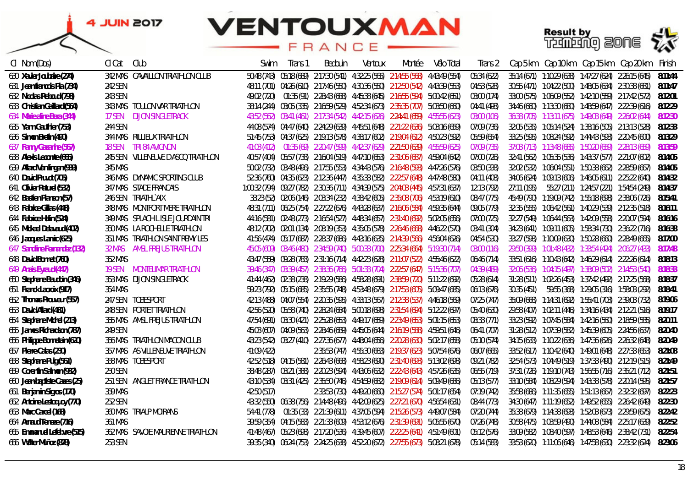### **VENTOUXMAN** RANCE

*Cl Nom (Dos) Cl Cat Club Swim Trans 1 Bedouin Ventoux Montée Vélo Total Trans 2 Cap 5 km Cap 10 km Cap 15 km Cap 20 km Finish*



| 630 Xavier Joubaire (274)    | 342 MAS CAVAILLON TRIATHLON CLUB    |             |                                                                                     | 50:48 (743)  05:18 (689)  2:17:30 (541)  4:32:25 (565)  2:14:55 (568)  4:43:49 (554) | 05:34 (622) | 35:14 (671) 1:10:29 (638) 1:47:27 (624) 2:26:15 (645) 8:11:44     |         |
|------------------------------|-------------------------------------|-------------|-------------------------------------------------------------------------------------|--------------------------------------------------------------------------------------|-------------|-------------------------------------------------------------------|---------|
| 631 Jean francois Pia (734)  | 242 SEN                             |             | 48:11 (701) 04:26 (610) 2:17:46 (550) 4:30:36 (550) 2:12:50 (542) 4:43:39 (553)     |                                                                                      | 04:53 (528) | 30:55 (471) 1:04:22 (500) 1:48:05 (634) 2:30:38 (681) 8:11:47     |         |
| 632 Nicolas Reboud (798)     | 243 SEN                             |             | 49:02 (720)  01:35 (91)  2:28:43 (688)  4:45:38 (645)  2:16:55 (594)  5:00:42 (651) |                                                                                      | 03:00 (174) | 33:00 (575)  1:06:09 (552)  1:42:10 (559)  2:17:42 (572)  8:12:01 |         |
| 633 Christian Gaillard (564) | 343 MAS TOULON VAR TRIATHLON        |             | 38:14 (244) 03:05 (335) 2:16:59 (529) 4:52:34 (673) 2:35:35 (707) 5:03:50 (660)     |                                                                                      | 04:41 (498) | 34:46 (660) 1:13:30 (680) 1:48:59 (647) 2:22:39 (616) 8:12:29     |         |
| 634 Marie aline Bera (344)   | <b>DIJON SINGLETRACK</b><br>17 SEN  |             | 43:52 (562) 03:41 (461) 2:17:34 (542) 4:42:15 (626) 2:24:41 (659) 4:55:55 (623)     |                                                                                      | 03:00 (106) | 36:38 (705) 1:13:11 (675) 1:49:03 (649) 2:26:02 (644) 8:12:30     |         |
| 635 Yann Gauthier (753)      | 244 SEN                             |             | 44:08 (574) 04:47 (640) 2:24:29 (639) 4:45:51 (648) 2:21:22 (636) 5:03:16 (659)     |                                                                                      | 07:09 (736) | 32:05 (535)  1:05:14 (524)  1:38:16 (505)  2:13:13 (528)  8:12:33 |         |
| 636 Simon Bretin (490)       | 344 MAS RILLIEUX TRIATHLON          |             | 51:45 (753) 04:37 (625) 2:19:13 (578) 4:38:17 (602) 2:19:04 (612) 4:50:23 (592)     |                                                                                      | 05:59 (654) | 33:25 (595)  1:08:24 (592)  1:44:43 (593)  2:20:45 (600)  8:13:29 |         |
| 637 Fanny Gazanhe (567)      | TRI 84 AVIGNON<br>18 SEN            |             | 41:03 (412)  01:35 (69)  2:20:47 (599)  4:42:37 (629)  2:21:50 (639)  4:55:59 (625) |                                                                                      | 07:09 (735) | 37:03 (713)  1:13:48 (685)  1:50:20 (659)  2:28:13 (659)  8:13:59 |         |
| 638 Alexis Lecomte (665)     | 245 SEN VILLENEUVE D'ASCO TRIATHLON |             | 40:57 (404) 05:57 (738) 2:16:04 (519) 4:47:10 (653) 2:31:06 (687) 4:59:04 (642)     |                                                                                      | 07:00 (726) | 32:41 (562) 1:05:35 (536) 1:43:37 (577) 2:21:07 (602) 8:14:05     |         |
| 639 Allard Van lingen (939)  | 345 MAS                             |             | 50:02 (732) 03:48 (496) 2:17:55 (553) 4:34:43 (576) 2:16:48 (593) 4:47:26 (576)     |                                                                                      | 03:50 (338) | 32:02 (532) 1:06:04 (551) 1:50:38 (662) 2:28:59 (667) 8:14:05     |         |
| 640 David Pruvot (705)       | 346 MAS DYNAMIC SPORTING CLUB       |             | 52:36 (760) 04:35 (623) 2:12:36 (447) 4:35:33 (582) 2:22:57 (648) 4:47:48 (580)     |                                                                                      | 04:11 (408) | 34:06 (624)  1:09:13 (606)  1:46:05 (611)  2:25:22 (640)  8:14:32 |         |
| 641 Olivier Paturel (532)    | 347 MAS STADE FRANCAIS              |             | 1:00:32 (794) 09:27 (782) 2:30:36 (711) 4:34:39 (575) 2:04:03 (445) 4:57:31 (637)   |                                                                                      | 12:13 (792) | 27:11 (195) 55:27 (211) 1:24:57 (221) 1:54:54 (249) 8:14:37       |         |
| 642 Bastien Planson (57)     | 246 SEN TRIATHLYAIX                 |             | 33:23 (52) 02:06 (146) 2:03:34 (232) 4:38:42 (605) 2:35:08 (706) 4:53:19 (610)      |                                                                                      | 08:47 (775) | 45:49 (790) 1:19:09 (742) 1:55:18 (698) 2:38:06 (726) 8:15:41     |         |
| 643 Fabrice Gillas (448)     | 348 MAS MONTFORT MERE TRIATHLON     |             | 48:31 (711) 06:25 (754) 2:27:22 (676) 4:43:28 (637) 2:16:06 (584) 4:59:35 (644)     |                                                                                      | 09:05 (779) | 32:35 (555)  1:06:42 (561)  1:40:29 (539)  2:12:35 (518)  8:16:11 |         |
| 644 Fabrice Halin (524)      | 349 MAS SPLACH LISLE JOURDAIN TRI   |             | 44:16 (581) 02:48 (273) 2:16:54 (527) 4:48:34 (657) 2:31:40 (692) 5:02:05 (656)     |                                                                                      | 07:00 (725) |                                                                   |         |
| 645 Mickael Delavaud (402)   | 350 MAS LA ROCHELLE TRIATHLON       |             | 48:12 (702) 02:01 (134) 2:08:19 (353) 4:35:05 (578) 2:26:46 (668) 4:46:22 (570)     |                                                                                      | 03:41 (304) | 34:23 (641) 1:09:11 (605) 1:58:34 (730) 2:36:22 (716) 8:16:38     |         |
| 646 Jacques Lamic (625)      | 351 MAS TRIATHLON SAINT REMY LES    |             | 41:56 (474) 05:17 (687) 2:28:37 (686) 4:43:16 (635) 2:14:39 (566) 4:56:04 (626)     |                                                                                      | 04:54 (530) | 33:27 (598) 1:10:09 (630) 1:50:28 (660) 2:28:49 (665) 8:17:00     |         |
| 647 Sandrine Fernandez (132) | 32 MAS AMSL FREJUS TRIATHLON        |             | 45:05 (609) 03:46 (480) 2:34:59 (740) 5:00:33 (700) 2:25:34 (664) 5:19:30 (714)     |                                                                                      | 03:00 (116) | 29:50 (399) 1:01:48 (432) 1:33:54 (424) 2:06:27 (433) 8:17:48     |         |
| 648 David Bonnet (760)       | 352 MAS                             |             | 43:47 (559) 09:28 (783) 2:31:16 (714) 4:42:23 (628) 2:11:07 (522) 4:55:46 (622)     |                                                                                      | 06:46 (714) | 33:51 (616) 1:10:43 (642) 1:46:29 (614) 2:22:26 (614) 8:18:13     |         |
| 649 Anais Eyraud (447)       | <b>19 SEN MONTELIMAR TRIATHLON</b>  |             | 39:46 (347) 03:39 (457) 2:38:36 (766) 5:01:33 (704) 2:22:57 (647) 5:15:36 (707)     |                                                                                      | 04:39 (489) | 32:06 (536) 1:04:15 (497) 1:38:09 (502) 2:14:53 (540)             | 8:18:33 |
| 650 Stephane Baudoin (346)   | 353 MAS DIJON SINGLETRACK           |             | 41:44 (462) 02:38 (238) 2:19:29 (586) 4:58:28 (691) 2:38:59 (720) 5:11:22 (692)     |                                                                                      | 05:28 (614) | 31:28 (511) 1:02:26 (453) 1:37:42 (492) 2:17:25 (568) 8:18:37     |         |
| 651 Franck Lacroix (917)     | 354 MAS                             |             | 59:23 (792) 05:15 (685) 2:35:55 (748) 4:53:48 (679) 2:17:53 (605) 5:09:47 (685)     |                                                                                      | 06:13 (676) | 30:35 (451) 59:55 (368) 1:29:05 (316) 1:58:03 (292) 8:18:41       |         |
| 652 Thomas Prouveur (557)    | 247 SEN TOBESPORT                   |             | 42:13 (488) 04:07 (554) 2:20:35 (595) 4:33:13 (567) 2:12:38 (537) 4:46:18 (569)     |                                                                                      | 07:25 (747) | 35:09 (668) 1:14:31 (692) 1:55:41 (703) 2:39:03 (732) 8:19:06     |         |
| 653 David Allard (481)       | 248 SEN PORTET TRIATHLON            |             | 42:56 (520) 05:58 (740) 2:28:24 (684) 5:00:18 (698) 2:31:54 (694) 5:12:22 (697)     |                                                                                      | 05:40 (630) | 29:58 (407) 1:02:11 (446) 1:34:16 (434) 2:12:21 (516) 8:19:17     |         |
| 654 Stephane Michel (213)    | 355 MAS AMSL FREJUS TRIATHLON       |             | 47:54 (691) 03:30 (421) 2:25:28 (653) 4:49:17 (659) 2:23:49 (653) 5:01:15 (653)     |                                                                                      | 08:33 (771) | 33:23 (592) 1:07:45 (584) 1:42:16 (560) 2:18:59 (585) 8:20:11     |         |
| 655 James Richardson (787)   | 249 SEN                             |             | 45:03 (607) 04:09 (563) 2:28:46 (689) 4:45:05 (644) 2:16:19 (588) 4:59:51 (646)     |                                                                                      | 06:41 (707) | 31:28 (512) 1:07:39 (582) 1:45:39 (605) 2:24:56 (637) 8:20:40     |         |
| 656 Philippe Bonnetain (620) | 356 MAS TRIATHLON MACON CLUB        |             | 43:23 (542) 03:27 (410) 2:27:36 (677) 4:48:04 (656) 2:20:28 (630) 5:02:17 (658)     |                                                                                      | 05:10 (574) | 34:15 (633)  1:10:22 (636)  1:47:36 (626)  2:26:32 (648)  8:20:49 |         |
| 657 Pierre Calas (230)       | 357 MAS AS VILLENEUVE TRIATHLON     | 41:09 (422) |                                                                                     | 2:35:53 (747) 4:55:30 (683) 2:19:37 (623) 5:07:54 (676)                              | 06:07 (665) | 33:52 (617) 1:10:42 (640) 1:49:01 (648) 2:27:33 (653) 8:21:08     |         |
| 658 Stephane Puig (561)      | 358 MAS TOBESPORT                   |             | 42:52 (518) 04:15 (581) 2:26:43 (668) 4:58:23 (690) 2:31:40 (693) 5:13:02 (698)     |                                                                                      | 09:21 (782) | 32:54 (573) 1:04:49 (519) 1:37:33 (490) 2:12:19 (515) 8:21:49     |         |
| 659 Corentin Salmon (932)    | 250 SEN                             |             | 38:48 (287) 03:21 (388) 2:20:23 (594) 4:43:06 (632) 2:22:43 (643) 4:57:26 (635)     |                                                                                      | 06:55 (719) | 37:31 (726) 1:19:10 (743) 1:56:55 (716) 2:35:21 (712) 8:21:51     |         |
| 660 Jean-baptiste Cazes (25) | 251 SEN ANGLET FRANCE TRIATHLON     |             | 43:10 (534) 03:31 (425) 2:35:50 (746) 4:54:59 (682) 2:19:09 (614) 5:09:49 (686)     |                                                                                      | 05:13 (577) | 33:10 (584) 1:08:29 (594) 1:43:38 (578) 2:20:14 (595) 8:21:57     |         |
| 661 Benjamin Sigros (170)    | 359 MAS                             | 42:50 (517) |                                                                                     | 2:33:53 (730) 4:49:20 (660) 2:15:27 (574) 5:01:17 (654)                              | 07:19 (742) | 35:58 (686)  1:11:35 (655)  1:51:13 (667)  2:32:32 (697)  8:22:23 |         |
| 662 Antoine Lestoquoy (770)  | 252 SEN                             |             | 43:32 (550) 06:38 (756) 2:14:48 (496) 4:42:09 (625) 2:27:21 (670) 4:56:54 (631)     |                                                                                      | 08:44 (773) | 34:30 (647) 1:11:19 (652) 1:49:52 (655) 2:26:42 (649) 8:22:30     |         |
| 663 Marc Carcel (168)        | 360 MAS TRIALP MOIRANS              |             | 54:41 (778)  01:35 (33)  2:21:39 (611)  4:37:05 (594)  2:15:26 (573)  4:49:07 (584) |                                                                                      | 07:20 (744) | 35:38 (679) 1:14:38 (693) 1:52:03 (673) 2:29:59 (675) 8:22:42     |         |
| 664 Arnaud Teneze (716)      | 361 MAS                             |             | 39:59 (354) 04:15 (583) 2:21:33 (609) 4:53:12 (676) 2:31:39 (691) 5:05:55 (670)     |                                                                                      | 07:26 (748) | 30:58 (475)  1:03:59 (490)  1:44:08 (584)  2:25:17 (639)  8:22:52 |         |
| 665 Emmanuel Lefebvre (515)  | 362 MAS SAVOIE MAURIENNE TRIATHLON  |             |                                                                                     | 41:48 (467) 05:23 (698) 2:17:20 (536) 4:39:45 (607) 2:22:25 (641) 4:51:49 (601)      | 05:12 (576) | 33:09 (582) 1:08:40 (597) 1:48:53 (646) 2:38:42 (731) 8:22:54     |         |
| 666 Walter Muñoz (878)       | 253 SEN                             |             |                                                                                     | 39:35 (340) 06:24 (753) 2:24:25 (638) 4:52:20 (672) 2:27:55 (673) 5:08:21 (678)      | 05:14 (583) |                                                                   |         |
|                              |                                     |             |                                                                                     |                                                                                      |             |                                                                   |         |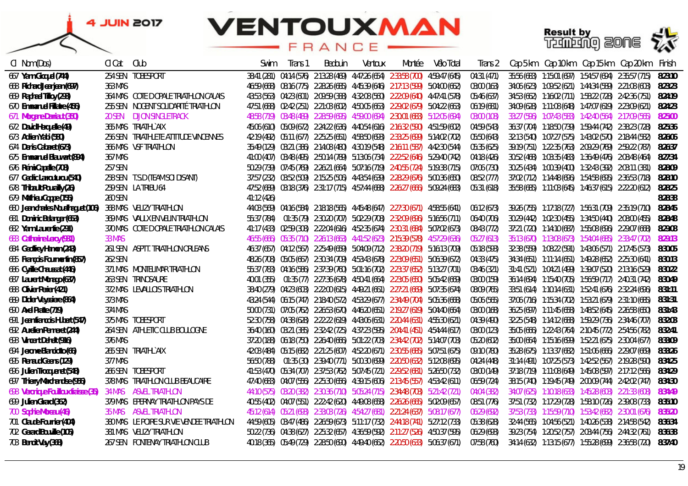**Result by<br>Training 2006 22** 



| CI Nom (Dos)                         | Cl Cat  | Club                                      | .Swim      | Trans 1 | Bedouin | Ventoux | Montée                                                                               | Vélo Total | Irans 2     |  | Cap 5 km Cap 10 km Cap 15 km Cap 20 km                   | Finish  |
|--------------------------------------|---------|-------------------------------------------|------------|---------|---------|---------|--------------------------------------------------------------------------------------|------------|-------------|--|----------------------------------------------------------|---------|
| 667 Yann Gicguel (744)               |         | 254 SEN TOBESPORT                         |            |         |         |         | 38:41 (281) 04:14 (576) 2:13:28 (469) 4:47:26 (654) 2:33:58 (700) 4:59:47 (645)      |            | 04:31 (471) |  | 35:56 (683)  1:15:01 (697)  1:54:57 (694)  2:35:57 (715) | 8:23:10 |
| 668 Richard Jeanjean (697)           | 363 MAS |                                           |            |         |         |         | 46:59 (668) 08:16 (775) 2:28:26 (685) 4:45:39 (646) 2:17:13 (599) 5:04:00 (662)      |            | 03:00 (163) |  | 34:06 (623)  1:09:52 (621)  1:44:34 (589)  2:21:08 (603) | 8:23:23 |
| 669 Raphael Tilloy (293)             |         | 364 MAS COTE DOPALE TRIATHLON CALAIS      |            |         |         |         | 43:53 (563) 04:23 (601) 2:09:59 (388) 4:32:08 (560) 2:22:09 (640) 4:47:41 (578)      |            | 05:46 (637) |  | 34:53 (662) 1:16:02 (711) 1:58:22 (728) 2:42:36 (751)    | 8:24:19 |
| 670 Emmanuel Fillatre (456)          |         | 255 SEN NOGENT SOLIDARITÉ TRIATHLON       |            |         |         |         | 47:51 (688) 02:42 (251) 2:21:03 (602) 4:50:05 (663) 2:29:02 (679) 5:04:22 (663)      |            | 06:19 (681) |  | 34:09 (628) 1:11:08 (648) 1:47:07 (619) 2:23:09 (621)    | 8:24:23 |
| 671 Morgane Darriaut (350)           | 20 SEN  | <b>DIJON SINGLETRACK</b>                  |            |         |         |         | 48:58 (719) 03:48 (489) 2:28:59 (695) 4:59:00 (694) 2:30:01 (683) 5:12:05 (694)      |            | 03:00 (108) |  | 33:27 (596) 1:07:43 (583) 1:42:40 (564) 2:17:09 (565)    | 8:25:00 |
| 672 David Herquelle (49)             |         | 365 MAS TRIATHLYAIX                       |            |         |         |         | 45:06 (610) 05:09 (672) 2:24:22 (636) 4:40:54 (616) 2:16:32 (590) 4:51:59 (602)      |            | 04:59 (543) |  | 36:37 (704) 1:18:50 (739) 1:59:44 (742) 2:38:23 (728)    | 8:25:36 |
| 673 Adrien Yabi (580)                |         | 256 SEN TRIATHLETE ATTITUDE VINCENNES     |            |         |         |         | 42:19 (492) 05:11 (677) 2:25:25 (651) 4:58:50 (693) 2:33:25 (699) 5:14:02 (702)      |            | 05:50 (643) |  | 32:13 (540) 1:07:27 (575) 1:43:02 (570) 2:18:44 (582)    | 8:26:06 |
| 674 Denis Cabaret (673)              |         | 366 MAS VSF TRIATHLON                     |            |         |         |         | 35:49 (129) 03:21 (386) 2:14:08 (480) 4:30:19 (548) 2:16:11 (587) 4:42:30 (544)      |            | 05:35 (625) |  | 39:19 (751) 1:22:35 (763) 2:09:29 (769) 2:59:22 (787)    | 8:26:37 |
| 675 Emmanuel Blauwart (894)          | 367 MAS |                                           |            |         |         |         | 41:00 (407) 03:48 (495) 2:50:14 (789) 5:13:06 (734) 2:22:52 (646) 5:29:40 (742)      |            | 04:18 (426) |  |                                                          | 8:27:34 |
| 676 Rémi Capelle (708)               | 257 SEN |                                           |            |         |         |         | 50:29 (739) 07:45 (769) 2:26:21 (664) 5:07:16 (719) 2:40:55 (724) 5:19:38 (715)      |            | 07:06 (730) |  | 30:25 (434)  1:00:39 (400)  1:32:43 (392)  2:03:11 (381) | 8:28:09 |
| 677 Cedric Larrouturou (540)         |         | 258 SEN T.S.D (TEAM SOI DISANT)           |            |         |         |         | 37:57 (232) 03:52 (509) 2:15:25 (506) 4:43:54 (639) 2:28:29 (676) 5:00:36 (650)      |            | 08:52 (777) |  |                                                          | 8:28:10 |
| 678 Thibault Pourailly (26)          |         | 259 SEN LA TRIBU 64                       |            |         |         |         | 47:52 (689) 03:18 (376) 2:31:17 (715) 4:57:44 (688) 2:26:27 (666) 5:09:24 (683)      |            | 05:31 (618) |  | 35:58 (685)  1:11:03 (645)  1:46:37 (615)  2:22:20 (612) | 8:28:25 |
| 679 Mathieu Coppe (155)              | 260 SEN |                                           | 41:12(426) |         |         |         |                                                                                      |            |             |  |                                                          | 8:28:38 |
| 680 Jean charles Noualhaguet (106)   |         | 368 MAS VELIZY TRIATHLON                  |            |         |         |         | 44:03 (569) 04:16 (584) 2:18:18 (565) 4:45:48 (647) 2:27:30 (671) 4:58:55 (641)      |            | 06:12 (673) |  | 39:26 (755)  1:17:18 (727)  1:56:31 (709)  2:35:19 (710) | 8:28:45 |
| 681 Dominic Belanger (653)           |         | 369 MAS VAULX EN VELIN TRIATHLON          |            |         |         |         | 55:37 (784)  01:35 (79)  2:30:20 (707)  5:02:29 (708)  2:32:09 (696)  5:16:56 (711)  |            | 06:40 (706) |  | 30:29 (442)  1:02:30 (455)  1:34:50 (440)  2:08:00 (455) | 8:28:48 |
| 682 Yann Laurentie (291)             |         | 370 MAS COTE DOPALE TRIATHLON CALAIS      |            |         |         |         | 41:17 (433) 02:59 (308) 2:22:04 (616) 4:52:35 (674) 2:30:31 (684) 5:07:02 (673)      |            | 08:43 (772) |  | 37:21 (720) 1:14:10 (687) 1:55:08 (696) 2:29:07 (668)    | 8:29:08 |
| 683 Catherine Leroy (931)            | 33 MAS  |                                           |            |         |         |         | 46:55 (666) 05:35 (710) 2:26:13 (663) 4:41:52 (623) 2:15:39 (578) 4:57:29 (636)      |            | 05:27 (613) |  | 35:13 (670) 1:13:08 (673) 1:54:04 (685) 2:33:47 (702)    | 8:29:13 |
| 684 Geoffrey Hamon (243)             |         | 261 SEN ASPTT. TRIATHLON ORLEANS          |            |         |         |         | 46:37 (657) 04:12 (567) 2:25:49 (659) 5:04:09 (712) 2:38:20 (719) 5:16:13 (709)      |            | 05:18 (593) |  | 32:38 (559)  1:08:22 (591)  1:43:06 (571)  2:17:45 (573) | 8:30:05 |
| 685 François Fourmentin (857)        | 262 SEN |                                           |            |         |         |         | 48:26 (708) 05:05 (667) 2:30:34 (709) 4:53:43 (678) 2:23:09 (651) 5:06:39 (672)      |            | 04:33 (475) |  | 34:34 (651)  1:11:14 (651)  1:49:28 (652)  2:25:30 (641) | 8:30:13 |
| 686 Cyrille Chaussat (446)           |         | 371 MAS MONTELIMAR TRIATHLON              |            |         |         |         | 55:37 (783) 04:16 (586) 2:37:39 (760) 5:01:16 (702) 2:23:37 (652) 5:13:27 (701)      |            | 03:46 (321) |  | 31:41 (521)  1:04:21 (499)  1:39:07 (520)  2:13:16 (529) | 8:30:22 |
| 687 Laurent Monago (637)             |         | 263 SEN TRINOSAURE                        |            |         |         |         | 40:01 (355)  01:35 (77)  2:27:36 (678)  4:50:41 (664)  2:23:05 (650)  5:05:42 (669)  |            | 03:00 (159) |  | 36:14 (694) 1:15:40 (705) 1:56:59 (717) 2:40:31 (742)    | 8:30:49 |
| 688 Olivier Perier (421)             |         | 372 MAS LEVALLOIS TRIATHLON               |            |         |         |         | 38:40 (279)  04:23 (603)  2:22:00 (615)  4:49:21 (661)  2:27:21 (669)  5:07:35 (674) |            | 08:09 (765) |  | 33:51 (614) 1:10:14 (631) 1:52:41 (676) 2:32:24 (696)    | 8:31:11 |
| 689 Didier Veyssiere (864)           | 373 MAS |                                           |            |         |         |         | 43:24 (544) 06:15 (747) 2:18:40 (572) 4:53:29 (677) 2:34:49 (704) 5:05:36 (668)      |            | 05:06 (565) |  | 37:06 (716) 1:15:34 (702) 1:53:21 (679) 2:31:10 (685)    | 8:31:31 |
| 690 Axel Pratte (719)                | 374 MAS |                                           |            |         |         |         | 50:00 (731) 07:05 (762) 2:26:53 (670) 4:46:20 (651) 2:19:27 (619) 5:04:40 (664)      |            | 03:00 (168) |  | 36:25 (697) 1:11:45 (658) 1:48:52 (645) 2:26:58 (650)    | 8:31:43 |
| 691 Jean francois Hubert (547)       |         | 375 MAS TOBESPORT                         |            |         |         |         | 52:30 (758) 04:38 (628) 2:22:22 (619) 4:43:06 (631) 2:20:44 (631) 4:55:30 (621)      |            | 04:39 (490) |  |                                                          | 8:32:03 |
| 692 Aurelien Penneret (244)          |         | 264 SEN ATHLETIC CLUB BOULOGNE            |            |         |         |         | 36:40 (160) 03:21 (385) 2:32:42 (725) 4:37:23 (595) 2:04:41 (451) 4:54:44 (617)      |            | 03:00 (123) |  | 35:05 (666) 1:22:43 (764) 2:10:45 (772) 2:54:56 (782)    | 8:32:41 |
| 693 Vincent Dehelt (916)             | 376 MAS |                                           |            |         |         |         | 37:20 (188) 06:18 (750) 2:26:40 (666) 5:01:22 (703) 2:34:42 (702) 5:14:07 (703)      |            | 05:20 (602) |  | 35:00 (664)  1:15:16 (699)  1:52:21 (675)  2:30:04 (677) | 8:33:09 |
| 694 Jerome Bianciotto (66)           |         | 265 SEN TRIATHLYAIX                       |            |         |         |         | 42:03 (484) 05:15 (682) 2:21:25 (607) 4:52:20 (671) 2:30:55 (685) 5:07:51 (675)      |            | 09:10 (780) |  | 35:28 (675)  1:13:37 (682)  1:51:06 (666)  2:29:07 (669) | 8:33:26 |
| 695 Renaud Geens (129)               | 377 MAS |                                           |            |         |         |         | 56:50 (788)  01:35 (30)  2:39:40 (771)  5:00:30 (699)  2:20:50 (632)  5:12:08 (695)  |            | 04:24 (448) |  | 31:14 (491) 1:07:25 (573) 1:42:52 (567) 2:19:28 (590)    | 8:34:25 |
| 696 Julien Trocquenet (548)          |         | 266 SEN TOBESPORT                         |            |         |         |         | 41:53 (470) 05:34 (707) 2:37:53 (762) 5:07:45 (721) 2:29:52 (681) 5:26:50 (732)      |            | 03:00 (149) |  | 37:18 (719) 1:11:08 (649) 1:45:08 (597) 2:17:12 (566)    | 8:34:29 |
| 697 Thierry Marchandise (956)        |         | 378 MAS TRIATHLON CLUB BEAUCAIRE          |            |         |         |         | 47:40 (683) 04:07 (556) 2:25:30 (656) 4:39:15 (606) 2:13:45 (557) 4:53:42 (611)      |            | 06:59 (724) |  | 38:15 (740) 1:19:45 (749) 2:00:09 (744) 2:42:02 (747)    | 8:34:30 |
| 698 Veronique Fouilloux fraisse (35) |         | 34 MAS ASVEL TRIATHLON                    |            |         |         |         | 44:10 (575) 03:20 (382) 2:30:36 (710) 5:05:24 (715) 2:34:48 (703) 5:21:42 (721)      |            | 04:04 (382) |  | 34:07 (625) 1:10:18 (633) 1:45:28 (603) 2:21:33 (608)    | 8:34:49 |
| 699 Julien Girard (362)              |         | 379 MAS EPERNAY TRIATHLON PAYS DE         |            |         |         |         | 40:55 (402) 04:07 (551) 2:22:42 (620) 4:49:08 (658) 2:26:26 (665) 5:02:09 (657)      |            | 08:51 (776) |  | 37:51 (732) 1:17:29 (728) 1:58:10 (726) 2:39:08 (733)    | 8:35:10 |
| 700 Sophie Moreau (46)               |         | 35 MAS ASVEL TRIATHLON                    |            |         |         |         | 45:12 (614) 05:21 (693) 2:33:03 (726) 4:54:27 (681) 2:21:24 (637) 5:08:17 (677)      |            | 06:29 (692) |  |                                                          | 8:35:20 |
| 701 Claude Fournier (404)            |         | 380 MAS LE POIRE SUR VIE VENDEE TRIATHLON |            |         |         |         | 44:59 (605) 03:47 (486) 2:26:59 (673) 5:11:17 (732) 2:44:18 (741) 5:27:12 (733)      |            | 05:38 (628) |  | 32:44 (565)  1:04:56 (521)  1:40:26 (538)  2:14:58 (542) | 8:36:34 |
| 702 Gerard Bouville (105)            |         | 381 MAS VELIZY TRIATHLON                  |            |         |         |         | 50:22 (736)  04:38 (627)  2:25:32 (657)  4:36:59 (592)  2:11:27 (526)  4:50:37 (595) |            | 06:29 (693) |  |                                                          | 8:36:38 |
| 703 Benoit Vay (368)                 |         | 267 SEN FONTENAY TRIATHLON CLUB           |            |         |         |         | 40:18 (365) 05:49 (729) 2:28:50 (690) 4:49:40 (662) 2:20:50 (633) 5:06:37 (671)      |            | 07:58 (760) |  |                                                          | 8:37:40 |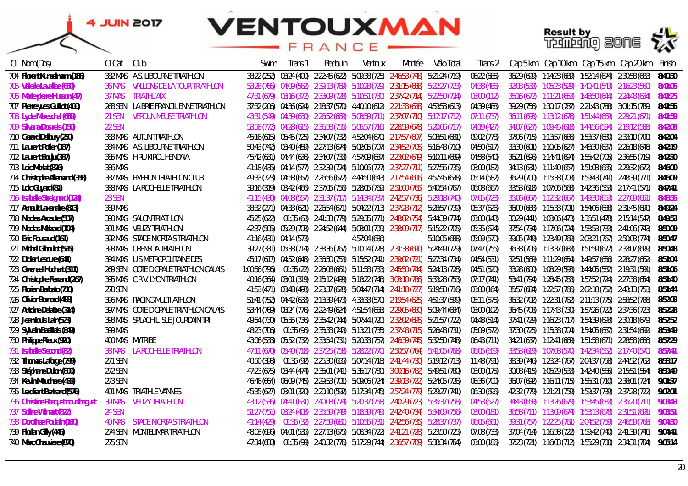# **VENTOUXMAN**

### FRANCE





| CI Nom (Dos)                      | CI Cat        | Club                                   | Swim        | Trans 1                 | Bedouin | Ventoux                                                                                                                      | Montée | Vélo Total    | Trans 2     |                                                       | Cap 5 km Cap 10 km Cap 15 km Cap 20 km                   | Finish  |
|-----------------------------------|---------------|----------------------------------------|-------------|-------------------------|---------|------------------------------------------------------------------------------------------------------------------------------|--------|---------------|-------------|-------------------------------------------------------|----------------------------------------------------------|---------|
| 704 Florent Kunzelmann (186)      |               | 382 MAS A.S. LIBOURNE TRIATHLON        |             |                         |         | 38:22 (252) 03:24 (400) 2:22:45 (622) 5:09:38 (725) 2:46:53 (748) 5:21:24 (719)                                              |        |               | 06:22 (685) | 36:29 (699) 1:14:23 (689) 1:52:14 (674) 2:30:58 (683) |                                                          | 8:40:30 |
| 705 Valerie Lavallee (650)        | 36 MAS        | VALLONS DE LA TOUR TRIATHLON           |             |                         |         | 53:28 (766) 04:09 (562) 2:39:13 (769) 5:10:28 (729) 2:31:15 (688) 5:22:27 (723)                                              |        |               | 04:38 (486) |                                                       | 32:03 (533)  1:05:23 (529)  1:40:41 (543)  2:16:23 (560) | 8:41:05 |
| 706 Marie pierre Husson (47)      | 37 MAS        | TRIATHL`AIX                            |             |                         |         | 47:31 (679) 03:16 (372) 2:33:09 (728) 5:10:51 (730) 2:37:42 (714) 5:22:50 (724)                                              |        |               | 03:00 (112) |                                                       | 35:16 (672) 1:11:21 (653) 1:48:50 (644) 2:24:48 (634)    | 8:41:25 |
| 707 Pierre yves Guillot (400)     |               | 268 SEN LA BRIE FRANCILIENNE TRIATHLON |             |                         |         | 37:32 (206) 04:36 (624) 2:18:37 (570) 4:40:10 (612) 2:21:33 (638) 4:53:53 (613)                                              |        |               | 04:39 (488) |                                                       | 39:29 (156) 1:30:17 (187) 2:21:43 (188) 3:01:15 (189)    | 8:41:55 |
| 708 Lydie Mareschal (659)         | 21 SEN        | VERDUN MEUSE TRIATHLON                 |             |                         |         | 43:31 (549) 04:39 (630) 2:26:52 (669) 5:03:59 (711) 2:37:07 (710) 5:17:17 (712)                                              |        |               | 07:11 (737) |                                                       | 36:11 (693) 1:13:12 (676) 1:51:44 (669) 2:29:21 (671)    | 8:41:59 |
| 709 Silvana Dos reis (150)        | 22 SEN        |                                        |             |                         |         | 53:58 (772) 04:28 (615) 2:36:58 (755) 5:05:57 (716) 2:28:59 (678) 5:20:06 (717)                                              |        |               | 04:19 (427) |                                                       | 34:07 (627) 1:09:45 (618) 1:44:56 (594) 2:19:12 (588)    | 8:42:03 |
| 710 Gerard Delbury (250)          |               | 383 MAS AUTUN TRIATHLON                |             |                         |         | 45:16 (615) 05:45 (725) 2:34:07 (732) 4:52:04 (670) 2:17:57 (607) 5:08:51 (681)                                              |        |               | 09:02 (778) |                                                       | 37:06 (715) 1:13:57 (686) 1:53:37 (680) 2:33:10 (700)    | 8:42:04 |
| 711 Laurent Potier (187)          |               | 384 MAS A.S. LIBOURNE TRIATHLON        |             |                         |         | 50:43 (742) 03:40 (459) 2:27:13 (674) 5:02:05 (707) 2:34:52 (705) 5:16:48 (710)                                              |        |               | 04:50 (517) |                                                       | 33:30 (601) 1:10:05 (627) 1:48:30 (637) 2:26:18 (646)    | 8:42:19 |
| 712 Laurent Bouju (387)           |               | 385 MAS HIRU KIROL HENDAIA             |             |                         |         | 45:42 (631) 04:44 (636) 2:34:07 (733) 4:57:09 (687) 2:23:02 (649) 5:10:11 (689)                                              |        |               | 04:58 (540) |                                                       |                                                          | 8:42:30 |
| 713 Loic Mortat (826)             | 386 MAS       |                                        |             |                         |         | 41:18 (435) 04:14 (577) 2:32:39 (724) 5:10:06 (727) 2:37:27 (711) 5:27:56 (735)                                              |        |               | 03:00 (182) |                                                       | 34:13 (631)  1:11:40 (657)  1:51:03 (665)  2:29:32 (672) | 8:46:00 |
| 714 Christophe Allemand (358)     |               | 387 MAS EMBRUN TRIATHLON CLUB          |             |                         |         | 49:33 (723) 04:58 (657) 2:26:56 (672) 4:44:50 (643) 2:17:54 (606) 4:57:45 (638)                                              |        |               | 05:14 (582) |                                                       | 36:29 (700) 1:15:38 (703) 1:59:43 (741) 2:48:39 (771)    | 8:46:09 |
| 715 Loic Guyard (81)              |               | 388 MAS LA ROCHELLE TRIATHLON          |             |                         |         | 39:16 (319) 03:42 (466) 2:37:05 (756) 5:28:05 (769) 2:51:00 (765) 5:40:54 (767)                                              |        |               | 06:08 (667) |                                                       | 33:53 (618) 1:07:06 (568) 1:42:36 (563) 2:17:41 (571)    | 8:47:41 |
| 716 Isabelle Streignard (124)     | <b>23 SEN</b> |                                        |             |                         |         | 41:15 (430) 04:08 (557) 2:31:37 (717) 5:14:34 (737) 2:42:57 (736) 5:29:18 (740)                                              |        |               | 07:05 (728) |                                                       | 35:06 (667) 1:12:32 (667) 1:49:30 (653) 2:27:09 (651)    | 8:48:55 |
| 717 Arnault Laxenaire (813)       | 389 MAS       |                                        |             |                         |         | 38:32 (271) 04:33 (621) 2:26:54 (671) 5:04:22 (713) 2:37:28 (712) 5:28:57 (739)                                              |        |               | 05:37 (626) |                                                       | 36:00 (688) 1:15:33 (701) 1:54:06 (688) 2:31:45 (690)    | 8:49:24 |
| 718 Nicolas Arcaute (507)         |               | 390 MAS SALON TRIATHLON                | 45:25 (622) |                         |         | 01:35 (63) 2:41:33 (779) 5:29:35 (771) 2:48:02 (754) 5:44:39 (774)                                                           |        |               | 03:00 (143) |                                                       | 30:29 (441) 1:03:06 (473) 1:36:51 (478) 2:15:14 (547)    | 8:49:53 |
| 719 Nicolas Malzard (104)         |               | 391 MAS VELIZY TRIATHLON               |             |                         |         | 42:37 (505) 05:29 (703) 2:24:52 (644) 5:03:01 (709) 2:38:09 (717) 5:15:22 (705)                                              |        |               | 05:35 (624) |                                                       |                                                          | 8:50:09 |
| 720 Eric Foucaud (161)            |               | 392 MAS STADE NIORTAIS TRIATHLON       |             | 41:16 (431) 04:14 (573) |         | 4:57:04 (686)                                                                                                                |        | 5:10:05 (688) | 05:09 (570) |                                                       | 39:05 (749) 1:23:49 (769) 2:08:21 (767) 2:50:03 (774)    | 8:50:47 |
| 721 Michel Giboulot (535)         |               | 393 MAS CRENSOA TRIATHLON              |             |                         |         | 39:27 (331) 05:38 (714) 2:38:36 (767) 5:10:14 (728) 2:31:38 (690) 5:24:49 (729)                                              |        |               | 07:47 (755) |                                                       | 36:38 (706) 1:13:37 (683) 1:51:59 (672) 2:33:07 (699)    | 8:50:48 |
| 722 Didier Lescure (641)          |               | 394 MAS US METROPOLITAINE DES          |             |                         |         | 45:17 (617) 04:52 (648) 2:36:50 (753) 5:15:52 (741) 2:39:02 (721) 5:27:34 (734)                                              |        |               | 04:54 (531) |                                                       | 32:51 (569) 1:11:29 (654) 1:49:57 (656) 2:28:27 (662)    | 8:51:04 |
| 723 Gwenael Hochart (311)         |               | 269 SEN COTE DOPALE TRIATHLON CALAIS   |             |                         |         | 1:00:56 (796)  01:35 (22)  2:26:08 (661)  5:11:58 (733)  2:45:50 (744)  5:24:13 (728)                                        |        |               | 04:51 (520) |                                                       | 33:28 (600) 1:08:29 (593) 1:44:05 (582) 2:19:31 (591)    | 8:51:06 |
| 724 Christophe Ferrand (267)      |               | 395 MAS C.R.V. LYON TRIATHLON          |             |                         |         | 40:16 (364) 03:01 (319) 2:15:12 (499) 5:18:22 (748) 3:03:10 (786) 5:33:28 (753)                                              |        |               | 07:17 (741) |                                                       | 53:41 (794) 1:28:45 (783) 1:57:52 (724) 2:27:38 (654)    | 8:51:40 |
| 725 Florian Barbato (710)         | 270 SEN       |                                        |             |                         |         | 41:53 (471) 03:48 (493) 2:23:37 (628) 5:04:47 (714) 2:41:10 (727) 5:19:50 (716)                                              |        |               | 03:00 (164) |                                                       | 35:57 (684)  1:22:57 (766)  2:02:18 (752)  2:43:13 (753) | 8:51:44 |
| 726 Olivier Bernard (488)         |               | 396 MAS RACING MULTI ATHLON            |             |                         |         | 51:41 (752) 04:42 (633) 2:13:39 (473) 4:33:33 (570) 2:19:54 (625) 4:51:37 (599)                                              |        |               | 05:11 (575) |                                                       | 36:32 (702) 1:22:31 (762) 2:11:13 (775) 2:58:52 (786)    | 8:52:03 |
| 727 Antoine Delattre (314)        |               | 397 MAS COTE DOPALE TRIATHLON CALAIS   |             |                         |         | 53:44 (769) 08:24 (776) 2:22:49 (624) 4:51:54 (668) 2:29:05 (680) 5:09:44 (684)                                              |        |               | 03:00 (102) |                                                       |                                                          | 8:52:28 |
| 728 Jean Iouis Lair (523)         |               | 398 MAS SPLACH LISLE JOURDAIN TRI      |             |                         |         | 49:54 (730)  05:55 (736)  2:35:42 (744)  5:07:44 (720)  2:32:02 (695)  5:21:57 (722)                                         |        |               | 04:48 (514) |                                                       |                                                          | 8:52:52 |
| 729 Sylvain Basillais (849)       | 399 MAS       |                                        |             |                         |         | 48:23 (706)                          01:35 (96)                2:35:33 (743)   5:13:21 (735)   2:37:48 (715)   5:26:48 (731) |        |               | 05:09 (572) |                                                       |                                                          | 8:53:49 |
| 730 Philippe Rieux (920)          |               | <b>400 MAS MYTRIBE</b>                 |             |                         |         | 43:06 (533) 05:52 (732) 2:33:54 (731) 5:20:33 (757) 2:46:39 (745) 5:32:50 (748)                                              |        |               | 06:43 (711) | 34:21 (637) 1:12:41 (669) 1:51:58 (671) 2:28:58 (666) |                                                          | 8:57:29 |
| 731 Isabelle Second (82)          |               | <b>38 MAS LA ROCHELLE TRIATHLON</b>    |             |                         |         | 47:11 (670) 05:40 (718) 2:37:25 (758) 5:28:22 (770) 2:50:57 (764) 5:41:05 (768)                                              |        |               | 06:05 (659) | 33:53 (619) 1:07:08 (570) 1:42:34 (562) 2:17:40 (570) |                                                          | 8:57:41 |
| 732 Thomas Laforge (799)          | 271 SEN       |                                        | 40:50 (398) |                         |         | 01:35 (92)  2:25:30  (655)  5:07:14  (718)  2:41:44  (730)  5:19:12  (713)                                                   |        |               | 11:48 (791) | 38:39 (746) 1:23:24 (767) 2:04:37 (758) 2:44:52 (762) |                                                          | 8:58:17 |
| 733 Stéphane Dulon (800)          | 272 SEN       |                                        |             |                         |         | 47:23 (675) 03:44 (474) 2:35:01 (741) 5:35:17 (780) 3:00:16 (782) 5:49:51 (780)                                              |        |               | 03:00 (175) |                                                       | 30:08 (415) 1:05:29 (533) 1:42:40 (565) 2:15:51 (554)    | 8:59:49 |
| 734 Kevin Mouchere (433)          | 273 SEN       |                                        |             |                         |         | 46:46 (664) 06:09 (745) 2:29:53 (701) 5:09:06 (724) 2:39:13 (722) 5:24:05 (726)                                              |        |               | 06:36 (700) |                                                       | 36:07 (692) 1:16:11 (715) 1:56:31 (710) 2:38:01 (724)    | 9:01:37 |
| 735 Le driant Bertrand (576)      |               | <b>401 MAS TRIATHLE VANNES</b>         |             |                         |         | 45:35 (627) 03:01 (320) 2:20:10 (592) 5:17:34 (745) 2:57:24 (779) 5:29:27 (741)                                              |        |               | 06:30 (696) | 42:32 (779) 1:21:21 (759) 1:59:37 (739) 2:37:28 (722) |                                                          | 9:02:01 |
| 736 Christine Pasquet noualhaquet | 39 MAS        | <b>VELIZY TRIATHLON</b>                |             |                         |         | 43:12 (536) 04:41 (631) 2:40:08 (774) 5:20:37 (758) 2:40:29 (723) 5:35:37 (758)                                              |        |               | 04:53 (527) |                                                       | 34:43 (659)  1:13:26 (679)  1:53:45 (683)  2:35:20 (711) | 9:03:43 |
| 737 Soline Wilmart (822)          | 24 SEN        |                                        |             |                         |         | 51:27 (751) 03:24 (403) 2:35:59 (749) 5:18:39 (749) 2:42:40 (734) 5:34:09 (756)                                              |        |               | 03:00 (181) |                                                       | 36:58 (711) 1:13:09 (674) 1:53:13 (678) 2:31:51 (691)    | 9:03:51 |
| 738 Dorothee Poulain (160)        | 40 MAS        | STADE NIORTAIS TRIATHLON               | 41:14 (429) |                         |         | 01:35 (32) 2:27:59 (681) 5:10:55 (731) 2:42:56 (735) 5:28:37 (737)                                                           |        |               | 06:05 (661) | 39:31 (757) 1:22:25 (761) 2:04:52 (759) 2:46:59 (768) |                                                          | 9:04:30 |
| 739 Florian Gilly (445)           |               | 274 SEN MONTELIMAR TRIATHLON           |             |                         |         | 48:03 (696) 04:01 (535) 2:27:13 (675) 5:08:34 (722) 2:41:21 (728) 5:23:50 (725)                                              |        |               | 07:08 (733) |                                                       | 37:04 (714) 1:16:58 (722) 1:59:42 (740) 2:41:39 (746)    | 9:04:41 |
| 740 Marc Chauviere (870)          | 275 SEN       |                                        | 47:34 (680) |                         |         | 01:35 (99) 2:40:32 (776) 5:17:29 (744) 2:36:57 (709) 5:38:34 (764)                                                           |        |               | 03:00 (186) |                                                       | 37:23 (721)  1:16:03 (712)  1:55:29 (700)  2:34:31 (704) | 9:05:14 |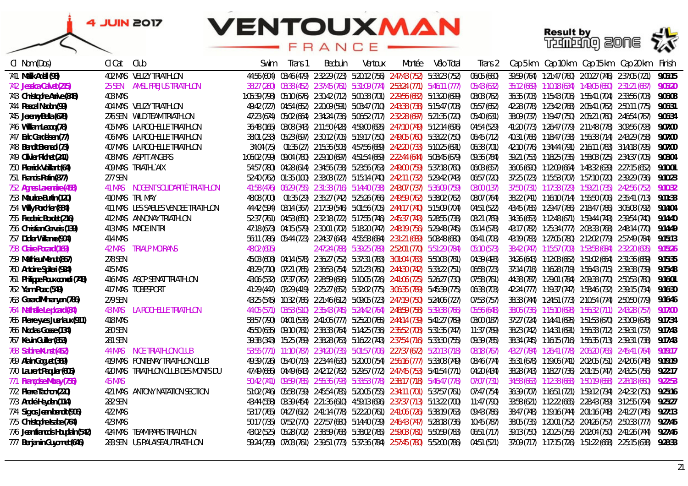# **VENTOUXMAN**

FRANCE





| CI Nom (Dos)                     | Cl Cat         | Club                                | Swim        | Trans 1 | Bedouin | Ventoux | Montée                                                                                              | Vélo Total | Irans 2     |  | Cap 5 km Cap 10 km Cap 15 km Cap 20 km                            | Finish  |
|----------------------------------|----------------|-------------------------------------|-------------|---------|---------|---------|-----------------------------------------------------------------------------------------------------|------------|-------------|--|-------------------------------------------------------------------|---------|
| 741 Malik Adell (98)             |                | 402 MAS VELIZY TRIATHLON            |             |         |         |         | 44:56 (604) 03:46 (479) 2:32:29 (723) 5:20:12 (756) 2:47:43 (752) 5:33:23 (752)                     |            | 06:05 (660) |  | 39:59 (764) 1:21:47 (760) 2:00:27 (746) 2:37:05 (721)             | 9:05:15 |
| 742 Jessica Calvet (215)         |                | 25 SEN AMSL FREJUS TRIATHLON        |             |         |         |         | 38:27 (260) 03:38 (452) 2:37:45 (761) 5:31:09 (774) 2:53:24 (771) 5:46:11 (777)                     |            | 05:43 (632) |  | 35:12 (669)  1:10:18 (634)  1:49:05 (650)  2:31:21 (687)          | 9:05:20 |
| 743 Christophe Arrive (848)      | <b>403 MAS</b> |                                     |             |         |         |         | 1:05:39 (798) 05:10 (676) 2:30:42 (712) 5:00:38 (701) 2:29:56 (682) 5:13:20 (699)                   |            | 08:03 (762) |  | 36:35 (703)  1:15:43 (706)  1:55:41 (704)  2:33:56 (703)          | 9:06:08 |
| 744 Pascal Nadon (99)            |                | 404 MAS VELIZY TRIATHLON            |             |         |         |         | 49:42 (727) 04:54 (652) 2:20:09 (591) 5:03:47 (710) 2:43:38 (738) 5:15:47 (708)                     |            | 05:57 (652) |  | 42:28 (778) 1:23:42 (768) 2:05:41 (762) 2:50:11 (775)             | 9:06:31 |
| 745 Jeremy Bella (678)           |                | 276 SEN WILD TEAM TRIATHLON         |             |         |         |         | 47:23 (674) 05:02 (664) 2:34:24 (736) 5:06:52 (717) 2:32:28 (697) 5:21:35 (720)                     |            | 05:40 (631) |  | 38:09 (737) 1:19:47 (750) 2:05:21 (760) 2:46:54 (767)             | 9:06:34 |
| 746 William Lecoq (78)           |                | 405 MAS LA ROCHELLE TRIATHLON       |             |         |         |         | 36:48 (165) 03:08 (343) 2:11:50 (428) 4:59:00 (695) 2:47:10 (749) 5:12:14 (696)                     |            | 04:54 (529) |  | 41:20 (773)  1:26:47 (779)  2:11:48 (778)  3:09:56 (793)          | 9:07:00 |
| 747 Eric Gardeisen (77)          |                | 406 MAS LA ROCHELLE TRIATHLON       |             |         |         |         | 38:01 (233) 05:23 (697) 2:30:12 (705) 5:19:17 (750) 2:49:05 (760) 5:33:22 (750)                     |            | 06:45 (712) |  |                                                                   | 9:07:00 |
| 748 Benoit Breneol (73)          |                | 407 MAS LA ROCHELLE TRIATHLON       | 34:04 (75)  |         |         |         | 01:35 (27) 2:15:36 (508) 4:57:56 (689) 2:42:20 (733) 5:10:25 (691)                                  |            | 06:38 (701) |  | 42:10 (776) 1:34:44 (791) 2:16:11 (783) 3:14:18 (795)             | 9:07:00 |
| 749 Olivier Richet (241)         |                | 408 MAS ASPTT ANGERS                |             |         |         |         | 1:06:02 (799) 09:04 (780) 2:29:10 (697) 4:51:54 (669) 2:22:44 (644) 5:08:45 (679)                   |            | 09:36 (784) |  | 39:21 (753)  1:18:25 (735)  1:58:03 (725)  2:34:37 (705)          | 9:08:04 |
| 750 Pierrick Vaillant (64)       |                | 409 MAS TRIATHLYAIX                 |             |         |         |         | 54:57 (780) 04:28 (614) 2:34:56 (738) 5:23:56 (763) 2:49:00 (759) 5:37:18 (760)                     |            | 06:03 (657) |  | 36:06 (690) 1:12:09 (664) 1:48:32 (639) 2:27:15 (652)             | 9:10:01 |
| 751 Francis Patin (877)          | 277 SEN        |                                     |             |         |         |         | 52:40 (762) 01:35 (100) 2:33:03 (727) 5:15:14 (740) 2:42:11 (732) 5:29:42 (743)                     |            | 06:57 (720) |  |                                                                   | 9:10:23 |
| 752 Agnes Laxenaire (458)        | 41 MAS         | NOGENT SOLIDARITÉ TRIATHLON         |             |         |         |         | 41:58 (476) 06:29 (755) 2:31:33 (716) 5:14:40 (738) 2:43:07 (737) 5:36:09 (759)                     |            | 03:00 (137) |  | 37:50 (731) 1:17:33 (729) 1:59:21 (735) 2:42:56 (752)             | 9:10:32 |
| 753 Maurice Burtin (120)         |                | 410 MAS TRI. MAY                    | 48:08 (700) |         |         |         | 01:35 (29) 2:35:27 (742) 5:25:26 (766) 2:49:59 (762) 5:38:02 (762)                                  |            | 08:07 (764) |  | 38:22 (741) 1:16:10 (714) 1:55:50 (706) 2:35:41 (713)             | 9:11:33 |
| 754 Willy Porchier (884)         |                | 411 MAS LES SABLES VENDEE TRIATHLON |             |         |         |         | 44:42 (594) 03:14 (367) 2:17:39 (546) 5:01:56 (705) 2:44:17 (740) 5:15:09 (704)                     |            | 04:51 (522) |  | 43:45 (785) 1:29:47 (786) 2:18:47 (786) 3:06:08 (792)             | 9:14:04 |
| 755 Frederic Bordet (216)        |                | 412 MAS ANNONAY TRIATHLON           |             |         |         |         | 52:37 (761) 04:53 (650) 2:32:18 (722) 5:17:55 (746) 2:45:37 (743) 5:28:55 (738)                     |            | 08:21 (769) |  |                                                                   | 9:14:40 |
| 756 Christian Gervais (139)      |                | 413 MAS MADE IN TRI                 |             |         |         |         | 47:18 (673) 04:15 (579) 2:30:01 (702) 5:18:20 (747) 2:48:19 (756) 5:29:48 (745)                     |            | 05:14 (578) |  | 43:17 (782) 1:25:34 (777) 2:08:33 (768) 2:48:14 (770)             | 9:14:49 |
| 757 Didier Willame (904)         | 414 MAS        |                                     |             |         |         |         | 56:11 (786) 05:44 (723) 2:24:37 (643) 4:55:58 (684) 2:31:21 (689) 5:08:48 (680)                     |            | 06:41 (708) |  | 43:19 (783) 1:27:05 (780) 2:12:02 (779) 2:57:49 (784)             | 9:15:13 |
| 758 Claire Pocard (169)          | 42 MAS         | TRIALP MOIRANS                      | 48:02 (695) |         |         |         | 2:47:24 (788) 5:39:25 (789) 2:52:01 (770) 5:51:29 (784)                                             |            | 05:10 (573) |  |                                                                   | 9:15:26 |
| 759 Mathieu Menut (867)          | 278 SEN        |                                     |             |         |         |         | 45:03 (608) 04:14 (578) 2:36:27 (752) 5:37:31 (783) 3:01:04 (783) 5:50:03 (781)                     |            | 04:39 (493) |  |                                                                   | 9:15:35 |
| 760 Antoine Spiteri (924)        | 415 MAS        |                                     |             |         |         |         | 48:29 (710) 07:21 (765) 2:36:53 (754) 5:21:23 (760) 2:44:30 (742) 5:33:22 (751)                     |            | 06:58 (723) |  | 37:14 (718)   1:16:28 (719)   1:56:43 (715)   2:39:38 (739)       | 9:15:48 |
| 761 Philippe Roux comoli (748)   |                | 416 MAS ASCP SENAT TRIATHLON        |             |         |         |         | 43:06 (532) 07:37 (767) 2:28:59 (696) 5:10:05 (726) 2:41:06 (725) 5:26:27 (730)                     |            | 07:58 (761) |  |                                                                   | 9:16:01 |
| 762 Yann Poac (549)              |                | 417 MAS TOBESPORT                   |             |         |         |         | 41:29 (447) 03:29 (419) 2:25:27 (652) 5:32:02 (775) 3:06:35 (789) 5:45:39 (775)                     |            | 06:38 (703) |  |                                                                   | 9:16:30 |
| 763 Gerard Mihranyan (786)       | 279 SEN        |                                     |             |         |         |         | 43:25 (545) 10:32 (786) 2:21:46 (612) 5:09:05 (723) 2:47:19 (750) 5:24:06 (727)                     |            | 07:53 (757) |  |                                                                   | 9:16:46 |
| 764 Nathalie Le picard (84)      | 43 MAS         | LA ROCHELLE TRIATHLON               |             |         |         |         | 44:05 (571)  03:53 (510)  2:35:43 (745)  5:24:42 (764)  2:48:59 (758)  5:39:38 (766)                |            | 05:56 (648) |  |                                                                   | 9:17:00 |
| 765 Pierre-yves Jusniaux (911)   | 418 MAS        |                                     |             |         |         |         | 58:57 (790) 04:01 (538) 2:41:06 (777) 5:25:20 (765) 2:44:14 (739) 5:41:27 (769)                     |            | 03:00 (187) |  |                                                                   | 9:17:34 |
| 766 Nicolas Gosse (134)          | 280 SEN        |                                     |             |         |         |         | 45:50 (635) 09:10 (781) 2:38:33 (764) 5:14:25 (736) 2:35:52 (708) 5:31:35 (747)                     |            | 11:37 (789) |  | 38:23 (742)  1:14:31 (691)  1:56:33 (712)  2:39:31 (737)  9:17:43 |         |
| 767 Kevin Guiller (853)          | 281 SEN        |                                     |             |         |         |         | 39:38 (343)     15:25 (789)     2:38:28 (763)     5:16:22 (743)     2:37:54 (716)     5:33:30 (755) |            | 09:39 (785) |  |                                                                   | 9:17:43 |
| 768 Sabine Kunst (452)           | 44 MAS         | NICE TRIATHLON CLUB                 |             |         |         |         | 53:55 (771) 11:10 (787) 2:34:20 (735) 5:01:57 (706) 2:27:37 (672) 5:20:13 (718)                     |            | 08:18 (767) |  |                                                                   | 9:19:17 |
| 769 Alain Goguet (369)           |                | 419 MAS FONTENAY TRIATHLON CLUB     |             |         |         |         | 49:39 (726) 05:40 (719) 2:23:44 (630) 5:20:00 (754) 2:56:16 (777) 5:33:08 (749)                     |            | 08:46 (774) |  | 35:31 (678)  1:19:06 (741)  2:02:05 (751)  2:42:06 (748)  9:19:19 |         |
| 770 Laurent Paguier (605)        |                | 420 MAS TRIATHLON CLUB DES MONTS DU |             |         |         |         | 47:49 (686) 04:49 (643) 2:42:12 (782) 5:29:57 (772) 2:47:45 (753) 5:41:54 (771)                     |            | 04:20 (434) |  | 38:28 (743) 1:18:27 (736) 2:01:15 (747) 2:43:25 (756)             | 9:22:17 |
| 771 Françoise Moray (756)        | 45 MAS         |                                     |             |         |         |         | 50:42 (741) 09:59 (785) 2:55:36 (793) 5:33:53 (778) 2:38:17 (718) 5:46:47 (778)                     |            | 07:07 (731) |  | 34:58 (663) 1:12:38 (668) 1:50:19 (658) 2:28:18 (660)             | 9:22:53 |
| 772 Pierre Tachon (220)          |                | 421 MAS ANTONY NATATION SECTION     |             |         |         |         | 51:02 (746) 05:58 (739) 2:45:54 (785) 5:20:05 (755) 2:34:11 (701) 5:37:57 (761)                     |            | 07:47 (754) |  | 36:39 (707) 1:16:51 (721) 1:59:12 (734) 2:42:32 (750) 9:25:16     |         |
| 773 André Heyden (114)           | 282 SEN        |                                     |             |         |         |         | 43:44 (558) 03:39 (454) 2:21:36 (610) 4:59:13 (696) 2:37:37 (713) 5:13:22 (700)                     |            | 11:47 (790) |  | 33:58 (621) 1:12:22 (665) 2:28:43 (789) 3:12:55 (794) 9:25:27     |         |
| 774 Sigros Jean-benoit (906)     | 422 MAS        |                                     |             |         |         |         | 53:17 (765) 04:27 (612) 2:41:14 (778) 5:22:20 (761) 2:41:06 (726) 5:38:19 (763)                     |            | 09:43 (786) |  | 38:47 (748) 1:19:16 (744) 2:01:16 (748) 2:41:27 (745) 9:27:13     |         |
| 775 Christophe Isabe (764)       | 423 MAS        |                                     |             |         |         |         | 50:17 (735) 07:52 (770) 2:27:57 (680) 5:14:40 (739) 2:46:43 (747) 5:28:18 (736)                     |            | 10:45 (787) |  | 38:05 (735) 1:20:01 (752) 2:04:26 (757) 2:50:33 (777) 9:27:45     |         |
| 776 Jean francois Houplain (542) |                | 424 MAS TEAM PARIS TRIATHLON        |             |         |         |         | 43:02 (525) 05:28 (702) 2:38:59 (768) 5:38:02 (785) 2:59:03 (781) 5:50:59 (783)                     |            | 06:51 (717) |  |                                                                   | 9:27:46 |
| 777 Benjamin Guyonnet (646)      |                | 283 SEN US PALAISEAU TRIATHLON      |             |         |         |         | 59:24 (793) 07:03 (761) 2:39:51 (773) 5:37:36 (784) 2:57:45 (780) 5:52:00 (786)                     |            | 04:51 (521) |  | 37:09 (717) 1:17:15 (726) 1:51:22 (668) 2:25:15 (638) 9:28:33     |         |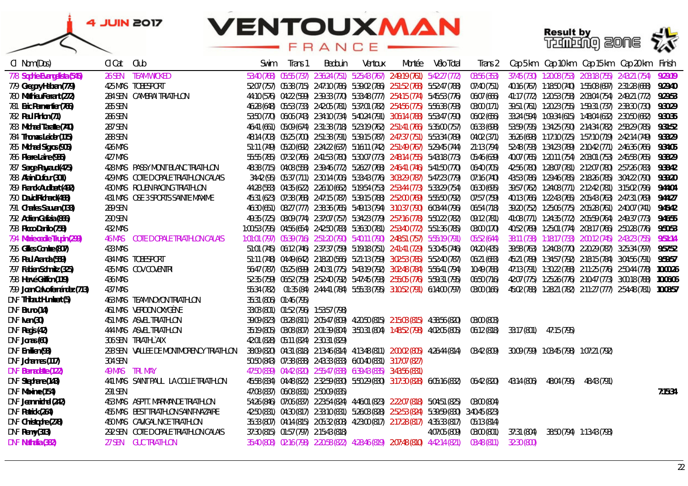

| CI Nom (Dos)                   | CI Cat  | Club                                    | Swim                    | Trans 1 | Bedouin                               | Ventoux                                                                                       | Montée | Vélo Total    | Trans 2     |             |                                           |                           | Cap 5 km   Cap 10 km   Cap 15 km   Cap 20 km   Finish          |          |
|--------------------------------|---------|-----------------------------------------|-------------------------|---------|---------------------------------------|-----------------------------------------------------------------------------------------------|--------|---------------|-------------|-------------|-------------------------------------------|---------------------------|----------------------------------------------------------------|----------|
| 778 Sophie Evangelista (545)   | 26 SEN  | <b>TEAM WICKED</b>                      |                         |         |                                       | 53:40 (768) 05:55 (737) 2:36:24 (751) 5:25:43 (767) 2:49:19 (761) 5:42:27 (772)               |        |               | 03:56 (353) |             |                                           |                           | 37:45 (730) 1:20:08 (753) 2:03:18 (755) 2:43:21 (754)          | 9:29:19  |
| 779 Gregory Habran (779)       |         | 425 MAS TOBESPORT                       |                         |         |                                       | 52:07 (757) 05:38 (715) 2:47:10 (786) 5:39:02 (786) 2:51:52 (768) 5:52:47 (788)               |        |               | 07:40 (751) |             |                                           |                           |                                                                | 9:29:40  |
| 780 Mathieu Ferrant (272)      |         | 284 SEN CAMBRAI TRIATHLON               |                         |         |                                       | 44:10 (576) 04:22 (599) 2:39:33 (770) 5:33:48 (777) 2:54:15 (774) 5:45:53 (776)               |        |               | 06:07 (666) |             |                                           |                           | 41:17 (772) 1:20:53 (758) 2:03:04 (754) 2:49:21 (772)          | 9:29:53  |
| 781 Eric Parmentier (766)      | 285 SEN |                                         |                         |         |                                       | 46:28 (648) 05:53 (733) 2:42:05 (781) 5:37:01 (782) 2:54:56 (775) 5:56:38 (793)               |        |               | 03:00 (171) |             |                                           |                           | 39:51 (761) 1:20:23 (755) 1:59:31 (737) 2:38:30 (730)          | 9:30:29  |
| 782 Paul Pinlon (71)           | 286 SEN |                                         |                         |         |                                       | 53:50 (770) 06:06 (743) 2:34:10 (734) 5:40:24 (791) 3:06:14 (788) 5:53:47 (790)               |        |               | 06:02 (656) |             |                                           |                           |                                                                | 9:30:35  |
| 783 Michael Taratte (740)      | 287 SEN |                                         |                         |         |                                       | 46:41 (661) 05:09 (674) 2:31:38 (718) 5:23:19 (762) 2:51:41 (766) 5:35:00 (757)               |        |               | 06:33 (698) |             |                                           |                           | 53:59 (795)  1:34:25 (790)  2:14:34 (782)  2:58:29 (785)       | 9:31:52  |
| 784 Thomas Leider (115)        | 288 SEN |                                         |                         |         |                                       | 48:14 (703) 05:25 (700) 2:51:38 (791) 5:39:15 (787) 2:47:37 (751) 5:53:34 (789)               |        |               | 04:02 (371) |             |                                           |                           | 36:26 (698)  1:17:10 (725)  1:57:10 (719)  2:42:14 (749)       | 9:33:29  |
| 785 Michael Sigros (905)       | 426 MAS |                                         |                         |         |                                       | 51:11 (749) 05:20 (692) 2:24:22 (637) 5:16:11 (742) 2:51:49 (767) 5:29:45 (744)               |        |               | 21:13 (794) |             |                                           |                           | 52:48 (793) 1:34:23 (789) 2:10:42 (771) 2:46:36 (766) 9:34:05  |          |
| 786 Pierre Laine (935)         | 427 MAS |                                         |                         |         |                                       | 55:55 (785) 07:32 (766) 2:41:53 (780) 5:30:07 (773) 2:48:14 (755) 5:43:18 (773)               |        |               | 05:46 (639) |             |                                           |                           | 40:07 (765)  1:20:11 (754)  2:03:01 (753)  2:45:58 (765)       | 9:38:29  |
| 787 Serge Payraud (475)        |         | 428 MAS PASSY MONT BLANC TRIATHLON      |                         |         |                                       | 48:38 (715) 04:08 (558) 2:39:46 (772) 5:26:27 (768) 2:46:41 (746) 5:41:50 (770)               |        |               | 06:40 (705) |             |                                           |                           |                                                                | 9:38:42  |
| 788 Alain Dufour (301)         |         | 429 MAS COTE DOPALE TRIATHLON CALAIS    |                         |         |                                       | 34:42 (95) 05:37 (711) 2:30:14 (706) 5:33:43 (776) 3:03:29 (787) 5:47:23 (779)                |        |               | 07:16 (740) |             |                                           |                           |                                                                | 9:39:20  |
| 789 Franck Audibert (492)      |         | 430 MAS ROUEN RACING TRIATHLON          |                         |         |                                       | 44:28 (583) 04:35 (622) 2:26:10 (662) 5:19:54 (753) 2:53:44 (773) 5:33:29 (754)               |        |               | 06:30 (695) |             |                                           |                           | 39:57 (762) 1:24:08 (771) 2:12:42 (781) 3:15:02 (796)          | 9:44:04  |
| 790 David Richard (468)        |         | 431 MAS OSE 3 SPORTS SAINTE MAXIME      |                         |         |                                       | 45:31 (623) 07:38 (768) 2:47:15 (787) 5:39:15 (788) 2:52:00 (769) 5:55:50 (792)               |        |               | 07:57 (759) |             |                                           |                           | 40:13 (766) 1:22:43 (765) 2:05:43 (763) 2:47:31 (769)          | 9:44:27  |
| 791 Charles Sauvan (133)       | 289 SEN |                                         |                         |         |                                       | 46:30 (651) 08:27 (777) 2:38:36 (765) 5:49:13 (794) 3:10:37 (790) 6:03:44 (796)               |        |               | 06:54 (718) |             |                                           |                           |                                                                | 9:45:42  |
| 792 Adrien Galizia (866)       | 290 SEN |                                         |                         |         |                                       | 49:35 (725) 08:09 (774) 2:37:07 (757) 5:34:23 (779) 2:57:16 (778) 5:50:22 (782)               |        |               | 09:12 (781) |             |                                           |                           | 41:08 (771) 1:24:35 (772) 2:05:59 (764) 2:49:37 (773)          | 9:46:55  |
| 793 Picco Danilo (758)         | 432 MAS |                                         |                         |         |                                       | 1:00:53 (795) 04:56 (654) 2:42:50 (783) 5:36:30 (781) 2:53:40 (772) 5:51:36 (785)             |        |               | 03:00 (170) |             |                                           |                           | 40:52 (769) 1:25:01 (774) 2:08:17 (766) 2:50:28 (776)          | 9:50:53  |
| 794 Marie cecile Trupin (299)  |         | 46 MAS COTE DOPALE TRIATHLON CALAIS     |                         |         |                                       | 1:01:01 (797) 05:39 (716) 2:51:20 (790) 5:40:11 (790) 2:48:51 (757) 5:55:19 (791)             |        |               | 05:52 (644) |             |                                           |                           | 38:11 (738) 1:18:17 (733) 2:00:12 (745) 2:43:23 (755)          | 9:51:14  |
| 795 Gilles Combe (807)         | 433 MAS |                                         |                         |         |                                       | 51:01 (745) 06:12 (746) 2:37:37 (759) 5:19:18 (751) 2:41:41 (729) 5:30:45 (746)               |        |               | 04:20 (435) |             |                                           |                           | 39:58 (763)  1:24:03 (770)  2:20:29 (787)  3:25:34 (797)       | 9:57:52  |
| 796 Paul Aranda (559)          |         | 434 MAS TOBESPORT                       |                         |         |                                       | 51:11 (748) 04:49 (642) 2:18:20 (566) 5:21:13 (759) 3:02:53 (785) 5:52:40 (787)               |        |               | 06:21 (683) |             |                                           |                           |                                                                | 9:59:57  |
| 797 Fabien Schmitz (325)       |         | 435 MAS COV COVENTRI                    |                         |         |                                       | 56:47 (787) 05:25 (699) 2:40:31 (775) 5:43:19 (792) 3:02:48 (784) 5:56:41 (794)               |        |               | 10:49 (788) |             |                                           |                           | 47:13 (791) 1:30:22 (788) 2:11:25 (776) 2:50:44 (778)          | 10:00:26 |
| 798 Hervé Griffon (119)        | 436 MAS |                                         |                         |         |                                       | 52:35 (759) 06:52 (759) 2:52:40 (792) 5:47:45 (793) 2:55:05 (776) 5:59:31 (795)               |        |               | 06:50 (716) |             |                                           |                           | 42:07 (775) 1:25:26 (776) 2:10:47 (773) 3:00:18 (788)          | 10:06:06 |
| 799 Joan Calvo fernández (713) | 437 MAS |                                         |                         |         |                                       | 55:34 (782) 01:35 (84) 2:44:41 (784) 5:55:33 (795) 3:10:52 (791) 6:14:00 (797)                |        |               | 03:00 (166) |             |                                           |                           | 45:02 (788) 1:28:21 (782) 2:11:27 (777) 2:54:48 (781) 10:08:57 |          |
| DNF Thibaut Humbert (5)        |         | 463 MAS TEAM NOYON TRIATHLON            | 35:31 (806) 01:46 (795) |         |                                       |                                                                                               |        |               |             |             |                                           |                           |                                                                |          |
| DNF Bruno (14)                 |         | 461 MAS VERDON OXYGÈNE                  |                         |         | 33:03 (801) 01:52 (796) 1:53:57 (798) |                                                                                               |        |               |             |             |                                           |                           |                                                                |          |
| DNF Ivan (30)                  |         | 451 MAS ASVEL TRIATHLON                 |                         |         |                                       | 39:09 (823) 03:28 (811) 2:05:47 (809) 4:20:50 (815) 2:15:03 (815) 4:38:56 (820)               |        |               | 03:00 (803) |             |                                           |                           |                                                                |          |
| DNF Regis (42)                 |         | 444 MAS ASVEL TRIATHLON                 |                         |         |                                       | 35:19 (805) 03:08 (807) 2:01:39 (804) 3:50:31 (804) 1:48:52 (798) 4:02:05 (805)               |        |               | 06:12 (818) | 33:17 (801) | 47:15 (795)                               |                           |                                                                |          |
| DNF Jonas (60)                 |         | 306 SEN TRIATHLYAIX                     |                         |         | 42:01 (828) 05:11 (824) 2:30:31 (829) |                                                                                               |        |               |             |             |                                           |                           |                                                                |          |
| DNF Emilien (93)               |         | 293 SEN VALLEE DE MONTMORENCY TRIATHLON |                         |         |                                       | 38:09 (820)  04:31 (818)  2:13:46 (814)  4:13:48 (811)  2:00:02 (805)  4:26:44 (814)          |        |               | 03:42 (809) |             | 30:09 (799)  1:03:45 (798)  1:07:21 (792) |                           |                                                                |          |
| DNF Johannes (117)             | 304 SEN |                                         |                         |         |                                       | 50:50 (843) 07:38 (838) 2:43:33 (833) 6:00:40 (831) 3:17:07 (827)                             |        |               |             |             |                                           |                           |                                                                |          |
| <b>DNF Bernadette (122)</b>    |         | 49 MAS TRI. MAY                         |                         |         |                                       | 47:50 (839) 04:42 (820) 2:55:47 (838) 6:39:43 (835) 3:43:56 (831)                             |        |               |             |             |                                           |                           |                                                                |          |
| DNF Stephane (143)             |         | 441 MAS SAINT PAUL LA COLLE TRIATHLON   |                         |         |                                       | 45:58 (834) 04:48 (822) 2:32:59 (830) 5:50:29 (830) 3:17:30 (828) 6:05:16 (832)               |        |               | 06:42 (820) | 43:14 (806) | 48:04 (796)                               | 48:43 (791)               |                                                                |          |
| DNF Maxime (154)               | 291 SEN |                                         |                         |         | 47:08 (837) 06:08 (831) 2:50:09 (835) |                                                                                               |        |               |             |             |                                           |                           |                                                                | 7:15:34  |
| DNF Jean michel (242)          |         | 453 MAS ASPTT. MARMANDE TRIATHLON       |                         |         |                                       | 54:26 (846) 07:06 (837) 2:23:54 (824) 4:46:01 (823) 2:22:07 (818) 5:04:51 (825)               |        |               | 03:00 (804) |             |                                           |                           |                                                                |          |
| DNF Patrick (264)              |         | 455 MAS BEST TRIATHLON SAINT-NAZAIRE    |                         |         |                                       | 42:50 (831) 04:30 (817) 2:33:10 (831) 5:26:03 (828) 2:52:53 (824) 5:39:59 (830) 3:40:45 (823) |        |               |             |             |                                           |                           |                                                                |          |
| DNF Christophe (278)           |         | 450 MAS CAVIGAL NICE TRIATHLON          |                         |         |                                       | 35:33 (807) 04:14 (815) 2:05:32 (808) 4:23:00 (817) 2:17:28 (817) 4:35:33 (817)               |        |               | 05:13 (814) |             |                                           |                           |                                                                |          |
| DNF Remy (313)                 |         | 292 SEN COTE DOPALE TRIATHLON CALAIS    |                         |         | 37:30 (815) 01:57 (797) 2:15:43 (818) |                                                                                               |        | 4:07:05 (809) | 03:00 (801) | 37:31 (804) |                                           | 38:50 (794) 1:13:43 (793) |                                                                |          |
| DNF Nathalia (382)             | 27 SEN  | GUC TRIATHLON                           |                         |         |                                       | 35:40 (808) 02:16 (798) 2:20:58 (822) 4:28:46 (819) 2:07:48 (810) 4:42:14 (821)               |        |               | 03:48 (811) | 32:30 (800) |                                           |                           |                                                                |          |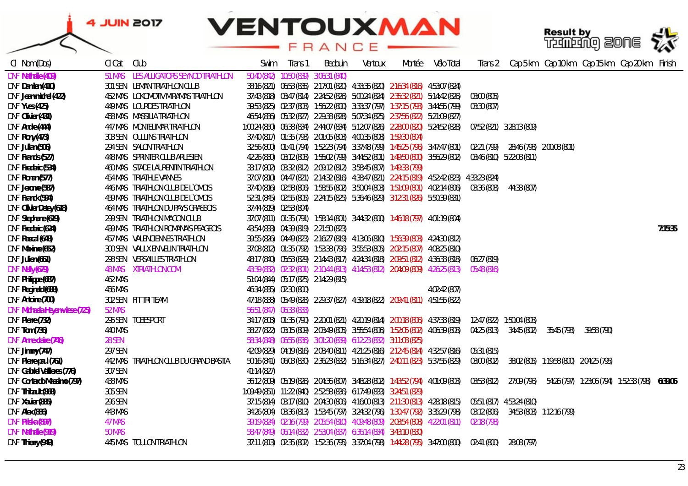

| CI Nom (Dos)                          | CI Cat         | Club                                   | Swim                    | Trans 1                 | Bedouin                               | Ventoux                                                                 | Montée                                                                               | Vélo Total                                                                                    | Trans 2     |                           |             |             | Cap 5 km Cap 10 km Cap 15 km Cap 20 km Finish |         |
|---------------------------------------|----------------|----------------------------------------|-------------------------|-------------------------|---------------------------------------|-------------------------------------------------------------------------|--------------------------------------------------------------------------------------|-----------------------------------------------------------------------------------------------|-------------|---------------------------|-------------|-------------|-----------------------------------------------|---------|
| <b>DNF Nathalie (409)</b>             | 51 MAS         | LES ALLIGATORS SEYNOD TRIATHLON        | 50:40 (842)             |                         | 10:50 (839) 3:06:31 (840)             |                                                                         |                                                                                      |                                                                                               |             |                           |             |             |                                               |         |
| DNF Damien (410)                      |                | 301 SEN LEMAN TRIATHLON CLUB           |                         |                         |                                       |                                                                         | 38:16 (821) 06:53 (835) 2:17:01 (820) 4:33:35 (820) 2:16:34 (816) 4:53:07 (824)      |                                                                                               |             |                           |             |             |                                               |         |
| DNF Jean-michel (422)                 |                | 452 MAS LOKOMOTIV MIRAMAS TRIATHLON    |                         |                         |                                       |                                                                         |                                                                                      | 37:43 (818) 03:47 (814) 2:24:52 (826) 5:00:24 (824) 2:35:32 (821) 5:14:42 (826)               | 03:00 (805) |                           |             |             |                                               |         |
| <b>DNF Yves (425)</b>                 |                | 449 MAS LOURDES TRIATHLON              |                         |                         |                                       |                                                                         |                                                                                      | 39:53 (825) 02:37 (803) 1:56:22 (800) 3:33:37 (797) 1:37:15 (793) 3:44:55 (799)               | 03:30 (807) |                           |             |             |                                               |         |
| DNF Olivier (431)                     |                | 458 MAS MASSILIA TRIATHLON             |                         |                         |                                       |                                                                         | 46:54 (836) 05:32 (827) 2:29:38 (828) 5:07:34 (825) 2:37:56 (822) 5:21:09 (827)      |                                                                                               |             |                           |             |             |                                               |         |
| DNF Andre (444)                       |                | 447 MAS MONTELIMAR TRIATHLON           |                         |                         |                                       |                                                                         |                                                                                      | 1:00:24 (850) 06:38 (834) 2:44:07 (834) 5:12:07 (826) 2:28:00 (820) 5:24:52 (828)             |             | 07:52 (821) 3:28:13 (809) |             |             |                                               |         |
| DNF Rony (473)                        |                | 303 SEN OULLINS TRIATHLON              |                         |                         |                                       | 37:40 (817) 01:35 (793) 2:01:05 (803) 4:00:35 (808) 1:59:30 (804)       |                                                                                      |                                                                                               |             |                           |             |             |                                               |         |
| DNF Julian (506)                      |                | 294 SEN SALON TRIATHLON                |                         |                         |                                       |                                                                         |                                                                                      | 32:56 (800) 01:41 (794) 1:52:23 (794) 3:37:48 (799) 1:45:25 (796) 3:47:47 (801)               | 02:21 (799) |                           |             |             |                                               |         |
| DNF Francis (527)                     |                | 448 MAS SPRINTER CLUB ARLESIEN         |                         |                         |                                       |                                                                         |                                                                                      | 42:26 (830) 03:12 (808) 1:55:02 (799) 3:44:52 (801) 1:49:50 (800) 3:56:29 (802)               |             | 03:46 (810) 5:22:08 (811) |             |             |                                               |         |
| DNF Frederic (534)                    |                | 460 MAS STADE LAURENTIN TRIATHLON      |                         |                         |                                       | 33:17 (802) 03:32 (812) 2:09:12 (812) 3:58:45 (807) 1:49:33 (799)       |                                                                                      |                                                                                               |             |                           |             |             |                                               |         |
| DNF Ronan (577)                       |                | <b>454 MAS TRIATHLE VANNES</b>         |                         |                         |                                       |                                                                         |                                                                                      | 37:07 (810) 04:47 (821) 2:14:32 (816) 4:38:47 (821) 2:24:15 (819) 4:52:42 (823) 4:33:23 (824) |             |                           |             |             |                                               |         |
| DNF Jerome (587)                      |                | 446 MAS TRIATHLON CLUB DE L'OMOIS      |                         |                         |                                       |                                                                         |                                                                                      | 37:40 (816) 02:58 (806) 1:58:55 (802) 3:50:04 (803) 1:51:09 (801) 4:02:14 (806)               | 03:36 (808) | 44:33 (807)               |             |             |                                               |         |
| DNF Franck (594)                      |                | 459 MAS TRIATHLON CLUB DE L'OMOIS      |                         |                         |                                       |                                                                         | 52:31 (845) 02:55 (805) 2:24:15 (825) 5:36:46 (829) 3:12:31 (826) 5:50:39 (831)      |                                                                                               |             |                           |             |             |                                               |         |
| DNF Olivier Detey (618)               |                | 464 MAS TRIATHLON DU PAYS GRASSOIS     | 37:44 (819) 02:53 (804) |                         |                                       |                                                                         |                                                                                      |                                                                                               |             |                           |             |             |                                               |         |
| DNF Stephane (619)                    |                | 299 SEN TRIATHLON MACON CLUB           |                         |                         |                                       |                                                                         | 37:07 (811) 01:35 (791) 1:58:14 (801) 3:44:32 (800) 1:46:18 (797) 4:01:19 (804)      |                                                                                               |             |                           |             |             |                                               |         |
| DNF Frederic (624)                    |                | 439 MAS TRIATHLON ROMANAIS PEAGEOIS    |                         |                         | 43:54 (833) 04:39 (819) 2:21:50 (823) |                                                                         |                                                                                      |                                                                                               |             |                           |             |             |                                               | 7:15:35 |
| DNF Pascal (648)                      |                | 457 MAS VALENCIENNES TRIATHLON         |                         |                         |                                       |                                                                         | 39:55 (826) 04:49 (823) 2:16:27 (819) 4:13:06 (810) 1:56:39 (803) 4:24:30 (812)      |                                                                                               |             |                           |             |             |                                               |         |
| DNF Maxime (652)                      |                | 300 SEN VAULX EN VELIN TRIATHLON       |                         |                         |                                       |                                                                         | 37:08 (812) 01:35 (792) 1:53:38 (796) 3:55:53 (805) 2:02:15 (807) 4:08:25 (810)      |                                                                                               |             |                           |             |             |                                               |         |
| DNF Julien (661)                      |                | 298 SEN VERSAILLES TRIATHLON           |                         |                         |                                       |                                                                         |                                                                                      | 48:17 (840) 05:53 (829) 2:14:43 (817) 4:24:34 (818) 2:09:51 (812) 4:36:33 (818)               | 06:27 (819) |                           |             |             |                                               |         |
| DNF Nelly (679)                       |                | 48 MAS XTRIATHLON.COM                  |                         |                         |                                       |                                                                         |                                                                                      | 43:39 (832) 02:32 (801) 2:10:44 (813) 4:14:53 (812) 2:04:09 (809) 4:26:25 (813)               | 05:48 (816) |                           |             |             |                                               |         |
| DNF Philippe (687)                    | 462 MAS        |                                        |                         |                         | 51:04 (844) 05:17 (825) 2:14:29 (815) |                                                                         |                                                                                      |                                                                                               |             |                           |             |             |                                               |         |
| DNF Reginald (688)                    | 456 MAS        |                                        |                         | 46:34 (835) 02:30 (800) |                                       |                                                                         |                                                                                      | 4:02:42 (807)                                                                                 |             |                           |             |             |                                               |         |
| DNF Antoine (700)                     |                | 302 SEN FIT TRI TEAM                   |                         |                         |                                       |                                                                         | 47:18 (838) 05:49 (828) 2:29:37 (827) 4:39:18 (822) 2:09:41 (811) 4:51:55 (822)      |                                                                                               |             |                           |             |             |                                               |         |
| <b>DNF Michaela Heyen-wiese (725)</b> | 52 MAS         |                                        | 56:51 (847) 06:33 (833) |                         |                                       |                                                                         |                                                                                      |                                                                                               |             |                           |             |             |                                               |         |
| DNF Pierre (732)                      |                | 295 SEN TOBESPORT                      |                         |                         |                                       |                                                                         | 34:17 (803)  01:35 (790)  2:20:01 (821)  4:20:19 (814)  2:00:18 (806)  4:37:33 (819) |                                                                                               |             |                           |             |             |                                               |         |
| DNF Tom (736)                         | <b>440 MAS</b> |                                        |                         |                         |                                       |                                                                         |                                                                                      | 38:27 (822) 03:15 (809) 2:03:49 (805) 3:55:54 (806) 1:52:05 (802) 4:06:39 (808)               | 04:25 (813) | 34:45 (802)               | 35:45 (793) | 39:58 (790) |                                               |         |
| DNF Anne-claire (746)                 | <b>28 SEN</b>  |                                        |                         |                         |                                       | 58:34 (848) 06:55 (836) 3:01:20 (839) 6:12:23 (832) 3:11:03 (825)       |                                                                                      |                                                                                               |             |                           |             |             |                                               |         |
| DNF Jimmy (747)                       | 297 SEN        |                                        |                         |                         |                                       |                                                                         |                                                                                      | 42:09 (829) 04:19 (816) 2:08:40 (811) 4:21:25 (816) 2:12:45 (814) 4:32:57 (816)               | 05:31 (815) |                           |             |             |                                               |         |
| DNF Pierre paul (761)                 |                | 442 MAS TRIATHLON CLUB DU GRAND BASTIA |                         |                         |                                       |                                                                         |                                                                                      | 50:16 (841) 06:03 (830) 2:36:23 (832) 5:16:34 (827) 2:40:11 (823) 5:37:55 (829)               | 03:00 (802) |                           |             |             |                                               |         |
| DNF Gabriel Vallieres (776)           | 307 SEN        |                                        | 41:14(827)              |                         |                                       |                                                                         |                                                                                      |                                                                                               |             |                           |             |             |                                               |         |
| DNF Contardo Massimo (797)            | 438 MAS        |                                        |                         |                         |                                       |                                                                         |                                                                                      | 36:12 (809) 05:19 (826) 2:04:36 (807) 3:48:28 (802) 1:43:52 (794) 4:01:09 (803)               | 03:53 (812) | 27:09 (796)               |             |             |                                               |         |
| DNF Thibault (868)                    | 305 SEN        |                                        |                         |                         |                                       | 1:09:49 (851)  11:22 (840)  2:52:58 (836)  6:17:49 (833)  3:24:51 (829) |                                                                                      |                                                                                               |             |                           |             |             |                                               |         |
| DNF Xavier (885)                      | 296 SEN        |                                        |                         |                         |                                       |                                                                         |                                                                                      | 37:15 (814) 03:17 (810) 2:04:30 (806) 4:16:00 (813) 2:11:30 (813) 4:28:18 (815)               |             |                           |             |             |                                               |         |
| DNF Alex (886)                        | 443 MAS        |                                        |                         |                         |                                       |                                                                         |                                                                                      | 34:26 (804) 03:36 (813) 1:53:45 (797) 3:24:32 (796) 1:30:47 (792) 3:35:29 (798)               | 03:12 (806) |                           |             |             |                                               |         |
| DNF Priska (897)                      | 47 MAS         |                                        |                         |                         |                                       |                                                                         |                                                                                      | 39:19 (824) 02:16 (799) 2:05:54 (810) 4:09:48 (809) 2:03:54 (808) 4:22:01 (811)               | 02:18 (798) |                           |             |             |                                               |         |
| <b>DNF Nathalie (919)</b>             | 50 MAS         |                                        |                         |                         |                                       | 58:47 (849) 06:14 (832) 2:53:04 (837) 6:36:14 (834) 3:43:10 (830)       |                                                                                      |                                                                                               |             |                           |             |             |                                               |         |
| DNF Thierry (949)                     |                | 445 MAS TOULON TRIATHLON               |                         |                         |                                       |                                                                         |                                                                                      | 37:11 (813) 02:35 (802) 1:52:36 (795) 3:37:04 (798) 1:44:28 (795) 3:47:00 (800)               | 02:41 (800) | 28:08 (797)               |             |             |                                               |         |